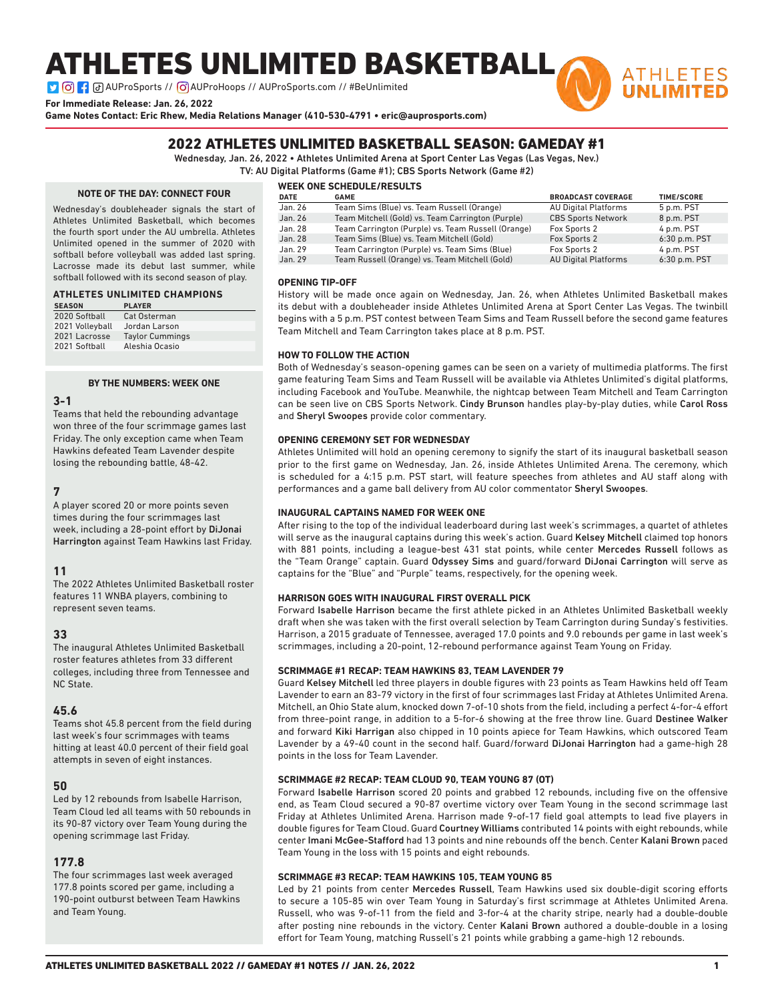# ATHLETES UNLIMITED BASKETBALL

**D G : a** AUProSports // **G** AUProHoops // AUProSports.com // #BeUnlimited

**For Immediate Release: Jan. 26, 2022**

**Game Notes Contact: Eric Rhew, Media Relations Manager (410-530-4791 • eric@auprosports.com)**



### 2022 ATHLETES UNLIMITED BASKETBALL SEASON: GAMEDAY #1

Wednesday, Jan. 26, 2022 • Athletes Unlimited Arena at Sport Center Las Vegas (Las Vegas, Nev.)

TV: AU Digital Platforms (Game #1); CBS Sports Network (Game #2)

### **NOTE OF THE DAY: CONNECT FOUR**

Wednesday's doubleheader signals the start of Athletes Unlimited Basketball, which becomes the fourth sport under the AU umbrella. Athletes Unlimited opened in the summer of 2020 with softball before volleyball was added last spring. Lacrosse made its debut last summer, while softball followed with its second season of play.

### **ATHLETES UNLIMITED CHAMPIONS**

| <b>SEASON</b>   | <b>PLAYER</b>          |
|-----------------|------------------------|
| 2020 Softball   | Cat Osterman           |
| 2021 Volleyball | Jordan Larson          |
| 2021 Lacrosse   | <b>Taylor Cummings</b> |
| 2021 Softball   | Aleshia Ocasio         |

### **BY THE NUMBERS: WEEK ONE**

### **3-1**

Teams that held the rebounding advantage won three of the four scrimmage games last Friday. The only exception came when Team Hawkins defeated Team Lavender despite losing the rebounding battle, 48-42.

### **7**

A player scored 20 or more points seven times during the four scrimmages last week, including a 28-point effort by DiJonai Harrington against Team Hawkins last Friday.

### **11**

The 2022 Athletes Unlimited Basketball roster features 11 WNBA players, combining to represent seven teams.

### **33**

The inaugural Athletes Unlimited Basketball roster features athletes from 33 different colleges, including three from Tennessee and NC State.

### **45.6**

Teams shot 45.8 percent from the field during last week's four scrimmages with teams hitting at least 40.0 percent of their field goal attempts in seven of eight instances.

### **50**

Led by 12 rebounds from Isabelle Harrison, Team Cloud led all teams with 50 rebounds in its 90-87 victory over Team Young during the opening scrimmage last Friday.

### **177.8**

The four scrimmages last week averaged 177.8 points scored per game, including a 190-point outburst between Team Hawkins and Team Young.

### **WEEK ONE SCHEDULE/RESULTS**

| <b>DATE</b> | <b>GAME</b>                                        | <b>BROADCAST COVERAGE</b>   | <b>TIME/SCORE</b> |
|-------------|----------------------------------------------------|-----------------------------|-------------------|
| Jan. 26     | Team Sims (Blue) vs. Team Russell (Orange)         | <b>AU Digital Platforms</b> | 5 p.m. PST        |
| Jan. 26     | Team Mitchell (Gold) vs. Team Carrington (Purple)  | <b>CBS Sports Network</b>   | 8 p.m. PST        |
| Jan. 28     | Team Carrington (Purple) vs. Team Russell (Orange) | Fox Sports 2                | 4 p.m. PST        |
| Jan. 28     | Team Sims (Blue) vs. Team Mitchell (Gold)          | Fox Sports 2                | $6:30$ p.m. PST   |
| Jan. 29     | Team Carrington (Purple) vs. Team Sims (Blue)      | Fox Sports 2                | 4 p.m. PST        |
| Jan. 29     | Team Russell (Orange) vs. Team Mitchell (Gold)     | <b>AU Digital Platforms</b> | 6:30 p.m. PST     |

### **OPENING TIP-OFF**

History will be made once again on Wednesday, Jan. 26, when Athletes Unlimited Basketball makes its debut with a doubleheader inside Athletes Unlimited Arena at Sport Center Las Vegas. The twinbill begins with a 5 p.m. PST contest between Team Sims and Team Russell before the second game features Team Mitchell and Team Carrington takes place at 8 p.m. PST.

### **HOW TO FOLLOW THE ACTION**

Both of Wednesday's season-opening games can be seen on a variety of multimedia platforms. The first game featuring Team Sims and Team Russell will be available via Athletes Unlimited's digital platforms, including Facebook and YouTube. Meanwhile, the nightcap between Team Mitchell and Team Carrington can be seen live on CBS Sports Network. Cindy Brunson handles play-by-play duties, while Carol Ross and Sheryl Swoopes provide color commentary.

### **OPENING CEREMONY SET FOR WEDNESDAY**

Athletes Unlimited will hold an opening ceremony to signify the start of its inaugural basketball season prior to the first game on Wednesday, Jan. 26, inside Athletes Unlimited Arena. The ceremony, which is scheduled for a 4:15 p.m. PST start, will feature speeches from athletes and AU staff along with performances and a game ball delivery from AU color commentator Sheryl Swoopes.

### **INAUGURAL CAPTAINS NAMED FOR WEEK ONE**

After rising to the top of the individual leaderboard during last week's scrimmages, a quartet of athletes will serve as the inaugural captains during this week's action. Guard Kelsey Mitchell claimed top honors with 881 points, including a league-best 431 stat points, while center Mercedes Russell follows as the "Team Orange" captain. Guard Odyssey Sims and guard/forward DiJonai Carrington will serve as captains for the "Blue" and "Purple" teams, respectively, for the opening week.

### **HARRISON GOES WITH INAUGURAL FIRST OVERALL PICK**

Forward Isabelle Harrison became the first athlete picked in an Athletes Unlimited Basketball weekly draft when she was taken with the first overall selection by Team Carrington during Sunday's festivities. Harrison, a 2015 graduate of Tennessee, averaged 17.0 points and 9.0 rebounds per game in last week's scrimmages, including a 20-point, 12-rebound performance against Team Young on Friday.

### **SCRIMMAGE #1 RECAP: TEAM HAWKINS 83, TEAM LAVENDER 79**

Guard Kelsey Mitchell led three players in double figures with 23 points as Team Hawkins held off Team Lavender to earn an 83-79 victory in the first of four scrimmages last Friday at Athletes Unlimited Arena. Mitchell, an Ohio State alum, knocked down 7-of-10 shots from the field, including a perfect 4-for-4 effort from three-point range, in addition to a 5-for-6 showing at the free throw line. Guard Destinee Walker and forward Kiki Harrigan also chipped in 10 points apiece for Team Hawkins, which outscored Team Lavender by a 49-40 count in the second half. Guard/forward DiJonai Harrington had a game-high 28 points in the loss for Team Lavender.

### **SCRIMMAGE #2 RECAP: TEAM CLOUD 90, TEAM YOUNG 87 (OT)**

Forward Isabelle Harrison scored 20 points and grabbed 12 rebounds, including five on the offensive end, as Team Cloud secured a 90-87 overtime victory over Team Young in the second scrimmage last Friday at Athletes Unlimited Arena. Harrison made 9-of-17 field goal attempts to lead five players in double figures for Team Cloud. Guard Courtney Williams contributed 14 points with eight rebounds, while center Imani McGee-Stafford had 13 points and nine rebounds off the bench. Center Kalani Brown paced Team Young in the loss with 15 points and eight rebounds.

### **SCRIMMAGE #3 RECAP: TEAM HAWKINS 105, TEAM YOUNG 85**

Led by 21 points from center Mercedes Russell, Team Hawkins used six double-digit scoring efforts to secure a 105-85 win over Team Young in Saturday's first scrimmage at Athletes Unlimited Arena. Russell, who was 9-of-11 from the field and 3-for-4 at the charity stripe, nearly had a double-double after posting nine rebounds in the victory. Center Kalani Brown authored a double-double in a losing effort for Team Young, matching Russell's 21 points while grabbing a game-high 12 rebounds.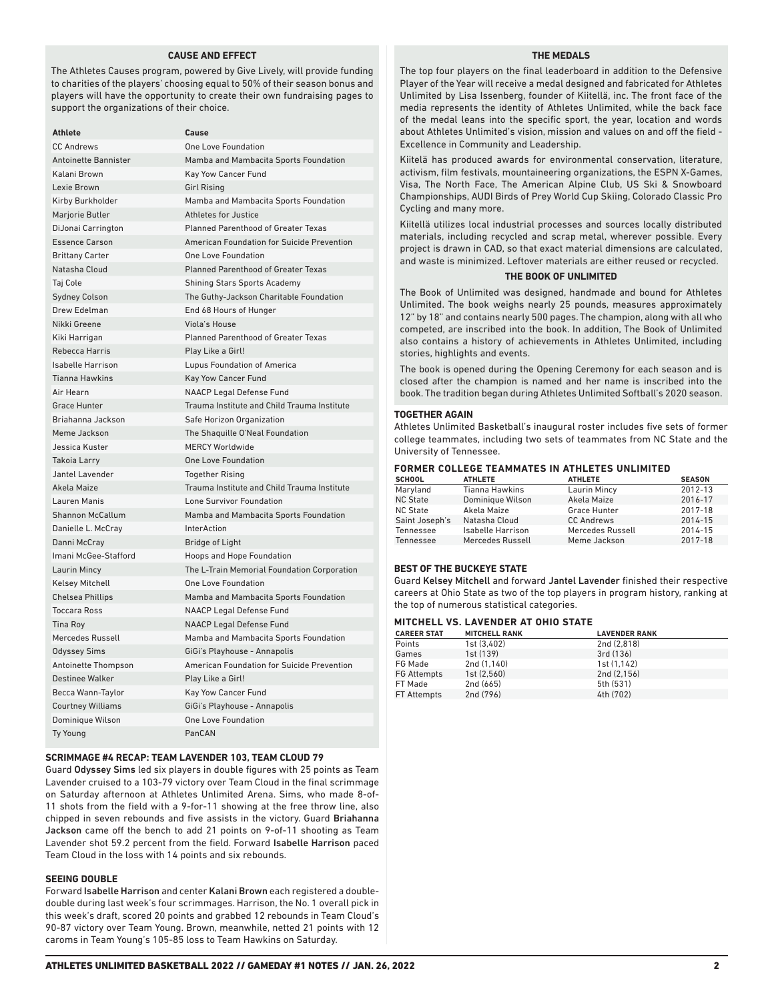### **CAUSE AND EFFECT**

The Athletes Causes program, powered by Give Lively, will provide funding to charities of the players' choosing equal to 50% of their season bonus and players will have the opportunity to create their own fundraising pages to support the organizations of their choice.

| Athlete                     | Cause                                       |
|-----------------------------|---------------------------------------------|
| <b>CC Andrews</b>           | One Love Foundation                         |
| <b>Antoinette Bannister</b> | Mamba and Mambacita Sports Foundation       |
| Kalani Brown                | Kay Yow Cancer Fund                         |
| Lexie Brown                 | <b>Girl Rising</b>                          |
| Kirby Burkholder            | Mamba and Mambacita Sports Foundation       |
| Marjorie Butler             | <b>Athletes for Justice</b>                 |
| DiJonai Carrington          | <b>Planned Parenthood of Greater Texas</b>  |
| <b>Essence Carson</b>       | American Foundation for Suicide Prevention  |
| <b>Brittany Carter</b>      | <b>One Love Foundation</b>                  |
| Natasha Cloud               | <b>Planned Parenthood of Greater Texas</b>  |
| Taj Cole                    | <b>Shining Stars Sports Academy</b>         |
| <b>Sydney Colson</b>        | The Guthy-Jackson Charitable Foundation     |
| Drew Edelman                | End 68 Hours of Hunger                      |
| Nikki Greene                | Viola's House                               |
| Kiki Harrigan               | Planned Parenthood of Greater Texas         |
| Rebecca Harris              | Play Like a Girl!                           |
| <b>Isabelle Harrison</b>    | Lupus Foundation of America                 |
| <b>Tianna Hawkins</b>       | <b>Kay Yow Cancer Fund</b>                  |
| Air Hearn                   | <b>NAACP Legal Defense Fund</b>             |
| <b>Grace Hunter</b>         | Trauma Institute and Child Trauma Institute |
| Briahanna Jackson           | Safe Horizon Organization                   |
| Meme Jackson                | The Shaquille O'Neal Foundation             |
| Jessica Kuster              | <b>MERCY Worldwide</b>                      |
| Takoia Larry                | <b>One Love Foundation</b>                  |
| Jantel Lavender             | <b>Together Rising</b>                      |
| Akela Maize                 | Trauma Institute and Child Trauma Institute |
| Lauren Manis                | Lone Survivor Foundation                    |
| <b>Shannon McCallum</b>     | Mamba and Mambacita Sports Foundation       |
| Danielle L. McCray          | <b>InterAction</b>                          |
| Danni McCray                | <b>Bridge of Light</b>                      |
| Imani McGee-Stafford        | Hoops and Hope Foundation                   |
| Laurin Mincy                | The L-Train Memorial Foundation Corporation |
| <b>Kelsey Mitchell</b>      | One Love Foundation                         |
| <b>Chelsea Phillips</b>     | Mamba and Mambacita Sports Foundation       |
| <b>Toccara Ross</b>         | <b>NAACP Legal Defense Fund</b>             |
| <b>Tina Roy</b>             | <b>NAACP Legal Defense Fund</b>             |
| Mercedes Russell            | Mamba and Mambacita Sports Foundation       |
| <b>Odyssey Sims</b>         | GiGi's Playhouse - Annapolis                |
| Antoinette Thompson         | American Foundation for Suicide Prevention  |
| <b>Destinee Walker</b>      | Play Like a Girl!                           |
| Becca Wann-Taylor           | Kay Yow Cancer Fund                         |
| <b>Courtney Williams</b>    | GiGi's Playhouse - Annapolis                |
| Dominique Wilson            | <b>One Love Foundation</b>                  |
| <b>Ty Young</b>             | PanCAN                                      |

### **SCRIMMAGE #4 RECAP: TEAM LAVENDER 103, TEAM CLOUD 79**

Guard Odyssey Sims led six players in double figures with 25 points as Team Lavender cruised to a 103-79 victory over Team Cloud in the final scrimmage on Saturday afternoon at Athletes Unlimited Arena. Sims, who made 8-of-11 shots from the field with a 9-for-11 showing at the free throw line, also chipped in seven rebounds and five assists in the victory. Guard Briahanna Jackson came off the bench to add 21 points on 9-of-11 shooting as Team Lavender shot 59.2 percent from the field. Forward Isabelle Harrison paced Team Cloud in the loss with 14 points and six rebounds.

### **SEEING DOUBLE**

Forward Isabelle Harrison and center Kalani Brown each registered a doubledouble during last week's four scrimmages. Harrison, the No. 1 overall pick in this week's draft, scored 20 points and grabbed 12 rebounds in Team Cloud's 90-87 victory over Team Young. Brown, meanwhile, netted 21 points with 12 caroms in Team Young's 105-85 loss to Team Hawkins on Saturday.

### **THE MEDALS**

The top four players on the final leaderboard in addition to the Defensive Player of the Year will receive a medal designed and fabricated for Athletes Unlimited by Lisa Issenberg, founder of Kiitellä, inc. The front face of the media represents the identity of Athletes Unlimited, while the back face of the medal leans into the specific sport, the year, location and words about Athletes Unlimited's vision, mission and values on and off the field - Excellence in Community and Leadership.

Kiitelä has produced awards for environmental conservation, literature, activism, film festivals, mountaineering organizations, the ESPN X-Games, Visa, The North Face, The American Alpine Club, US Ski & Snowboard Championships, AUDI Birds of Prey World Cup Skiing, Colorado Classic Pro Cycling and many more.

Kiitellä utilizes local industrial processes and sources locally distributed materials, including recycled and scrap metal, wherever possible. Every project is drawn in CAD, so that exact material dimensions are calculated, and waste is minimized. Leftover materials are either reused or recycled.

### **THE BOOK OF UNLIMITED**

The Book of Unlimited was designed, handmade and bound for Athletes Unlimited. The book weighs nearly 25 pounds, measures approximately 12" by 18" and contains nearly 500 pages. The champion, along with all who competed, are inscribed into the book. In addition, The Book of Unlimited also contains a history of achievements in Athletes Unlimited, including stories, highlights and events.

The book is opened during the Opening Ceremony for each season and is closed after the champion is named and her name is inscribed into the book. The tradition began during Athletes Unlimited Softball's 2020 season.

### **TOGETHER AGAIN**

Athletes Unlimited Basketball's inaugural roster includes five sets of former college teammates, including two sets of teammates from NC State and the University of Tennessee.

### **FORMER COLLEGE TEAMMATES IN ATHLETES UNLIMITED**

| <b>SCHOOL</b>   | <b>ATHLETE</b>        | <b>ATHLETE</b>      | <b>SEASON</b> |
|-----------------|-----------------------|---------------------|---------------|
| Maryland        | <b>Tianna Hawkins</b> | <b>Laurin Mincy</b> | 2012-13       |
| <b>NC State</b> | Dominique Wilson      | Akela Maize         | 2016-17       |
| <b>NC State</b> | Akela Maize           | Grace Hunter        | 2017-18       |
| Saint Joseph's  | Natasha Cloud         | <b>CC Andrews</b>   | 2014-15       |
| Tennessee       | Isabelle Harrison     | Mercedes Russell    | 2014-15       |
| Tennessee       | Mercedes Russell      | Meme Jackson        | 2017-18       |

### **BEST OF THE BUCKEYE STATE**

Guard Kelsey Mitchell and forward Jantel Lavender finished their respective careers at Ohio State as two of the top players in program history, ranking at the top of numerous statistical categories.

### **MITCHELL VS. LAVENDER AT OHIO STATE**

| <b>MITCHELL RANK</b> | <b>LAVENDER RANK</b> |  |  |  |
|----------------------|----------------------|--|--|--|
| 1st (3.402)          | 2nd (2.818)          |  |  |  |
| 1st (139)            | 3rd (136)            |  |  |  |
| 2nd (1.140)          | 1st (1.142)          |  |  |  |
| 1st(2.560)           | 2nd (2.156)          |  |  |  |
| 2nd (665)            | 5th (531)            |  |  |  |
| 2nd (796)            | 4th (702)            |  |  |  |
|                      |                      |  |  |  |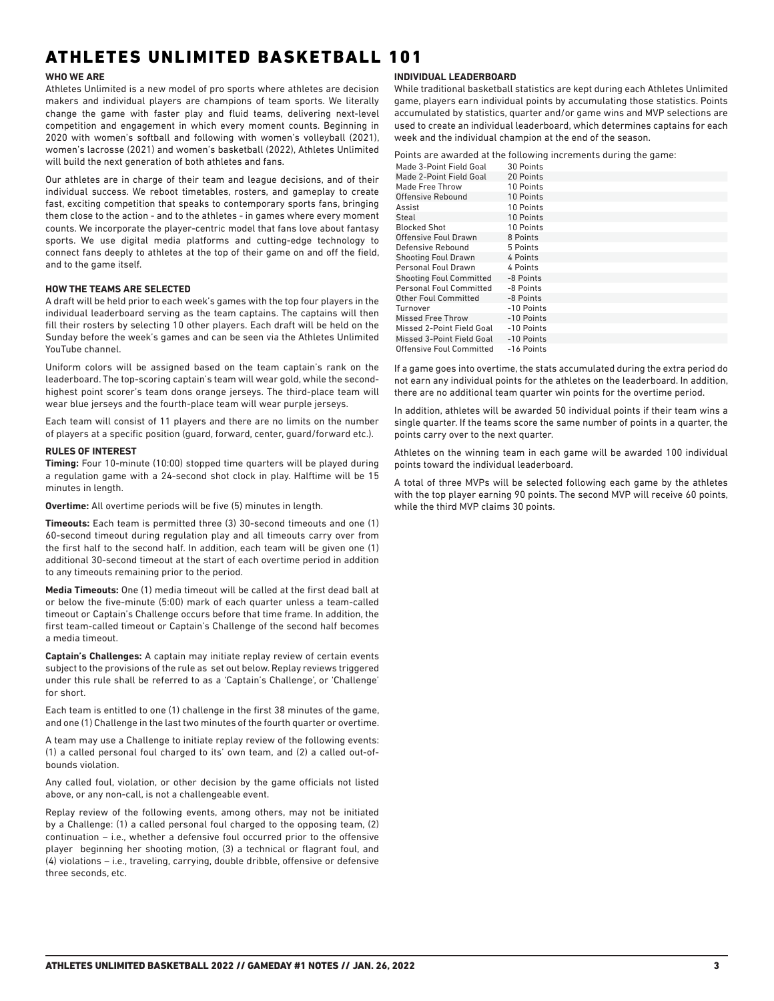# ATHLETES UNLIMITED BASKETBALL 101

### **WHO WE ARE**

Athletes Unlimited is a new model of pro sports where athletes are decision makers and individual players are champions of team sports. We literally change the game with faster play and fluid teams, delivering next-level competition and engagement in which every moment counts. Beginning in 2020 with women's softball and following with women's volleyball (2021), women's lacrosse (2021) and women's basketball (2022), Athletes Unlimited will build the next generation of both athletes and fans.

Our athletes are in charge of their team and league decisions, and of their individual success. We reboot timetables, rosters, and gameplay to create fast, exciting competition that speaks to contemporary sports fans, bringing them close to the action - and to the athletes - in games where every moment counts. We incorporate the player-centric model that fans love about fantasy sports. We use digital media platforms and cutting-edge technology to connect fans deeply to athletes at the top of their game on and off the field, and to the game itself.

### **HOW THE TEAMS ARE SELECTED**

A draft will be held prior to each week's games with the top four players in the individual leaderboard serving as the team captains. The captains will then fill their rosters by selecting 10 other players. Each draft will be held on the Sunday before the week's games and can be seen via the Athletes Unlimited YouTube channel.

Uniform colors will be assigned based on the team captain's rank on the leaderboard. The top-scoring captain's team will wear gold, while the secondhighest point scorer's team dons orange jerseys. The third-place team will wear blue jerseys and the fourth-place team will wear purple jerseys.

Each team will consist of 11 players and there are no limits on the number of players at a specific position (guard, forward, center, guard/forward etc.).

### **RULES OF INTEREST**

**Timing:** Four 10-minute (10:00) stopped time quarters will be played during a regulation game with a 24-second shot clock in play. Halftime will be 15 minutes in length.

**Overtime:** All overtime periods will be five (5) minutes in length.

**Timeouts:** Each team is permitted three (3) 30-second timeouts and one (1) 60-second timeout during regulation play and all timeouts carry over from the first half to the second half. In addition, each team will be given one (1) additional 30-second timeout at the start of each overtime period in addition to any timeouts remaining prior to the period.

**Media Timeouts:** One (1) media timeout will be called at the first dead ball at or below the five-minute (5:00) mark of each quarter unless a team-called timeout or Captain's Challenge occurs before that time frame. In addition, the first team-called timeout or Captain's Challenge of the second half becomes a media timeout.

**Captain's Challenges:** A captain may initiate replay review of certain events subject to the provisions of the rule as set out below. Replay reviews triggered under this rule shall be referred to as a 'Captain's Challenge', or 'Challenge' for short.

Each team is entitled to one (1) challenge in the first 38 minutes of the game, and one (1) Challenge in the last two minutes of the fourth quarter or overtime.

A team may use a Challenge to initiate replay review of the following events: (1) a called personal foul charged to its' own team, and (2) a called out-ofbounds violation.

Any called foul, violation, or other decision by the game officials not listed above, or any non-call, is not a challengeable event.

Replay review of the following events, among others, may not be initiated by a Challenge: (1) a called personal foul charged to the opposing team, (2) continuation – i.e., whether a defensive foul occurred prior to the offensive player beginning her shooting motion, (3) a technical or flagrant foul, and (4) violations – i.e., traveling, carrying, double dribble, offensive or defensive three seconds, etc.

### **INDIVIDUAL LEADERBOARD**

While traditional basketball statistics are kept during each Athletes Unlimited game, players earn individual points by accumulating those statistics. Points accumulated by statistics, quarter and/or game wins and MVP selections are used to create an individual leaderboard, which determines captains for each week and the individual champion at the end of the season.

Points are awarded at the following increments during the game:

| Made 3-Point Field Goal        | 30 Points  |
|--------------------------------|------------|
| Made 2-Point Field Goal        | 20 Points  |
| Made Free Throw                | 10 Points  |
| Offensive Rebound              | 10 Points  |
| Assist                         | 10 Points  |
| Steal                          | 10 Points  |
| <b>Blocked Shot</b>            | 10 Points  |
| Offensive Foul Drawn           | 8 Points   |
| Defensive Rebound              | 5 Points   |
| <b>Shooting Foul Drawn</b>     | 4 Points   |
| Personal Foul Drawn            | 4 Points   |
| <b>Shooting Foul Committed</b> | -8 Points  |
| <b>Personal Foul Committed</b> | -8 Points  |
| Other Foul Committed           | -8 Points  |
| Turnover                       | -10 Points |
| <b>Missed Free Throw</b>       | -10 Points |
| Missed 2-Point Field Goal      | -10 Points |
| Missed 3-Point Field Goal      | -10 Points |
| Offensive Foul Committed       | -16 Points |

If a game goes into overtime, the stats accumulated during the extra period do not earn any individual points for the athletes on the leaderboard. In addition, there are no additional team quarter win points for the overtime period.

In addition, athletes will be awarded 50 individual points if their team wins a single quarter. If the teams score the same number of points in a quarter, the points carry over to the next quarter.

Athletes on the winning team in each game will be awarded 100 individual points toward the individual leaderboard.

A total of three MVPs will be selected following each game by the athletes with the top player earning 90 points. The second MVP will receive 60 points, while the third MVP claims 30 points.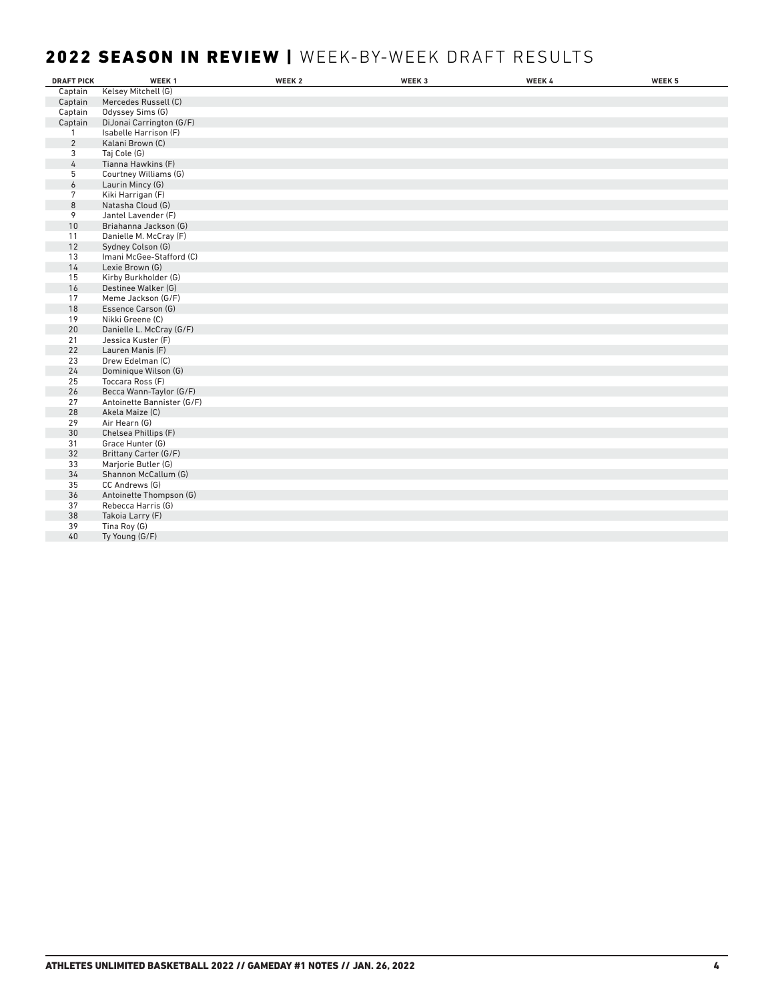# 2022 SEASON IN REVIEW | WEEK-BY-WEEK DRAFT RESULTS

| <b>DRAFT PICK</b> | WEEK <sub>1</sub>          | WEEK <sub>2</sub> | WEEK 3 | WEEK 4 | WEEK 5 |
|-------------------|----------------------------|-------------------|--------|--------|--------|
| Captain           | Kelsey Mitchell (G)        |                   |        |        |        |
| Captain           | Mercedes Russell (C)       |                   |        |        |        |
| Captain           | Odyssey Sims (G)           |                   |        |        |        |
| Captain           | DiJonai Carrington (G/F)   |                   |        |        |        |
| $\mathbf{1}$      | Isabelle Harrison (F)      |                   |        |        |        |
| $\overline{2}$    | Kalani Brown (C)           |                   |        |        |        |
| 3                 | Taj Cole (G)               |                   |        |        |        |
| 4                 | Tianna Hawkins (F)         |                   |        |        |        |
| 5                 | Courtney Williams (G)      |                   |        |        |        |
| 6                 | Laurin Mincy (G)           |                   |        |        |        |
| 7                 | Kiki Harrigan (F)          |                   |        |        |        |
| 8                 | Natasha Cloud (G)          |                   |        |        |        |
| 9                 | Jantel Lavender (F)        |                   |        |        |        |
| 10                | Briahanna Jackson (G)      |                   |        |        |        |
| 11                | Danielle M. McCray (F)     |                   |        |        |        |
| 12                | Sydney Colson (G)          |                   |        |        |        |
| 13                | Imani McGee-Stafford (C)   |                   |        |        |        |
| 14                | Lexie Brown (G)            |                   |        |        |        |
| 15                | Kirby Burkholder (G)       |                   |        |        |        |
| 16                | Destinee Walker (G)        |                   |        |        |        |
| 17                | Meme Jackson (G/F)         |                   |        |        |        |
| 18                | Essence Carson (G)         |                   |        |        |        |
| 19                | Nikki Greene (C)           |                   |        |        |        |
| 20                | Danielle L. McCray (G/F)   |                   |        |        |        |
| 21                | Jessica Kuster (F)         |                   |        |        |        |
| 22                | Lauren Manis (F)           |                   |        |        |        |
| 23                | Drew Edelman (C)           |                   |        |        |        |
| 24                | Dominique Wilson (G)       |                   |        |        |        |
| 25                | Toccara Ross (F)           |                   |        |        |        |
| 26                | Becca Wann-Taylor (G/F)    |                   |        |        |        |
| 27                | Antoinette Bannister (G/F) |                   |        |        |        |
| 28                | Akela Maize (C)            |                   |        |        |        |
| 29                | Air Hearn (G)              |                   |        |        |        |
| 30                | Chelsea Phillips (F)       |                   |        |        |        |
| 31                | Grace Hunter (G)           |                   |        |        |        |
| 32                | Brittany Carter (G/F)      |                   |        |        |        |
| 33                | Marjorie Butler (G)        |                   |        |        |        |
| 34                | Shannon McCallum (G)       |                   |        |        |        |
| 35                | CC Andrews (G)             |                   |        |        |        |
| 36                | Antoinette Thompson (G)    |                   |        |        |        |
| 37                | Rebecca Harris (G)         |                   |        |        |        |
| 38                | Takoia Larry (F)           |                   |        |        |        |
| 39                | Tina Roy (G)               |                   |        |        |        |
| 40                | Ty Young (G/F)             |                   |        |        |        |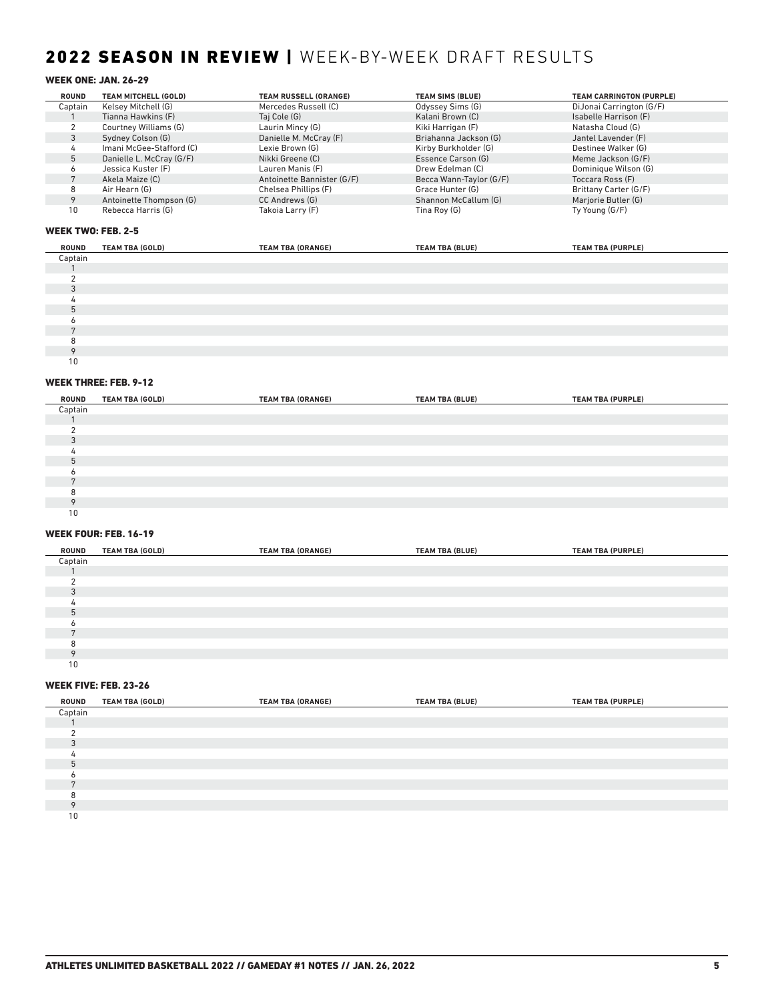# 2022 SEASON IN REVIEW | WEEK-BY-WEEK DRAFT RESULTS

### WEEK ONE: JAN. 26-29

| <b>ROUND</b> | TEAM MITCHELL (GOLD)     | <b>TEAM RUSSELL (ORANGE)</b> | <b>TEAM SIMS (BLUE)</b> | <b>TEAM CARRINGTON (PURPLE)</b> |
|--------------|--------------------------|------------------------------|-------------------------|---------------------------------|
| Captain      | Kelsey Mitchell (G)      | Mercedes Russell (C)         | Odyssey Sims (G)        | DiJonai Carrington (G/F)        |
|              | Tianna Hawkins (F)       | Taj Cole (G)                 | Kalani Brown (C)        | Isabelle Harrison (F)           |
|              | Courtney Williams (G)    | Laurin Mincy (G)             | Kiki Harrigan (F)       | Natasha Cloud (G)               |
|              | Sydney Colson (G)        | Danielle M. McCray (F)       | Briahanna Jackson (G)   | Jantel Lavender (F)             |
|              | Imani McGee-Stafford (C) | Lexie Brown (G)              | Kirby Burkholder (G)    | Destinee Walker (G)             |
|              | Danielle L. McCray (G/F) | Nikki Greene (C)             | Essence Carson (G)      | Meme Jackson (G/F)              |
|              | Jessica Kuster (F)       | Lauren Manis (F)             | Drew Edelman (C)        | Dominique Wilson (G)            |
|              | Akela Maize (C)          | Antoinette Bannister (G/F)   | Becca Wann-Taylor (G/F) | Toccara Ross (F)                |
|              | Air Hearn (G)            | Chelsea Phillips (F)         | Grace Hunter (G)        | Brittany Carter (G/F)           |
|              | Antoinette Thompson (G)  | CC Andrews (G)               | Shannon McCallum (G)    | Marjorie Butler (G)             |
| 10           | Rebecca Harris (G)       | Takoia Larry (F)             | Tina Roy (G)            | Ty Young (G/F)                  |

### WEEK TWO: FEB. 2-5

| ROUND   | <b>TEAM TBA (GOLD)</b> | <b>TEAM TBA (ORANGE)</b> | <b>TEAM TBA (BLUE)</b> | <b>TEAM TBA (PURPLE)</b> |
|---------|------------------------|--------------------------|------------------------|--------------------------|
| Captain |                        |                          |                        |                          |
|         |                        |                          |                        |                          |
|         |                        |                          |                        |                          |
|         |                        |                          |                        |                          |
|         |                        |                          |                        |                          |
|         |                        |                          |                        |                          |
|         |                        |                          |                        |                          |
|         |                        |                          |                        |                          |
|         |                        |                          |                        |                          |
|         |                        |                          |                        |                          |
| 10      |                        |                          |                        |                          |

### WEEK THREE: FEB. 9-12

| ROUND          | <b>TEAM TBA (GOLD)</b> | <b>TEAM TBA (ORANGE)</b> | <b>TEAM TBA (BLUE)</b> | <b>TEAM TBA (PURPLE)</b> |
|----------------|------------------------|--------------------------|------------------------|--------------------------|
| Captain        |                        |                          |                        |                          |
|                |                        |                          |                        |                          |
|                |                        |                          |                        |                          |
| $\Omega$       |                        |                          |                        |                          |
|                |                        |                          |                        |                          |
| 5              |                        |                          |                        |                          |
|                |                        |                          |                        |                          |
| $\overline{ }$ |                        |                          |                        |                          |
| я              |                        |                          |                        |                          |
| $\Omega$       |                        |                          |                        |                          |
| 10             |                        |                          |                        |                          |

### WEEK FOUR: FEB. 16-19

| ROUND    | <b>TEAM TBA (GOLD)</b> | <b>TEAM TBA (ORANGE)</b> | <b>TEAM TBA (BLUE)</b> | <b>TEAM TBA (PURPLE)</b> |  |
|----------|------------------------|--------------------------|------------------------|--------------------------|--|
| Captain  |                        |                          |                        |                          |  |
|          |                        |                          |                        |                          |  |
|          |                        |                          |                        |                          |  |
| $\Omega$ |                        |                          |                        |                          |  |
|          |                        |                          |                        |                          |  |
| h        |                        |                          |                        |                          |  |
|          |                        |                          |                        |                          |  |
|          |                        |                          |                        |                          |  |
|          |                        |                          |                        |                          |  |
|          |                        |                          |                        |                          |  |
| 10       |                        |                          |                        |                          |  |

### WEEK FIVE: FEB. 23-26

| ROUND   | <b>TEAM TBA (GOLD)</b> | <b>TEAM TBA (ORANGE)</b> | <b>TEAM TBA (BLUE)</b> | <b>TEAM TBA (PURPLE)</b> |  |
|---------|------------------------|--------------------------|------------------------|--------------------------|--|
| Captain |                        |                          |                        |                          |  |
|         |                        |                          |                        |                          |  |
|         |                        |                          |                        |                          |  |
|         |                        |                          |                        |                          |  |
|         |                        |                          |                        |                          |  |
|         |                        |                          |                        |                          |  |
|         |                        |                          |                        |                          |  |
|         |                        |                          |                        |                          |  |
|         |                        |                          |                        |                          |  |
|         |                        |                          |                        |                          |  |
| 10      |                        |                          |                        |                          |  |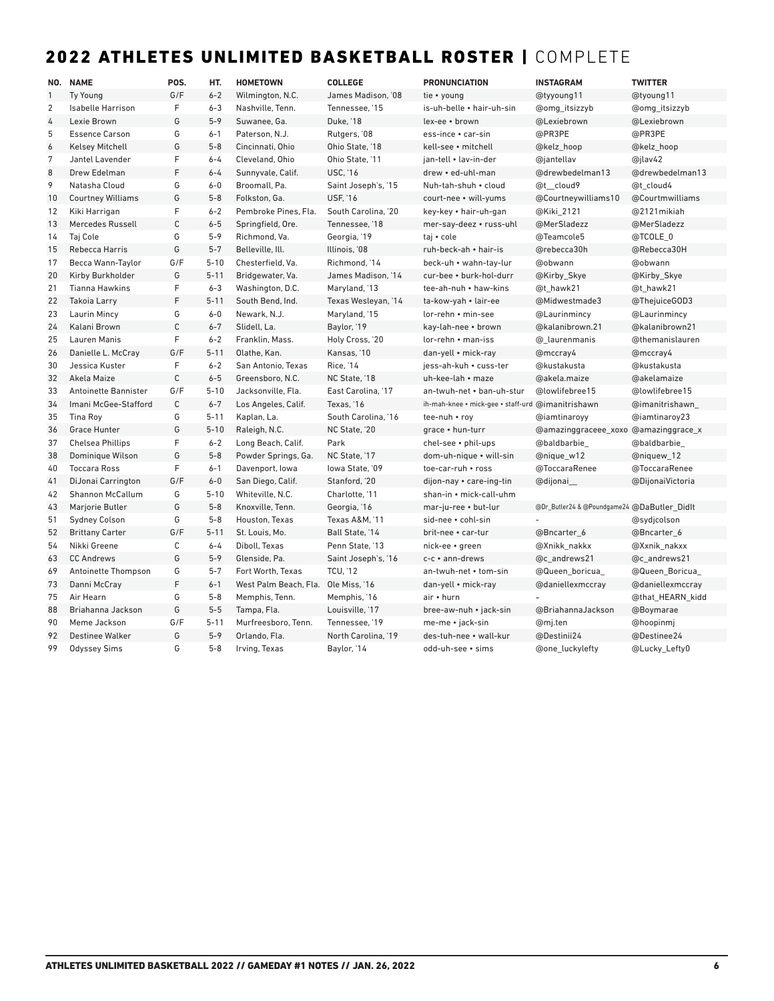# 2022 ATHLETES UNLIMITED BASKETBALL ROSTER | COMPLETE

|                | NO. NAME                 | POS.        | HT.      | <b>HOMETOWN</b>       | <b>COLLEGE</b>      | <b>PRONUNCIATION</b>               | <b>INSTAGRAM</b>                            | <b>TWITTER</b>   |
|----------------|--------------------------|-------------|----------|-----------------------|---------------------|------------------------------------|---------------------------------------------|------------------|
| $\mathbf{1}$   | <b>Ty Young</b>          | G/F         | $6 - 2$  | Wilmington, N.C.      | James Madison. '08  | tie • young                        | @tyyoung11                                  | @tyoung11        |
| $\overline{2}$ | <b>Isabelle Harrison</b> | F           | $6 - 3$  | Nashville, Tenn.      | Tennessee. '15      | is-uh-belle • hair-uh-sin          | @omg_itsizzyb                               | @omg itsizzyb    |
| 4              | Lexie Brown              | G           | $5 - 9$  | Suwanee, Ga.          | Duke, '18           | lex-ee · brown                     | @Lexiebrown                                 | @Lexiebrown      |
| 5              | <b>Essence Carson</b>    | G           | $6 - 1$  | Paterson, N.J.        | Rutgers, '08        | ess-ince • car-sin                 | @PR3PE                                      | @PR3PE           |
| 6              | <b>Kelsey Mitchell</b>   | G           | $5 - 8$  | Cincinnati, Ohio      | Ohio State, '18     | kell-see · mitchell                | @kelz_hoop                                  | @kelz_hoop       |
| 7              | Jantel Lavender          | F           | $6 - 4$  | Cleveland, Ohio       | Ohio State. '11     | ian-tell • lav-in-der              | @jantellav                                  | @jlav42          |
| 8              | Drew Edelman             | F           | $6 - 4$  | Sunnyvale, Calif.     | <b>USC. '16</b>     | drew • ed-uhl-man                  | @drewbedelman13                             | @drewbedelman13  |
| 9              | Natasha Cloud            | G           | $6 - 0$  | Broomall, Pa.         | Saint Joseph's, '15 | Nuh-tah-shuh • cloud               | @t cloud9                                   | @t cloud4        |
| 10             | <b>Courtney Williams</b> | G           | $5 - 8$  | Folkston, Ga.         | <b>USF, '16</b>     | court-nee • will-yums              | @Courtneywilliams10                         | @Courtmwilliams  |
| 12             | Kiki Harrigan            | F           | $6 - 2$  | Pembroke Pines, Fla.  | South Carolina, '20 | key-key • hair-uh-gan              | @Kiki_2121                                  | @2121mikiah      |
| 13             | Mercedes Russell         | $\mathsf C$ | $6 - 5$  | Springfield, Ore.     | Tennessee, '18      | mer-say-deez • russ-uhl            | @MerSladezz                                 | @MerSladezz      |
| 14             | Taj Cole                 | G           | $5 - 9$  | Richmond, Va.         | Georgia, '19        | taj • cole                         | @Teamcole5                                  | @TCOLE 0         |
| 15             | Rebecca Harris           | G           | $5 - 7$  | Belleville, Ill.      | Illinois, '08       | ruh-beck-ah • hair-is              | @rebecca30h                                 | @Rebecca30H      |
| 17             | Becca Wann-Taylor        | G/F         | $5 - 10$ | Chesterfield, Va.     | Richmond, '14       | beck-uh • wahn-tay-lur             | @obwann                                     | @obwann          |
| 20             | Kirby Burkholder         | G           | $5 - 11$ | Bridgewater, Va.      | James Madison, '14  | cur-bee • burk-hol-durr            | @Kirby_Skye                                 | @Kirby_Skye      |
| 21             | <b>Tianna Hawkins</b>    | F           | $6 - 3$  | Washington, D.C.      | Maryland, '13       | tee-ah-nuh • haw-kins              | @t hawk21                                   | @t_hawk21        |
| 22             | <b>Takoia Larry</b>      | F           | $5 - 11$ | South Bend, Ind.      | Texas Wesleyan, '14 | ta-kow-yah • lair-ee               | @Midwestmade3                               | @ThejuiceGOD3    |
| 23             | Laurin Mincy             | G           | $6-0$    | Newark, N.J.          | Maryland, '15       | lor-rehn • min-see                 | @Laurinmincy                                | @Laurinmincy     |
| 24             | Kalani Brown             | $\mathsf C$ | $6 - 7$  | Slidell, La.          | Baylor, '19         | kay-lah-nee • brown                | @kalanibrown.21                             | @kalanibrown21   |
| 25             | <b>Lauren Manis</b>      | F           | $6 - 2$  | Franklin, Mass.       | Holy Cross, '20     | $lor$ -rehn $\cdot$ man-iss        | @ laurenmanis                               | @themanislauren  |
| 26             | Danielle L. McCray       | G/F         | $5 - 11$ | Olathe, Kan.          | Kansas, '10         | dan-yell • mick-ray                | @mccray4                                    | @mccray4         |
| 30             | Jessica Kuster           | F           | $6 - 2$  | San Antonio, Texas    | <b>Rice, '14</b>    | jess-ah-kuh • cuss-ter             | @kustakusta                                 | @kustakusta      |
| 32             | Akela Maize              | $\mathsf C$ | $6 - 5$  | Greensboro, N.C.      | NC State, '18       | uh-kee-lah • maze                  | @akela.maize                                | @akelamaize      |
| 33             | Antoinette Bannister     | G/F         | $5 - 10$ | Jacksonville, Fla.    | East Carolina, '17  | an-twuh-net • ban-uh-stur          | @lowlifebree15                              | @lowlifebree15   |
| 34             | Imani McGee-Stafford     | $\mathsf C$ | $6 - 7$  | Los Angeles, Calif.   | Texas, '16          | ih-mah-knee • mick-gee • staff-urd | @imanitrishawn                              | @imanitrishawn   |
| 35             | Tina Roy                 | G           | $5 - 11$ | Kaplan, La.           | South Carolina, '16 | tee-nuh • roy                      | @iamtinaroyy                                | @iamtinaroy23    |
| 36             | <b>Grace Hunter</b>      | G           | $5 - 10$ | Raleigh, N.C.         | NC State, '20       | grace . hun-turr                   | @amazinggraceee_xoxo @amazinggrace_x        |                  |
| 37             | <b>Chelsea Phillips</b>  | F           | $6 - 2$  | Long Beach, Calif.    | Park                | chel-see . phil-ups                | @baldbarbie_                                | @baldbarbie_     |
| 38             | Dominique Wilson         | G           | $5 - 8$  | Powder Springs, Ga.   | NC State, '17       | dom-uh-nique • will-sin            | @nique_w12                                  | @niquew_12       |
| 40             | <b>Toccara Ross</b>      | F           | $6 - 1$  | Davenport, Iowa       | lowa State. '09     | toe-car-ruh • ross                 | @ToccaraRenee                               | @ToccaraRenee    |
| 41             | DiJonai Carrington       | G/F         | $6-0$    | San Diego, Calif.     | Stanford, '20       | dijon-nay • care-ing-tin           | @dijonai                                    | @DijonaiVictoria |
| 42             | <b>Shannon McCallum</b>  | G           | $5 - 10$ | Whiteville, N.C.      | Charlotte, '11      | shan-in • mick-call-uhm            |                                             |                  |
| 43             | Marjorie Butler          | G           | $5 - 8$  | Knoxville, Tenn.      | Georgia, '16        | mar-ju-ree • but-lur               | @Dr_Butler24 & @Poundgame24 @DaButler_Didlt |                  |
| 51             | <b>Sydney Colson</b>     | G           | $5 - 8$  | Houston, Texas        | Texas A&M, '11      | sid-nee • cohl-sin                 |                                             | @sydjcolson      |
| 52             | <b>Brittany Carter</b>   | G/F         | $5 - 11$ | St. Louis, Mo.        | Ball State, '14     | brit-nee • car-tur                 | @Bncarter_6                                 | @Bncarter_6      |
| 54             | Nikki Greene             | $\mathsf C$ | $6 - 4$  | Diboll, Texas         | Penn State, '13     | nick-ee • green                    | @Xnikk nakkx                                | @Xxnik nakxx     |
| 63             | <b>CC Andrews</b>        | G           | $5 - 9$  | Glenside, Pa.         | Saint Joseph's, '16 | c-c • ann-drews                    | @c andrews21                                | @c_andrews21     |
| 69             | Antoinette Thompson      | G           | $5 - 7$  | Fort Worth, Texas     | <b>TCU, '12</b>     | an-twuh-net • tom-sin              | @Queen_boricua_                             | @Queen_Boricua_  |
| 73             | Danni McCray             | F           | $6 - 1$  | West Palm Beach, Fla. | Ole Miss, '16       | dan-yell • mick-ray                | @daniellexmccray                            | @daniellexmccray |
| 75             | Air Hearn                | G           | $5 - 8$  | Memphis, Tenn.        | Memphis, '16        | air • hurn                         |                                             | @that_HEARN_kidd |
| 88             | Briahanna Jackson        | G           | $5 - 5$  | Tampa, Fla.           | Louisville, '17     | bree-aw-nuh • jack-sin             | @BriahannaJackson                           | @Boymarae        |
| 90             | Meme Jackson             | G/F         | $5 - 11$ | Murfreesboro. Tenn.   | Tennessee. '19      | me-me • jack-sin                   | @mj.ten                                     | @hoopinmi        |
| 92             | <b>Destinee Walker</b>   | G           | $5 - 9$  | Orlando, Fla.         | North Carolina, '19 | des-tuh-nee • wall-kur             | @Destinii24                                 | @Destinee24      |
| 99             | <b>Odyssey Sims</b>      | G           | $5 - 8$  | Irving, Texas         | Baylor, '14         | odd-uh-see • sims                  | @one_luckylefty                             | @Lucky_Lefty0    |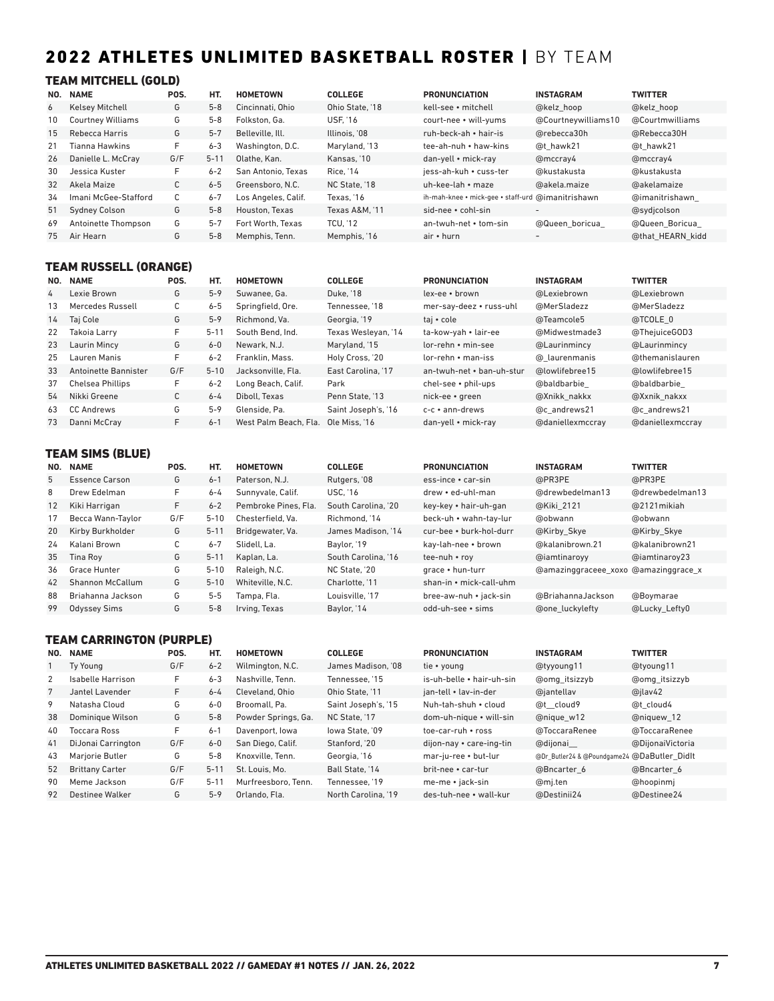# 2022 ATHLETES UNLIMITED BASKETBALL ROSTER | BY TEAM

### TEAM MITCHELL (GOLD)

| NO. | <b>NAME</b>              | POS. | HT.      | <b>HOMETOWN</b>     | <b>COLLEGE</b>  | <b>PRONUNCIATION</b>                              | <b>INSTAGRAM</b>         | <b>TWITTER</b>   |
|-----|--------------------------|------|----------|---------------------|-----------------|---------------------------------------------------|--------------------------|------------------|
| 6   | <b>Kelsey Mitchell</b>   | G    | $5 - 8$  | Cincinnati, Ohio    | Ohio State, '18 | kell-see • mitchell                               | @kelz hoop               | @kelz hoop       |
| 10  | <b>Courtney Williams</b> | G    | $5 - 8$  | Folkston, Ga.       | <b>USF. '16</b> | court-nee • will-yums                             | @Courtneywilliams10      | @Courtmwilliams  |
| 15  | Rebecca Harris           | G    | $5 - 7$  | Belleville, Ill.    | Illinois, '08   | ruh-beck-ah • hair-is                             | @rebecca30h              | @Rebecca30H      |
| 21  | <b>Tianna Hawkins</b>    | F    | $6 - 3$  | Washington, D.C.    | Maryland, '13   | tee-ah-nuh • haw-kins                             | @t hawk21                | @t hawk21        |
| 26  | Danielle L. McCray       | G/F  | $5 - 11$ | Olathe, Kan.        | Kansas, '10     | dan-yell • mick-ray                               | @mccray4                 | @mccray4         |
| 30  | Jessica Kuster           | F    | $6 - 2$  | San Antonio. Texas  | Rice, '14       | iess-ah-kuh • cuss-ter                            | @kustakusta              | @kustakusta      |
| 32  | Akela Maize              | C    | $6 - 5$  | Greensboro, N.C.    | NC State, '18   | uh-kee-lah • maze                                 | @akela.maize             | @akelamaize      |
| 34  | Imani McGee-Stafford     | C    | $6 - 7$  | Los Angeles, Calif. | Texas. '16      | ih-mah-knee • mick-gee • staff-urd @imanitrishawn |                          | @imanitrishawn   |
| 51  | <b>Sydney Colson</b>     | G    | $5 - 8$  | Houston, Texas      | Texas A&M. '11  | sid-nee • cohl-sin                                | $\overline{\phantom{a}}$ | @sydicolson      |
| 69  | Antoinette Thompson      | G    | $5 - 7$  | Fort Worth, Texas   | <b>TCU. '12</b> | an-twuh-net • tom-sin                             | @Queen boricua           | @Queen Boricua   |
| 75  | Air Hearn                | G    | $5 - 8$  | Memphis, Tenn.      | Memphis, '16    | air • hurn                                        | $\overline{\phantom{a}}$ | @that HEARN kidd |

### TEAM RUSSELL (ORANGE)

| NO. | <b>NAME</b>          | POS. | HT.      | <b>HOMETOWN</b>       | <b>COLLEGE</b>      | <b>PRONUNCIATION</b>        | <b>INSTAGRAM</b> | <b>TWITTER</b>   |
|-----|----------------------|------|----------|-----------------------|---------------------|-----------------------------|------------------|------------------|
| 4   | Lexie Brown          | G    | $5 - 9$  | Suwanee, Ga.          | Duke, '18           | lex-ee • brown              | @Lexiebrown      | @Lexiebrown      |
| 13  | Mercedes Russell     | C    | $6 - 5$  | Springfield, Ore.     | Tennessee. '18      | mer-say-deez • russ-uhl     | @MerSladezz      | @MerSladezz      |
| 14  | Taj Cole             | G    | $5 - 9$  | Richmond, Va.         | Georgia, '19        | taj • cole                  | @Teamcole5       | @TCOLE 0         |
| 22  | Takoia Larry         | F.   | $5 - 11$ | South Bend, Ind.      | Texas Wesleyan, '14 | ta-kow-yah • lair-ee        | @Midwestmade3    | @ThejuiceGOD3    |
| 23  | Laurin Mincy         | G    | $6 - 0$  | Newark, N.J.          | Maryland, '15       | lor-rehn • min-see          | @Laurinmincy     | @Laurinmincy     |
| 25  | Lauren Manis         | F.   | $6 - 2$  | Franklin, Mass.       | Holy Cross, '20     | $lor$ -rehn $\cdot$ man-iss | @ laurenmanis    | @themanislauren  |
| 33  | Antoinette Bannister | G/F  | $5 - 10$ | Jacksonville, Fla.    | East Carolina. '17  | an-twuh-net • ban-uh-stur   | @lowlifebree15   | @lowlifebree15   |
| 37  | Chelsea Phillips     | F.   | $6 - 2$  | Long Beach, Calif.    | Park                | chel-see • phil-ups         | @baldbarbie      | @baldbarbie      |
| 54  | Nikki Greene         | C    | $6 - 4$  | Diboll, Texas         | Penn State, '13     | nick-ee • green             | @Xnikk nakkx     | @Xxnik nakxx     |
| 63  | CC Andrews           | G    | $5 - 9$  | Glenside, Pa.         | Saint Joseph's, '16 | c-c • ann-drews             | @c andrews21     | @c andrews21     |
| 73  | Danni McCray         | F.   | $6 - 1$  | West Palm Beach, Fla. | Ole Miss. '16       | dan-yell • mick-ray         | @daniellexmccrav | @daniellexmccray |

### TEAM SIMS (BLUE)

| NO.               | <b>NAME</b>         | POS. | HT.      | <b>HOMETOWN</b>      | <b>COLLEGE</b>      | <b>PRONUNCIATION</b>    | <b>INSTAGRAM</b>                     | <b>TWITTER</b>  |
|-------------------|---------------------|------|----------|----------------------|---------------------|-------------------------|--------------------------------------|-----------------|
| 5                 | Essence Carson      | G    | $6 - 1$  | Paterson, N.J.       | Rutgers, '08        | ess-ince • car-sin      | @PR3PE                               | @PR3PE          |
| 8                 | Drew Edelman        | F    | $6 - 4$  | Sunnyvale, Calif.    | <b>USC. '16</b>     | drew • ed-uhl-man       | @drewbedelman13                      | @drewbedelman13 |
| $12 \overline{ }$ | Kiki Harrigan       | F.   | $6 - 2$  | Pembroke Pines, Fla. | South Carolina. '20 | key-key • hair-uh-gan   | @Kiki 2121                           | @2121 mikiah    |
| 17                | Becca Wann-Taylor   | G/F  | $5 - 10$ | Chesterfield. Va.    | Richmond, '14       | beck-uh • wahn-tay-lur  | @obwann                              | @obwann         |
| 20                | Kirby Burkholder    | G    | $5 - 11$ | Bridgewater, Va.     | James Madison, '14  | cur-bee • burk-hol-durr | @Kirby Skye                          | @Kirby Skye     |
| 24                | Kalani Brown        | С    | $6 - 7$  | Slidell, La.         | Baylor, '19         | kay-lah-nee • brown     | @kalanibrown.21                      | @kalanibrown21  |
| 35                | Tina Rov            | G    | $5 - 11$ | Kaplan, La.          | South Carolina. '16 | tee-nuh • rov           | @iamtinarovy                         | @iamtinaroy23   |
| 36                | Grace Hunter        | G    | $5 - 10$ | Raleigh, N.C.        | NC State, '20       | grace • hun-turr        | @amazinggraceee_xoxo @amazinggrace_x |                 |
| 42                | Shannon McCallum    | G    | $5 - 10$ | Whiteville, N.C.     | Charlotte. '11      | shan-in • mick-call-uhm |                                      |                 |
| 88                | Briahanna Jackson   | G    | $5 - 5$  | Tampa, Fla.          | Louisville. '17     | bree-aw-nuh • jack-sin  | @BriahannaJackson                    | @Boymarae       |
| 99                | <b>Odyssey Sims</b> | G    | $5 - 8$  | Irving, Texas        | Baylor, '14         | odd-uh-see • sims       | <b>@one luckylefty</b>               | @Lucky Lefty0   |

### TEAM CARRINGTON (PURPLE)

| NO. | <b>NAME</b>            | POS. | HT.      | <b>HOMETOWN</b>     | <b>COLLEGE</b>      | <b>PRONUNCIATION</b>      | <b>INSTAGRAM</b>                            | <b>TWITTER</b>   |
|-----|------------------------|------|----------|---------------------|---------------------|---------------------------|---------------------------------------------|------------------|
|     | Ty Young               | G/F  | $6 - 2$  | Wilmington, N.C.    | James Madison, '08  | tie • young               | @tyyoung11                                  | @tyoung11        |
| 2   | Isabelle Harrison      | F.   | $6 - 3$  | Nashville, Tenn.    | Tennessee, '15      | is-uh-belle • hair-uh-sin | @omg itsizzyb                               | @omg itsizzyb    |
|     | Jantel Lavender        | F.   | $6 - 4$  | Cleveland, Ohio     | Ohio State. '11     | ian-tell • lav-in-der     | @iantellav                                  | @jlav42          |
| 9   | Natasha Cloud          | G    | $6-0$    | Broomall. Pa.       | Saint Joseph's, '15 | Nuh-tah-shuh • cloud      | @t cloud9                                   | @t cloud4        |
| 38  | Dominique Wilson       | G    | $5 - 8$  | Powder Springs, Ga. | NC State. '17       | dom-uh-nique • will-sin   | @nique w12                                  | @niguew 12       |
| 40  | Toccara Ross           | F.   | $6 - 1$  | Davenport, lowa     | lowa State, '09     | toe-car-ruh • ross        | @ToccaraRenee                               | @ToccaraRenee    |
| 41  | DiJonai Carrington     | G/F  | $6 - 0$  | San Diego, Calif.   | Stanford, '20       | dijon-nay • care-ing-tin  | @dijonai                                    | @DijonaiVictoria |
| 43  | <b>Mariorie Butler</b> | G    | $5 - 8$  | Knoxville, Tenn.    | Georgia, '16        | mar-ju-ree • but-lur      | @Dr_Butler24 & @Poundgame24 @DaButler Didlt |                  |
| 52  | <b>Brittany Carter</b> | G/F  | $5 - 11$ | St. Louis, Mo.      | Ball State, '14     | brit-nee • car-tur        | @Bncarter 6                                 | @Bncarter 6      |
| 90  | Meme Jackson           | G/F  | $5 - 1$  | Murfreesboro. Tenn. | Tennessee. '19      | me-me • jack-sin          | @mj.ten                                     | @hoopinmi        |
| 92  | Destinee Walker        | G    | $5 - 9$  | Orlando, Fla.       | North Carolina. '19 | des-tuh-nee • wall-kur    | @Destinii24                                 | @Destinee24      |
|     |                        |      |          |                     |                     |                           |                                             |                  |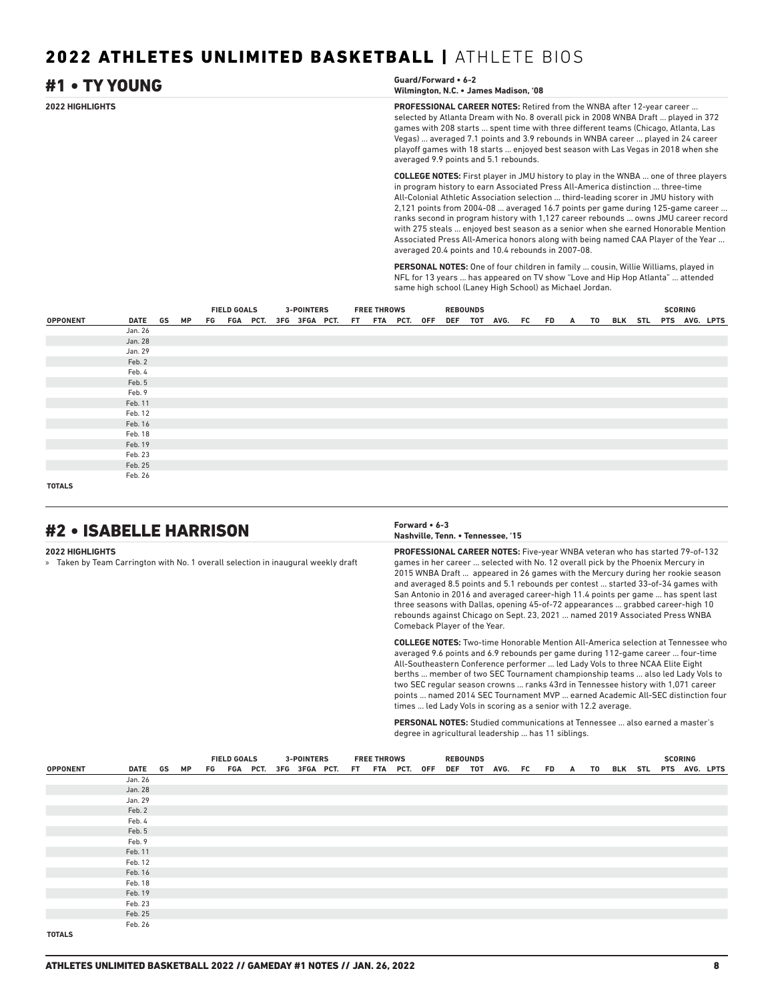| #1 • TY YOUNG   | Guard/Forward • 6-2<br>Wilmington, N.C. • James Madison, '08                                                                                                                                                                                                                                                                                                                                                                                                                 |
|-----------------|------------------------------------------------------------------------------------------------------------------------------------------------------------------------------------------------------------------------------------------------------------------------------------------------------------------------------------------------------------------------------------------------------------------------------------------------------------------------------|
| 2022 HIGHLIGHTS | <b>PROFESSIONAL CAREER NOTES:</b> Retired from the WNBA after 12-year career<br>selected by Atlanta Dream with No. 8 overall pick in 2008 WNBA Draft  played in 372<br>games with 208 starts  spent time with three different teams (Chicago, Atlanta, Las<br>Vegas)  averaged 7.1 points and 3.9 rebounds in WNBA career  played in 24 career<br>playoff games with 18 starts  enjoyed best season with Las Vegas in 2018 when she<br>averaged 9.9 points and 5.1 rebounds. |
|                 | <b>COLLEGE NOTES:</b> First player in JMU history to play in the WNBA  one of three players<br>in program history to earn Associated Press All-America distinction  three-time<br>All-Colonial Athletic Association selection  third-leading scorer in JMU history with<br>2.121 points from 2004-08 systemed 16.7 points per game during 125-game sareer                                                                                                                    |

 $s$  from 2004-08 ... averaged 16.7 points per game during 12 $\overline{\phantom{a}}$ ranks second in program history with 1,127 career rebounds ... owns JMU career record with 275 steals ... enjoyed best season as a senior when she earned Honorable Mention Associated Press All-America honors along with being named CAA Player of the Year ... averaged 20.4 points and 10.4 rebounds in 2007-08.

**PERSONAL NOTES:** One of four children in family ... cousin, Willie Williams, played in NFL for 13 years ... has appeared on TV show "Love and Hip Hop Atlanta" ... attended same high school (Laney High School) as Michael Jordan.

|                 |            |  | <b>FIELD GOALS</b> |  |  | <b>3-POINTERS</b> |  | <b>FREE THROWS</b>                        |  | <b>REBOUNDS</b> |  |                                               |  |  | <b>SCORING</b> |  |  |
|-----------------|------------|--|--------------------|--|--|-------------------|--|-------------------------------------------|--|-----------------|--|-----------------------------------------------|--|--|----------------|--|--|
| <b>OPPONENT</b> | DATE GS MP |  |                    |  |  |                   |  | FG FGA PCT. 3FG 3FGA PCT. FT FTA PCT. OFF |  |                 |  | DEF TOT AVG. FC FD A TO BLK STL PTS AVG. LPTS |  |  |                |  |  |
|                 | Jan. 26    |  |                    |  |  |                   |  |                                           |  |                 |  |                                               |  |  |                |  |  |
|                 | Jan. 28    |  |                    |  |  |                   |  |                                           |  |                 |  |                                               |  |  |                |  |  |
|                 | Jan. 29    |  |                    |  |  |                   |  |                                           |  |                 |  |                                               |  |  |                |  |  |
|                 | Feb. 2     |  |                    |  |  |                   |  |                                           |  |                 |  |                                               |  |  |                |  |  |
|                 | Feb. 4     |  |                    |  |  |                   |  |                                           |  |                 |  |                                               |  |  |                |  |  |
|                 | Feb. 5     |  |                    |  |  |                   |  |                                           |  |                 |  |                                               |  |  |                |  |  |
|                 | Feb. 9     |  |                    |  |  |                   |  |                                           |  |                 |  |                                               |  |  |                |  |  |
|                 | Feb. 11    |  |                    |  |  |                   |  |                                           |  |                 |  |                                               |  |  |                |  |  |
|                 | Feb. 12    |  |                    |  |  |                   |  |                                           |  |                 |  |                                               |  |  |                |  |  |
|                 | Feb. 16    |  |                    |  |  |                   |  |                                           |  |                 |  |                                               |  |  |                |  |  |
|                 | Feb. 18    |  |                    |  |  |                   |  |                                           |  |                 |  |                                               |  |  |                |  |  |
|                 | Feb. 19    |  |                    |  |  |                   |  |                                           |  |                 |  |                                               |  |  |                |  |  |
|                 | Feb. 23    |  |                    |  |  |                   |  |                                           |  |                 |  |                                               |  |  |                |  |  |
|                 | Feb. 25    |  |                    |  |  |                   |  |                                           |  |                 |  |                                               |  |  |                |  |  |
|                 | Feb. 26    |  |                    |  |  |                   |  |                                           |  |                 |  |                                               |  |  |                |  |  |
| <b>TOTALS</b>   |            |  |                    |  |  |                   |  |                                           |  |                 |  |                                               |  |  |                |  |  |

# #2 • ISABELLE HARRISON **Forward • 6-3**

### **2022 HIGHLIGHTS**

» Taken by Team Carrington with No. 1 overall selection in inaugural weekly draft

# **Nashville, Tenn. • Tennessee, '15**

**PROFESSIONAL CAREER NOTES:** Five-year WNBA veteran who has started 79-of-132 games in her career ... selected with No. 12 overall pick by the Phoenix Mercury in 2015 WNBA Draft ... appeared in 26 games with the Mercury during her rookie season and averaged 8.5 points and 5.1 rebounds per contest ... started 33-of-34 games with San Antonio in 2016 and averaged career-high 11.4 points per game ... has spent last three seasons with Dallas, opening 45-of-72 appearances ... grabbed career-high 10 rebounds against Chicago on Sept. 23, 2021 ... named 2019 Associated Press WNBA Comeback Player of the Year.

**COLLEGE NOTES:** Two-time Honorable Mention All-America selection at Tennessee who averaged 9.6 points and 6.9 rebounds per game during 112-game career ... four-time All-Southeastern Conference performer ... led Lady Vols to three NCAA Elite Eight berths ... member of two SEC Tournament championship teams ... also led Lady Vols to two SEC regular season crowns ... ranks 43rd in Tennessee history with 1,071 career points ... named 2014 SEC Tournament MVP ... earned Academic All-SEC distinction four times ... led Lady Vols in scoring as a senior with 12.2 average.

**PERSONAL NOTES:** Studied communications at Tennessee ... also earned a master's degree in agricultural leadership ... has 11 siblings.

|                 |         |    | <b>FIELD GOALS</b> |                                           |  | <b>3-POINTERS</b> |  | <b>FREE THROWS</b> |  | <b>REBOUNDS</b> |                    |  |   |    |                       |  | <b>SCORING</b> |  |
|-----------------|---------|----|--------------------|-------------------------------------------|--|-------------------|--|--------------------|--|-----------------|--------------------|--|---|----|-----------------------|--|----------------|--|
| <b>OPPONENT</b> | DATE GS | MP |                    | FG FGA PCT. 3FG 3FGA PCT. FT FTA PCT. OFF |  |                   |  |                    |  |                 | DEF TOT AVG. FC FD |  | A | TO | BLK STL PTS AVG. LPTS |  |                |  |
|                 | Jan. 26 |    |                    |                                           |  |                   |  |                    |  |                 |                    |  |   |    |                       |  |                |  |
|                 | Jan. 28 |    |                    |                                           |  |                   |  |                    |  |                 |                    |  |   |    |                       |  |                |  |
|                 | Jan. 29 |    |                    |                                           |  |                   |  |                    |  |                 |                    |  |   |    |                       |  |                |  |
|                 | Feb. 2  |    |                    |                                           |  |                   |  |                    |  |                 |                    |  |   |    |                       |  |                |  |
|                 | Feb. 4  |    |                    |                                           |  |                   |  |                    |  |                 |                    |  |   |    |                       |  |                |  |
|                 | Feb. 5  |    |                    |                                           |  |                   |  |                    |  |                 |                    |  |   |    |                       |  |                |  |
|                 | Feb. 9  |    |                    |                                           |  |                   |  |                    |  |                 |                    |  |   |    |                       |  |                |  |
|                 | Feb. 11 |    |                    |                                           |  |                   |  |                    |  |                 |                    |  |   |    |                       |  |                |  |
|                 | Feb. 12 |    |                    |                                           |  |                   |  |                    |  |                 |                    |  |   |    |                       |  |                |  |
|                 | Feb. 16 |    |                    |                                           |  |                   |  |                    |  |                 |                    |  |   |    |                       |  |                |  |
|                 | Feb. 18 |    |                    |                                           |  |                   |  |                    |  |                 |                    |  |   |    |                       |  |                |  |
|                 | Feb. 19 |    |                    |                                           |  |                   |  |                    |  |                 |                    |  |   |    |                       |  |                |  |
|                 | Feb. 23 |    |                    |                                           |  |                   |  |                    |  |                 |                    |  |   |    |                       |  |                |  |
|                 | Feb. 25 |    |                    |                                           |  |                   |  |                    |  |                 |                    |  |   |    |                       |  |                |  |
|                 | Feb. 26 |    |                    |                                           |  |                   |  |                    |  |                 |                    |  |   |    |                       |  |                |  |
| <b>TOTALS</b>   |         |    |                    |                                           |  |                   |  |                    |  |                 |                    |  |   |    |                       |  |                |  |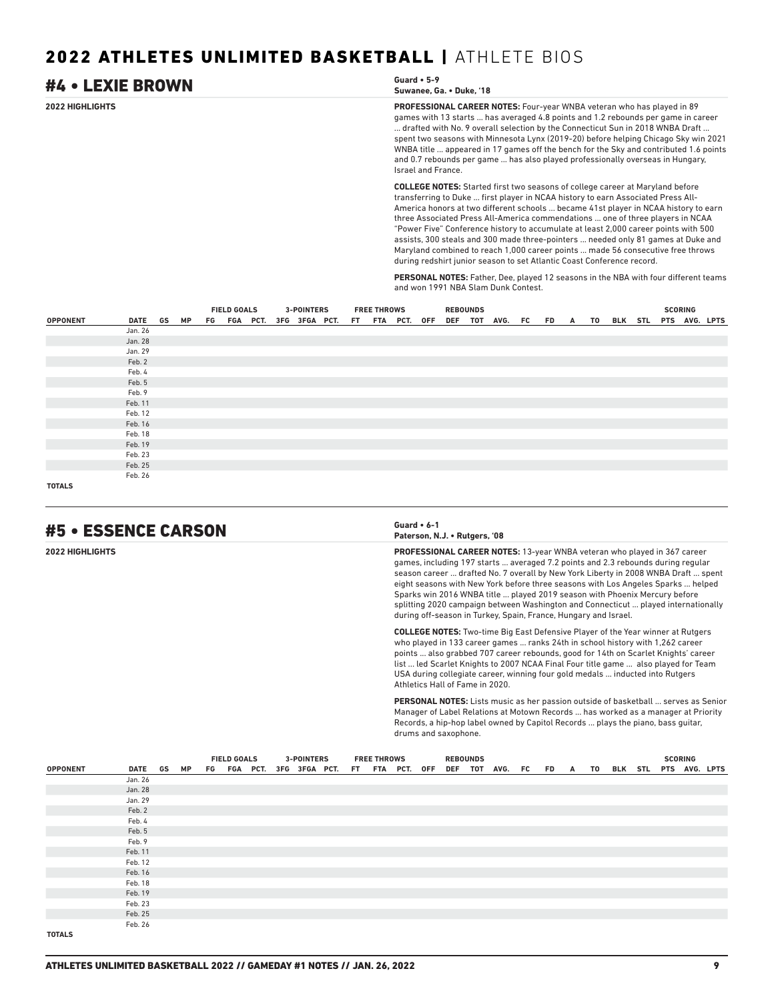| #4 • LEXIE BROWN | Guard $\cdot$ 5-9<br>Suwanee, Ga. • Duke, '18                                                                                                                                                                                                                                                                                                                                                                                                                                                                                                                                                                                                                                              |
|------------------|--------------------------------------------------------------------------------------------------------------------------------------------------------------------------------------------------------------------------------------------------------------------------------------------------------------------------------------------------------------------------------------------------------------------------------------------------------------------------------------------------------------------------------------------------------------------------------------------------------------------------------------------------------------------------------------------|
| 2022 HIGHLIGHTS  | <b>PROFESSIONAL CAREER NOTES:</b> Four-year WNBA veteran who has played in 89<br>games with 13 starts  has averaged 4.8 points and 1.2 rebounds per game in career<br>drafted with No. 9 overall selection by the Connecticut Sun in 2018 WNBA Draft<br>spent two seasons with Minnesota Lynx (2019-20) before helping Chicago Sky win 2021<br>WNBA title  appeared in 17 games off the bench for the Sky and contributed 1.6 points<br>and 0.7 rebounds per game  has also played professionally overseas in Hungary,<br>Israel and France.                                                                                                                                               |
|                  | <b>COLLEGE NOTES:</b> Started first two seasons of college career at Maryland before<br>transferring to Duke  first player in NCAA history to earn Associated Press All-<br>America honors at two different schools  became 41st player in NCAA history to earn<br>three Associated Press All-America commendations  one of three players in NCAA<br>"Power Five" Conference history to accumulate at least 2,000 career points with 500<br>assists, 300 steals and 300 made three-pointers  needed only 81 games at Duke and<br>Maryland combined to reach 1,000 career points  made 56 consecutive free throws<br>during redshirt junior season to set Atlantic Coast Conference record. |

**PERSONAL NOTES:** Father, Dee, played 12 seasons in the NBA with four different teams and won 1991 NBA Slam Dunk Contest.

|                 |         |           | <b>FIELD GOALS</b> |  |  | <b>3-POINTERS</b> |                                           | <b>FREE THROWS</b> |  | <b>REBOUNDS</b> |                                               |  |  |  | <b>SCORING</b> |  |
|-----------------|---------|-----------|--------------------|--|--|-------------------|-------------------------------------------|--------------------|--|-----------------|-----------------------------------------------|--|--|--|----------------|--|
| <b>OPPONENT</b> | DATE GS | <b>MP</b> |                    |  |  |                   | FG FGA PCT. 3FG 3FGA PCT. FT FTA PCT. OFF |                    |  |                 | DEF TOT AVG. FC FD A TO BLK STL PTS AVG. LPTS |  |  |  |                |  |
|                 | Jan. 26 |           |                    |  |  |                   |                                           |                    |  |                 |                                               |  |  |  |                |  |
|                 | Jan. 28 |           |                    |  |  |                   |                                           |                    |  |                 |                                               |  |  |  |                |  |
|                 | Jan. 29 |           |                    |  |  |                   |                                           |                    |  |                 |                                               |  |  |  |                |  |
|                 | Feb. 2  |           |                    |  |  |                   |                                           |                    |  |                 |                                               |  |  |  |                |  |
|                 | Feb. 4  |           |                    |  |  |                   |                                           |                    |  |                 |                                               |  |  |  |                |  |
|                 | Feb. 5  |           |                    |  |  |                   |                                           |                    |  |                 |                                               |  |  |  |                |  |
|                 | Feb. 9  |           |                    |  |  |                   |                                           |                    |  |                 |                                               |  |  |  |                |  |
|                 | Feb. 11 |           |                    |  |  |                   |                                           |                    |  |                 |                                               |  |  |  |                |  |
|                 | Feb. 12 |           |                    |  |  |                   |                                           |                    |  |                 |                                               |  |  |  |                |  |
|                 | Feb. 16 |           |                    |  |  |                   |                                           |                    |  |                 |                                               |  |  |  |                |  |
|                 | Feb. 18 |           |                    |  |  |                   |                                           |                    |  |                 |                                               |  |  |  |                |  |
|                 | Feb. 19 |           |                    |  |  |                   |                                           |                    |  |                 |                                               |  |  |  |                |  |
|                 | Feb. 23 |           |                    |  |  |                   |                                           |                    |  |                 |                                               |  |  |  |                |  |
|                 | Feb. 25 |           |                    |  |  |                   |                                           |                    |  |                 |                                               |  |  |  |                |  |
|                 | Feb. 26 |           |                    |  |  |                   |                                           |                    |  |                 |                                               |  |  |  |                |  |
| <b>TOTALS</b>   |         |           |                    |  |  |                   |                                           |                    |  |                 |                                               |  |  |  |                |  |

### #5 • ESSENCE CARSON **Guard • 6-1**

| Guard $\cdot$ 6-1             |  |
|-------------------------------|--|
| Paterson, N.J. • Rutgers, '08 |  |

**2022 HIGHLIGHTS PROFESSIONAL CAREER NOTES:** 13-year WNBA veteran who played in 367 career games, including 197 starts ... averaged 7.2 points and 2.3 rebounds during regular season career ... drafted No. 7 overall by New York Liberty in 2008 WNBA Draft ... spent eight seasons with New York before three seasons with Los Angeles Sparks ... helped Sparks win 2016 WNBA title ... played 2019 season with Phoenix Mercury before splitting 2020 campaign between Washington and Connecticut ... played internationally during off-season in Turkey, Spain, France, Hungary and Israel.

> **COLLEGE NOTES:** Two-time Big East Defensive Player of the Year winner at Rutgers who played in 133 career games ... ranks 24th in school history with 1,262 career points ... also grabbed 707 career rebounds, good for 14th on Scarlet Knights' career list ... led Scarlet Knights to 2007 NCAA Final Four title game ... also played for Team USA during collegiate career, winning four gold medals ... inducted into Rutgers Athletics Hall of Fame in 2020.

**PERSONAL NOTES:** Lists music as her passion outside of basketball ... serves as Senior Manager of Label Relations at Motown Records ... has worked as a manager at Priority Records, a hip-hop label owned by Capitol Records ... plays the piano, bass guitar, drums and saxophone.

|                 |            |  | <b>FIELD GOALS</b><br>FG FGA PCT. 3FG 3FGA PCT. FT FTA PCT. OFF |  | <b>3-POINTERS</b> |  | <b>FREE THROWS</b> |  | <b>REBOUNDS</b> |  |                                               |  |  | <b>SCORING</b> |  |  |
|-----------------|------------|--|-----------------------------------------------------------------|--|-------------------|--|--------------------|--|-----------------|--|-----------------------------------------------|--|--|----------------|--|--|
| <b>OPPONENT</b> | DATE GS MP |  |                                                                 |  |                   |  |                    |  |                 |  | DEF TOT AVG. FC FD A TO BLK STL PTS AVG. LPTS |  |  |                |  |  |
|                 | Jan. 26    |  |                                                                 |  |                   |  |                    |  |                 |  |                                               |  |  |                |  |  |
|                 | Jan. 28    |  |                                                                 |  |                   |  |                    |  |                 |  |                                               |  |  |                |  |  |
|                 | Jan. 29    |  |                                                                 |  |                   |  |                    |  |                 |  |                                               |  |  |                |  |  |
|                 | Feb. 2     |  |                                                                 |  |                   |  |                    |  |                 |  |                                               |  |  |                |  |  |
|                 | Feb. 4     |  |                                                                 |  |                   |  |                    |  |                 |  |                                               |  |  |                |  |  |
|                 | Feb. 5     |  |                                                                 |  |                   |  |                    |  |                 |  |                                               |  |  |                |  |  |
|                 | Feb. 9     |  |                                                                 |  |                   |  |                    |  |                 |  |                                               |  |  |                |  |  |
|                 | Feb. 11    |  |                                                                 |  |                   |  |                    |  |                 |  |                                               |  |  |                |  |  |
|                 | Feb. 12    |  |                                                                 |  |                   |  |                    |  |                 |  |                                               |  |  |                |  |  |
|                 | Feb. 16    |  |                                                                 |  |                   |  |                    |  |                 |  |                                               |  |  |                |  |  |
|                 | Feb. 18    |  |                                                                 |  |                   |  |                    |  |                 |  |                                               |  |  |                |  |  |
|                 | Feb. 19    |  |                                                                 |  |                   |  |                    |  |                 |  |                                               |  |  |                |  |  |
|                 | Feb. 23    |  |                                                                 |  |                   |  |                    |  |                 |  |                                               |  |  |                |  |  |
|                 | Feb. 25    |  |                                                                 |  |                   |  |                    |  |                 |  |                                               |  |  |                |  |  |
|                 | Feb. 26    |  |                                                                 |  |                   |  |                    |  |                 |  |                                               |  |  |                |  |  |
| <b>TOTALS</b>   |            |  |                                                                 |  |                   |  |                    |  |                 |  |                                               |  |  |                |  |  |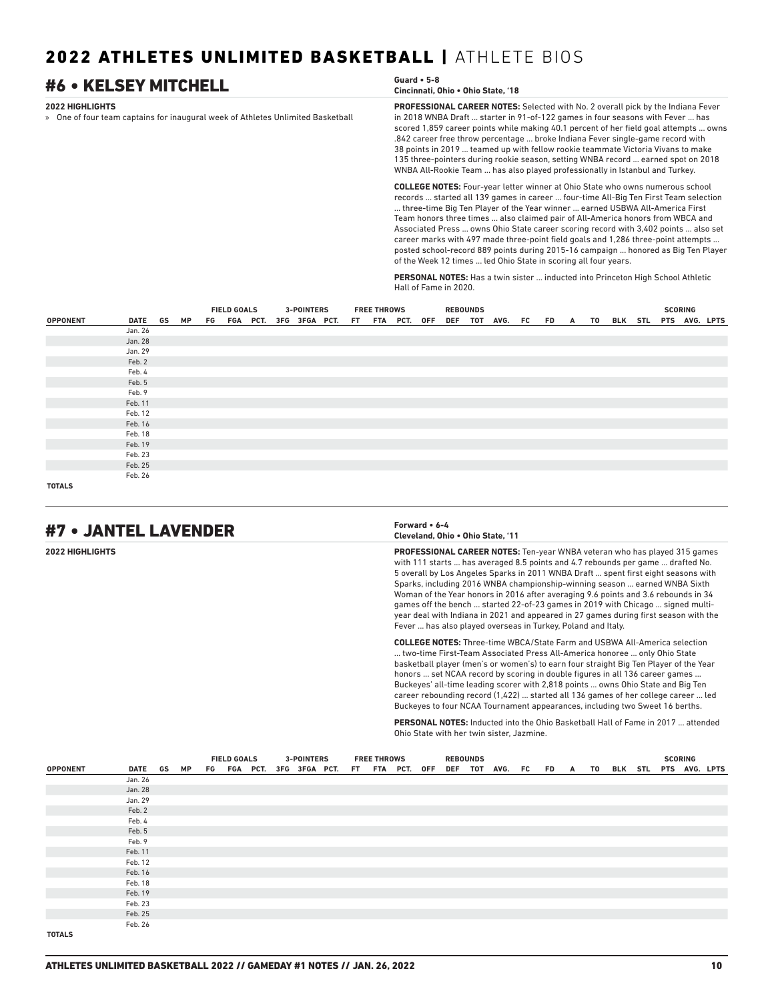### **2022 HIGHLIGHTS** » One of four team captains for inaugural week of Athletes Unlimited Basketball **PROFESSIONAL CAREER NOTES:** Selected with No. 2 overall pick by the Indiana Fever in 2018 WNBA Draft ... starter in 91-of-122 games in four seasons with Fever ... has scored 1,859 career points while making 40.1 percent of her field goal attempts ... owns .842 career free throw percentage ... broke Indiana Fever single-game record with 38 points in 2019 ... teamed up with fellow rookie teammate Victoria Vivans to make 135 three-pointers during rookie season, setting WNBA record ... earned spot on 2018 WNBA All-Rookie Team ... has also played professionally in Istanbul and Turkey. **COLLEGE NOTES:** Four-year letter winner at Ohio State who owns numerous school records ... started all 139 games in career ... four-time All-Big Ten First Team selection ... three-time Big Ten Player of the Year winner ... earned USBWA All-America First Team honors three times ... also claimed pair of All-America honors from WBCA and Associated Press ... owns Ohio State career scoring record with 3,402 points ... also set #6 • KELSEY MITCHELL **Guard • 5-8 Cincinnati, Ohio • Ohio State, '18**

**PERSONAL NOTES:** Has a twin sister ... inducted into Princeton High School Athletic Hall of Fame in 2020.

of the Week 12 times ... led Ohio State in scoring all four years.

career marks with 497 made three-point field goals and 1,286 three-point attempts ... posted school-record 889 points during 2015-16 campaign ... honored as Big Ten Player

|                 |            |  | <b>FIELD GOALS</b> |  | <b>3-POINTERS</b> |                                           | <b>FREE THROWS</b> |  | <b>REBOUNDS</b> |                                               |  |  |  | <b>SCORING</b> |  |
|-----------------|------------|--|--------------------|--|-------------------|-------------------------------------------|--------------------|--|-----------------|-----------------------------------------------|--|--|--|----------------|--|
| <b>OPPONENT</b> | DATE GS MP |  |                    |  |                   | FG FGA PCT. 3FG 3FGA PCT. FT FTA PCT. OFF |                    |  |                 | DEF TOT AVG. FC FD A TO BLK STL PTS AVG. LPTS |  |  |  |                |  |
|                 | Jan. 26    |  |                    |  |                   |                                           |                    |  |                 |                                               |  |  |  |                |  |
|                 | Jan. 28    |  |                    |  |                   |                                           |                    |  |                 |                                               |  |  |  |                |  |
|                 | Jan. 29    |  |                    |  |                   |                                           |                    |  |                 |                                               |  |  |  |                |  |
|                 | Feb. 2     |  |                    |  |                   |                                           |                    |  |                 |                                               |  |  |  |                |  |
|                 | Feb. 4     |  |                    |  |                   |                                           |                    |  |                 |                                               |  |  |  |                |  |
|                 | Feb. 5     |  |                    |  |                   |                                           |                    |  |                 |                                               |  |  |  |                |  |
|                 | Feb. 9     |  |                    |  |                   |                                           |                    |  |                 |                                               |  |  |  |                |  |
|                 | Feb. 11    |  |                    |  |                   |                                           |                    |  |                 |                                               |  |  |  |                |  |
|                 | Feb. 12    |  |                    |  |                   |                                           |                    |  |                 |                                               |  |  |  |                |  |
|                 | Feb. 16    |  |                    |  |                   |                                           |                    |  |                 |                                               |  |  |  |                |  |
|                 | Feb. 18    |  |                    |  |                   |                                           |                    |  |                 |                                               |  |  |  |                |  |
|                 | Feb. 19    |  |                    |  |                   |                                           |                    |  |                 |                                               |  |  |  |                |  |
|                 | Feb. 23    |  |                    |  |                   |                                           |                    |  |                 |                                               |  |  |  |                |  |
|                 | Feb. 25    |  |                    |  |                   |                                           |                    |  |                 |                                               |  |  |  |                |  |
|                 | Feb. 26    |  |                    |  |                   |                                           |                    |  |                 |                                               |  |  |  |                |  |
| <b>TOTALS</b>   |            |  |                    |  |                   |                                           |                    |  |                 |                                               |  |  |  |                |  |

# #7 • JANTEL LAVENDER **Forward • 6-4**

**Cleveland, Ohio • Ohio State, '11**

**2022 HIGHLIGHTS PROFESSIONAL CAREER NOTES:** Ten-year WNBA veteran who has played 315 games with 111 starts ... has averaged 8.5 points and 4.7 rebounds per game ... drafted No. 5 overall by Los Angeles Sparks in 2011 WNBA Draft ... spent first eight seasons with Sparks, including 2016 WNBA championship-winning season ... earned WNBA Sixth Woman of the Year honors in 2016 after averaging 9.6 points and 3.6 rebounds in 34 games off the bench ... started 22-of-23 games in 2019 with Chicago ... signed multiyear deal with Indiana in 2021 and appeared in 27 games during first season with the Fever ... has also played overseas in Turkey, Poland and Italy.

> **COLLEGE NOTES:** Three-time WBCA/State Farm and USBWA All-America selection ... two-time First-Team Associated Press All-America honoree ... only Ohio State basketball player (men's or women's) to earn four straight Big Ten Player of the Year honors ... set NCAA record by scoring in double figures in all 136 career games ... Buckeyes' all-time leading scorer with 2,818 points ... owns Ohio State and Big Ten career rebounding record (1,422) ... started all 136 games of her college career ... led Buckeyes to four NCAA Tournament appearances, including two Sweet 16 berths.

> **PERSONAL NOTES:** Inducted into the Ohio Basketball Hall of Fame in 2017 attended Ohio State with her twin sister, Jazmine.

|                 |            |  | <b>FIELD GOALS</b> |                                           |  | <b>3-POINTERS</b> |  | <b>FREE THROWS</b> |  | <b>REBOUNDS</b> |                    |  |   |    |                       |  | <b>SCORING</b> |  |
|-----------------|------------|--|--------------------|-------------------------------------------|--|-------------------|--|--------------------|--|-----------------|--------------------|--|---|----|-----------------------|--|----------------|--|
| <b>OPPONENT</b> | DATE GS MP |  |                    | FG FGA PCT. 3FG 3FGA PCT. FT FTA PCT. OFF |  |                   |  |                    |  |                 | DEF TOT AVG. FC FD |  | A | TO | BLK STL PTS AVG. LPTS |  |                |  |
|                 | Jan. 26    |  |                    |                                           |  |                   |  |                    |  |                 |                    |  |   |    |                       |  |                |  |
|                 | Jan. 28    |  |                    |                                           |  |                   |  |                    |  |                 |                    |  |   |    |                       |  |                |  |
|                 | Jan. 29    |  |                    |                                           |  |                   |  |                    |  |                 |                    |  |   |    |                       |  |                |  |
|                 | Feb. 2     |  |                    |                                           |  |                   |  |                    |  |                 |                    |  |   |    |                       |  |                |  |
|                 | Feb. 4     |  |                    |                                           |  |                   |  |                    |  |                 |                    |  |   |    |                       |  |                |  |
|                 | Feb. 5     |  |                    |                                           |  |                   |  |                    |  |                 |                    |  |   |    |                       |  |                |  |
|                 | Feb. 9     |  |                    |                                           |  |                   |  |                    |  |                 |                    |  |   |    |                       |  |                |  |
|                 | Feb. 11    |  |                    |                                           |  |                   |  |                    |  |                 |                    |  |   |    |                       |  |                |  |
|                 | Feb. 12    |  |                    |                                           |  |                   |  |                    |  |                 |                    |  |   |    |                       |  |                |  |
|                 | Feb. 16    |  |                    |                                           |  |                   |  |                    |  |                 |                    |  |   |    |                       |  |                |  |
|                 | Feb. 18    |  |                    |                                           |  |                   |  |                    |  |                 |                    |  |   |    |                       |  |                |  |
|                 | Feb. 19    |  |                    |                                           |  |                   |  |                    |  |                 |                    |  |   |    |                       |  |                |  |
|                 | Feb. 23    |  |                    |                                           |  |                   |  |                    |  |                 |                    |  |   |    |                       |  |                |  |
|                 | Feb. 25    |  |                    |                                           |  |                   |  |                    |  |                 |                    |  |   |    |                       |  |                |  |
|                 | Feb. 26    |  |                    |                                           |  |                   |  |                    |  |                 |                    |  |   |    |                       |  |                |  |
| <b>TOTALS</b>   |            |  |                    |                                           |  |                   |  |                    |  |                 |                    |  |   |    |                       |  |                |  |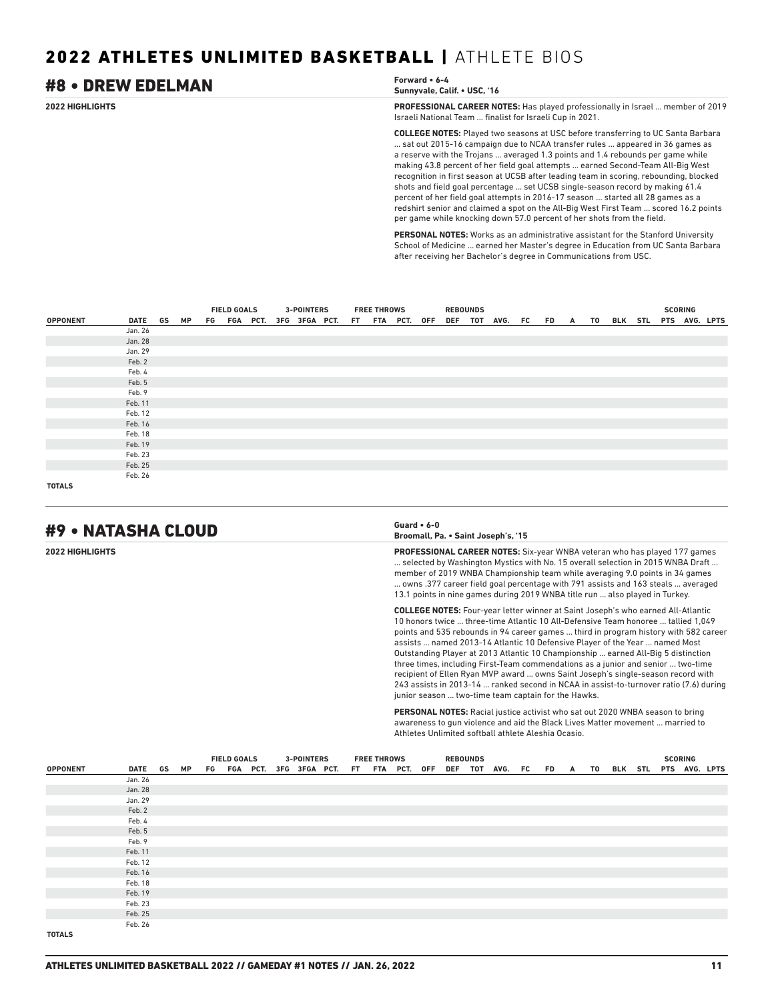### **2022 HIGHLIGHTS PROFESSIONAL CAREER NOTES:** Has played professionally in Israel ... member of 2019 Israeli National Team ... finalist for Israeli Cup in 2021. **COLLEGE NOTES:** Played two seasons at USC before transferring to UC Santa Barbara ... sat out 2015-16 campaign due to NCAA transfer rules ... appeared in 36 games as a reserve with the Trojans ... averaged 1.3 points and 1.4 rebounds per game while making 43.8 percent of her field goal attempts ... earned Second-Team All-Big West recognition in first season at UCSB after leading team in scoring, rebounding, blocked shots and field goal percentage ... set UCSB single-season record by making 61.4 percent of her field goal attempts in 2016-17 season ... started all 28 games as a redshirt senior and claimed a spot on the All-Big West First Team ... scored 16.2 points per game while knocking down 57.0 percent of her shots from the field. #8 • DREW EDELMAN **Forward • 6-4 Sunnyvale, Calif. • USC, '16**

**PERSONAL NOTES:** Works as an administrative assistant for the Stanford University School of Medicine ... earned her Master's degree in Education from UC Santa Barbara after receiving her Bachelor's degree in Communications from USC.

|                 |         |    | <b>FIELD GOALS</b> |  |  | <b>3-POINTERS</b> |                                           | <b>FREE THROWS</b> |  | <b>REBOUNDS</b> |                    |  |                |                          | <b>SCORING</b> |  |
|-----------------|---------|----|--------------------|--|--|-------------------|-------------------------------------------|--------------------|--|-----------------|--------------------|--|----------------|--------------------------|----------------|--|
| <b>OPPONENT</b> | DATE GS | MP |                    |  |  |                   | FG FGA PCT. 3FG 3FGA PCT. FT FTA PCT. OFF |                    |  |                 | DEF TOT AVG. FC FD |  | $\overline{A}$ | TO BLK STL PTS AVG. LPTS |                |  |
|                 | Jan. 26 |    |                    |  |  |                   |                                           |                    |  |                 |                    |  |                |                          |                |  |
|                 | Jan. 28 |    |                    |  |  |                   |                                           |                    |  |                 |                    |  |                |                          |                |  |
|                 | Jan. 29 |    |                    |  |  |                   |                                           |                    |  |                 |                    |  |                |                          |                |  |
|                 | Feb. 2  |    |                    |  |  |                   |                                           |                    |  |                 |                    |  |                |                          |                |  |
|                 | Feb. 4  |    |                    |  |  |                   |                                           |                    |  |                 |                    |  |                |                          |                |  |
|                 | Feb. 5  |    |                    |  |  |                   |                                           |                    |  |                 |                    |  |                |                          |                |  |
|                 | Feb. 9  |    |                    |  |  |                   |                                           |                    |  |                 |                    |  |                |                          |                |  |
|                 | Feb. 11 |    |                    |  |  |                   |                                           |                    |  |                 |                    |  |                |                          |                |  |
|                 | Feb. 12 |    |                    |  |  |                   |                                           |                    |  |                 |                    |  |                |                          |                |  |
|                 | Feb. 16 |    |                    |  |  |                   |                                           |                    |  |                 |                    |  |                |                          |                |  |
|                 | Feb. 18 |    |                    |  |  |                   |                                           |                    |  |                 |                    |  |                |                          |                |  |
|                 | Feb. 19 |    |                    |  |  |                   |                                           |                    |  |                 |                    |  |                |                          |                |  |
|                 | Feb. 23 |    |                    |  |  |                   |                                           |                    |  |                 |                    |  |                |                          |                |  |
|                 | Feb. 25 |    |                    |  |  |                   |                                           |                    |  |                 |                    |  |                |                          |                |  |
|                 | Feb. 26 |    |                    |  |  |                   |                                           |                    |  |                 |                    |  |                |                          |                |  |
| <b>TOTALS</b>   |         |    |                    |  |  |                   |                                           |                    |  |                 |                    |  |                |                          |                |  |

### #9 • NATASHA CLOUD **Guard • 6-0**

| Guard $\cdot$ 6-0                   |  |
|-------------------------------------|--|
| Broomall, Pa. • Saint Joseph's, '15 |  |

**2022 HIGHLIGHTS PROFESSIONAL CAREER NOTES:** Six-year WNBA veteran who has played 177 games ... selected by Washington Mystics with No. 15 overall selection in 2015 WNBA Draft ... member of 2019 WNBA Championship team while averaging 9.0 points in 34 games ... owns .377 career field goal percentage with 791 assists and 163 steals ... averaged 13.1 points in nine games during 2019 WNBA title run ... also played in Turkey.

> **COLLEGE NOTES:** Four-year letter winner at Saint Joseph's who earned All-Atlantic 10 honors twice ... three-time Atlantic 10 All-Defensive Team honoree ... tallied 1,049 points and 535 rebounds in 94 career games ... third in program history with 582 career assists ... named 2013-14 Atlantic 10 Defensive Player of the Year ... named Most Outstanding Player at 2013 Atlantic 10 Championship ... earned All-Big 5 distinction three times, including First-Team commendations as a junior and senior ... two-time recipient of Ellen Ryan MVP award ... owns Saint Joseph's single-season record with 243 assists in 2013-14 ... ranked second in NCAA in assist-to-turnover ratio (7.6) during junior season ... two-time team captain for the Hawks.

**PERSONAL NOTES:** Racial justice activist who sat out 2020 WNBA season to bring awareness to gun violence and aid the Black Lives Matter movement ... married to Athletes Unlimited softball athlete Aleshia Ocasio.

|                 |            |  | <b>FIELD GOALS</b> |  |  | <b>3-POINTERS</b>                         |  | <b>FREE THROWS</b> |  | <b>REBOUNDS</b> |                    |  |                |  |  | <b>SCORING</b> |                          |
|-----------------|------------|--|--------------------|--|--|-------------------------------------------|--|--------------------|--|-----------------|--------------------|--|----------------|--|--|----------------|--------------------------|
| <b>OPPONENT</b> | DATE GS MP |  |                    |  |  | FG FGA PCT. 3FG 3FGA PCT. FT FTA PCT. OFF |  |                    |  |                 | DEF TOT AVG. FC FD |  | $\overline{A}$ |  |  |                | TO BLK STL PTS AVG. LPTS |
|                 | Jan. 26    |  |                    |  |  |                                           |  |                    |  |                 |                    |  |                |  |  |                |                          |
|                 | Jan. 28    |  |                    |  |  |                                           |  |                    |  |                 |                    |  |                |  |  |                |                          |
|                 | Jan. 29    |  |                    |  |  |                                           |  |                    |  |                 |                    |  |                |  |  |                |                          |
|                 | Feb. 2     |  |                    |  |  |                                           |  |                    |  |                 |                    |  |                |  |  |                |                          |
|                 | Feb. 4     |  |                    |  |  |                                           |  |                    |  |                 |                    |  |                |  |  |                |                          |
|                 | Feb. 5     |  |                    |  |  |                                           |  |                    |  |                 |                    |  |                |  |  |                |                          |
|                 | Feb. 9     |  |                    |  |  |                                           |  |                    |  |                 |                    |  |                |  |  |                |                          |
|                 | Feb. 11    |  |                    |  |  |                                           |  |                    |  |                 |                    |  |                |  |  |                |                          |
|                 | Feb. 12    |  |                    |  |  |                                           |  |                    |  |                 |                    |  |                |  |  |                |                          |
|                 | Feb. 16    |  |                    |  |  |                                           |  |                    |  |                 |                    |  |                |  |  |                |                          |
|                 | Feb. 18    |  |                    |  |  |                                           |  |                    |  |                 |                    |  |                |  |  |                |                          |
|                 | Feb. 19    |  |                    |  |  |                                           |  |                    |  |                 |                    |  |                |  |  |                |                          |
|                 | Feb. 23    |  |                    |  |  |                                           |  |                    |  |                 |                    |  |                |  |  |                |                          |
|                 | Feb. 25    |  |                    |  |  |                                           |  |                    |  |                 |                    |  |                |  |  |                |                          |
|                 | Feb. 26    |  |                    |  |  |                                           |  |                    |  |                 |                    |  |                |  |  |                |                          |
| <b>TOTALS</b>   |            |  |                    |  |  |                                           |  |                    |  |                 |                    |  |                |  |  |                |                          |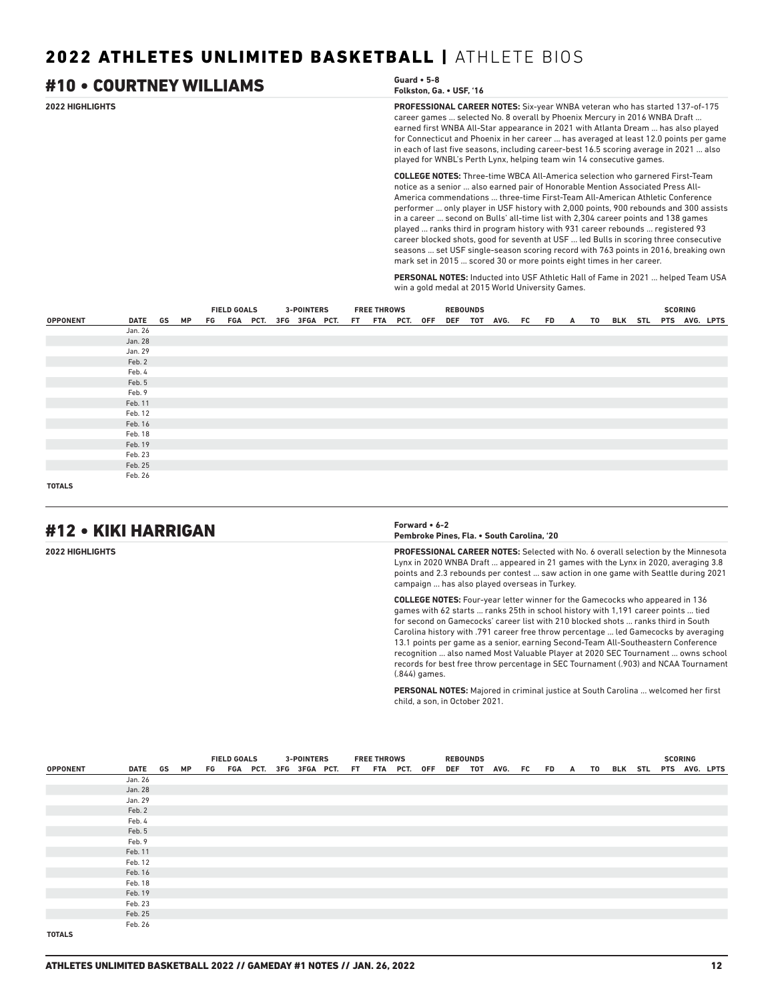| #10 • COURTNEY WILLIAMS | Guard $\cdot$ 5-8<br>Folkston, Ga. • USF, '16                                                                                                                                                                                                                                                                                                                                                                                                                                                                                                                                                                                                                                                                                                                                     |
|-------------------------|-----------------------------------------------------------------------------------------------------------------------------------------------------------------------------------------------------------------------------------------------------------------------------------------------------------------------------------------------------------------------------------------------------------------------------------------------------------------------------------------------------------------------------------------------------------------------------------------------------------------------------------------------------------------------------------------------------------------------------------------------------------------------------------|
| <b>2022 HIGHLIGHTS</b>  | <b>PROFESSIONAL CAREER NOTES:</b> Six-year WNBA veteran who has started 137-of-175<br>career games  selected No. 8 overall by Phoenix Mercury in 2016 WNBA Draft<br>earned first WNBA All-Star appearance in 2021 with Atlanta Dream  has also played<br>for Connecticut and Phoenix in her career  has averaged at least 12.0 points per game<br>in each of last five seasons, including career-best 16.5 scoring average in 2021  also<br>played for WNBL's Perth Lynx, helping team win 14 consecutive games.                                                                                                                                                                                                                                                                  |
|                         | <b>COLLEGE NOTES:</b> Three-time WBCA All-America selection who garnered First-Team<br>notice as a senior  also earned pair of Honorable Mention Associated Press All-<br>America commendations  three-time First-Team All-American Athletic Conference<br>performer  only player in USF history with 2,000 points, 900 rebounds and 300 assists<br>in a career  second on Bulls' all-time list with 2,304 career points and 138 games<br>played  ranks third in program history with 931 career rebounds  registered 93<br>career blocked shots, good for seventh at USF  led Bulls in scoring three consecutive<br>seasons  set USF single-season scoring record with 763 points in 2016, breaking own<br>mark set in 2015  scored 30 or more points eight times in her career. |
|                         | <b>PERSONAL NOTES:</b> Inducted into USF Athletic Hall of Fame in 2021  helped Team USA                                                                                                                                                                                                                                                                                                                                                                                                                                                                                                                                                                                                                                                                                           |

win a gold medal at 2015 World University Games.

|                 |         |    | <b>FIELD GOALS</b><br>FG FGA PCT. 3FG 3FGA PCT. FT FTA PCT. OFF |  |  | <b>3-POINTERS</b> |  | <b>FREE THROWS</b> |  | <b>REBOUNDS</b> |                                               |  |  |  | <b>SCORING</b> |  |
|-----------------|---------|----|-----------------------------------------------------------------|--|--|-------------------|--|--------------------|--|-----------------|-----------------------------------------------|--|--|--|----------------|--|
| <b>OPPONENT</b> | DATE GS | MP |                                                                 |  |  |                   |  |                    |  |                 | DEF TOT AVG. FC FD A TO BLK STL PTS AVG. LPTS |  |  |  |                |  |
|                 | Jan. 26 |    |                                                                 |  |  |                   |  |                    |  |                 |                                               |  |  |  |                |  |
|                 | Jan. 28 |    |                                                                 |  |  |                   |  |                    |  |                 |                                               |  |  |  |                |  |
|                 | Jan. 29 |    |                                                                 |  |  |                   |  |                    |  |                 |                                               |  |  |  |                |  |
|                 | Feb. 2  |    |                                                                 |  |  |                   |  |                    |  |                 |                                               |  |  |  |                |  |
|                 | Feb. 4  |    |                                                                 |  |  |                   |  |                    |  |                 |                                               |  |  |  |                |  |
|                 | Feb. 5  |    |                                                                 |  |  |                   |  |                    |  |                 |                                               |  |  |  |                |  |
|                 | Feb. 9  |    |                                                                 |  |  |                   |  |                    |  |                 |                                               |  |  |  |                |  |
|                 | Feb. 11 |    |                                                                 |  |  |                   |  |                    |  |                 |                                               |  |  |  |                |  |
|                 | Feb. 12 |    |                                                                 |  |  |                   |  |                    |  |                 |                                               |  |  |  |                |  |
|                 | Feb. 16 |    |                                                                 |  |  |                   |  |                    |  |                 |                                               |  |  |  |                |  |
|                 | Feb. 18 |    |                                                                 |  |  |                   |  |                    |  |                 |                                               |  |  |  |                |  |
|                 | Feb. 19 |    |                                                                 |  |  |                   |  |                    |  |                 |                                               |  |  |  |                |  |
|                 | Feb. 23 |    |                                                                 |  |  |                   |  |                    |  |                 |                                               |  |  |  |                |  |
|                 | Feb. 25 |    |                                                                 |  |  |                   |  |                    |  |                 |                                               |  |  |  |                |  |
|                 | Feb. 26 |    |                                                                 |  |  |                   |  |                    |  |                 |                                               |  |  |  |                |  |
| <b>TOTALS</b>   |         |    |                                                                 |  |  |                   |  |                    |  |                 |                                               |  |  |  |                |  |

# #12 • KIKI HARRIGAN **Forward • 6-2**

# **Pembroke Pines, Fla. • South Carolina, '20**

**2022 HIGHLIGHTS PROFESSIONAL CAREER NOTES:** Selected with No. 6 overall selection by the Minnesota Lynx in 2020 WNBA Draft ... appeared in 21 games with the Lynx in 2020, averaging 3.8 points and 2.3 rebounds per contest ... saw action in one game with Seattle during 2021 campaign ... has also played overseas in Turkey.

> **COLLEGE NOTES:** Four-year letter winner for the Gamecocks who appeared in 136 games with 62 starts ... ranks 25th in school history with 1,191 career points ... tied for second on Gamecocks' career list with 210 blocked shots ... ranks third in South Carolina history with .791 career free throw percentage ... led Gamecocks by averaging 13.1 points per game as a senior, earning Second-Team All-Southeastern Conference recognition ... also named Most Valuable Player at 2020 SEC Tournament ... owns school records for best free throw percentage in SEC Tournament (.903) and NCAA Tournament (.844) games.

**PERSONAL NOTES:** Majored in criminal justice at South Carolina ... welcomed her first child, a son, in October 2021.

|                 |         |           | <b>FIELD GOALS</b><br>FG FGA PCT. 3FG 3FGA PCT. FT FTA PCT. OFF |  |  | <b>3-POINTERS</b> |  | <b>FREE THROWS</b> |  | <b>REBOUNDS</b> |                                               |  |  |  | <b>SCORING</b> |  |
|-----------------|---------|-----------|-----------------------------------------------------------------|--|--|-------------------|--|--------------------|--|-----------------|-----------------------------------------------|--|--|--|----------------|--|
| <b>OPPONENT</b> | DATE GS | <b>MP</b> |                                                                 |  |  |                   |  |                    |  |                 | DEF TOT AVG. FC FD A TO BLK STL PTS AVG. LPTS |  |  |  |                |  |
|                 | Jan. 26 |           |                                                                 |  |  |                   |  |                    |  |                 |                                               |  |  |  |                |  |
|                 | Jan. 28 |           |                                                                 |  |  |                   |  |                    |  |                 |                                               |  |  |  |                |  |
|                 | Jan. 29 |           |                                                                 |  |  |                   |  |                    |  |                 |                                               |  |  |  |                |  |
|                 | Feb. 2  |           |                                                                 |  |  |                   |  |                    |  |                 |                                               |  |  |  |                |  |
|                 | Feb. 4  |           |                                                                 |  |  |                   |  |                    |  |                 |                                               |  |  |  |                |  |
|                 | Feb. 5  |           |                                                                 |  |  |                   |  |                    |  |                 |                                               |  |  |  |                |  |
|                 | Feb. 9  |           |                                                                 |  |  |                   |  |                    |  |                 |                                               |  |  |  |                |  |
|                 | Feb. 11 |           |                                                                 |  |  |                   |  |                    |  |                 |                                               |  |  |  |                |  |
|                 | Feb. 12 |           |                                                                 |  |  |                   |  |                    |  |                 |                                               |  |  |  |                |  |
|                 | Feb. 16 |           |                                                                 |  |  |                   |  |                    |  |                 |                                               |  |  |  |                |  |
|                 | Feb. 18 |           |                                                                 |  |  |                   |  |                    |  |                 |                                               |  |  |  |                |  |
|                 | Feb. 19 |           |                                                                 |  |  |                   |  |                    |  |                 |                                               |  |  |  |                |  |
|                 | Feb. 23 |           |                                                                 |  |  |                   |  |                    |  |                 |                                               |  |  |  |                |  |
|                 | Feb. 25 |           |                                                                 |  |  |                   |  |                    |  |                 |                                               |  |  |  |                |  |
|                 | Feb. 26 |           |                                                                 |  |  |                   |  |                    |  |                 |                                               |  |  |  |                |  |
| <b>TOTALS</b>   |         |           |                                                                 |  |  |                   |  |                    |  |                 |                                               |  |  |  |                |  |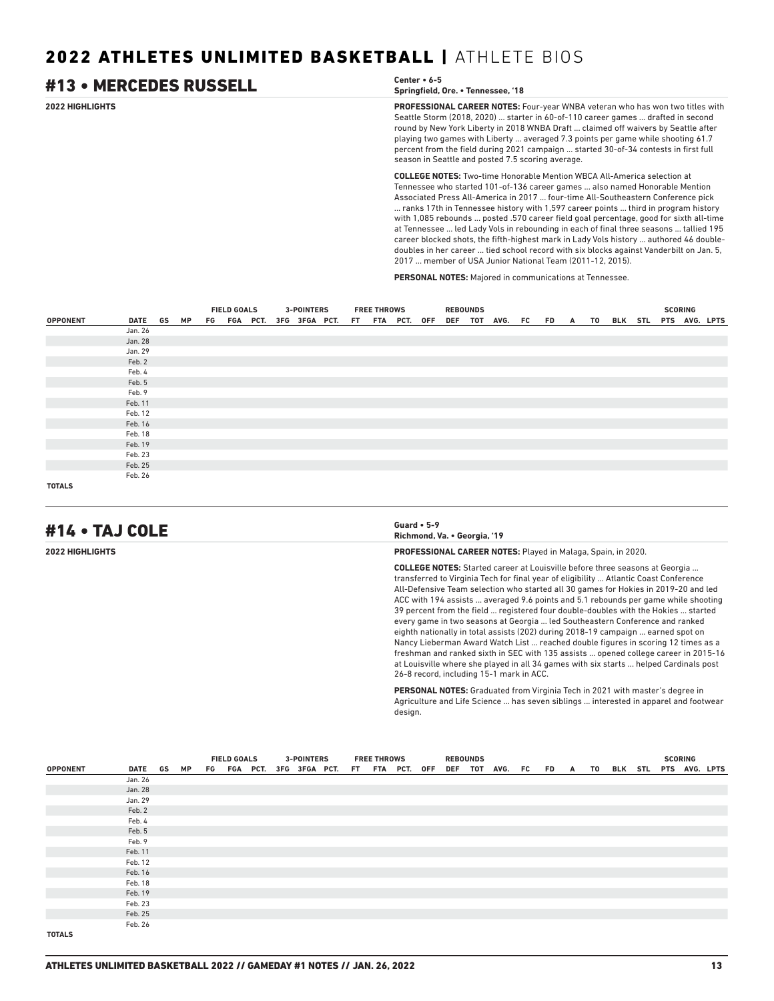### **2022 HIGHLIGHTS PROFESSIONAL CAREER NOTES:** Four-year WNBA veteran who has won two titles with Seattle Storm (2018, 2020) ... starter in 60-of-110 career games ... drafted in second round by New York Liberty in 2018 WNBA Draft ... claimed off waivers by Seattle after playing two games with Liberty ... averaged 7.3 points per game while shooting 61.7 percent from the field during 2021 campaign ... started 30-of-34 contests in first full season in Seattle and posted 7.5 scoring average. **COLLEGE NOTES:** Two-time Honorable Mention WBCA All-America selection at Tennessee who started 101-of-136 career games ... also named Honorable Mention Associated Press All-America in 2017 ... four-time All-Southeastern Conference pick ... ranks 17th in Tennessee history with 1,597 career points ... third in program history with 1,085 rebounds ... posted .570 career field goal percentage, good for sixth all-time at Tennessee ... led Lady Vols in rebounding in each of final three seasons ... tallied 195 career blocked shots, the fifth-highest mark in Lady Vols history ... authored 46 doubledoubles in her career ... tied school record with six blocks against Vanderbilt on Jan. 5, #13 • MERCEDES RUSSELL **Center • 6-5 Springfield, Ore. • Tennessee, '18**

2017 ... member of USA Junior National Team (2011-12, 2015).

**PERSONAL NOTES:** Majored in communications at Tennessee.

|                 |            |  | <b>FIELD GOALS</b> |  | <b>3-POINTERS</b> |                                           | <b>FREE THROWS</b> |  | <b>REBOUNDS</b> |                    |  |  |                            |  | <b>SCORING</b> |  |
|-----------------|------------|--|--------------------|--|-------------------|-------------------------------------------|--------------------|--|-----------------|--------------------|--|--|----------------------------|--|----------------|--|
| <b>OPPONENT</b> | DATE GS MP |  |                    |  |                   | FG FGA PCT. 3FG 3FGA PCT. FT FTA PCT. OFF |                    |  |                 | DEF TOT AVG. FC FD |  |  | A TO BLK STL PTS AVG. LPTS |  |                |  |
|                 | Jan. 26    |  |                    |  |                   |                                           |                    |  |                 |                    |  |  |                            |  |                |  |
|                 | Jan. 28    |  |                    |  |                   |                                           |                    |  |                 |                    |  |  |                            |  |                |  |
|                 | Jan. 29    |  |                    |  |                   |                                           |                    |  |                 |                    |  |  |                            |  |                |  |
|                 | Feb. 2     |  |                    |  |                   |                                           |                    |  |                 |                    |  |  |                            |  |                |  |
|                 | Feb. 4     |  |                    |  |                   |                                           |                    |  |                 |                    |  |  |                            |  |                |  |
|                 | Feb. 5     |  |                    |  |                   |                                           |                    |  |                 |                    |  |  |                            |  |                |  |
|                 | Feb. 9     |  |                    |  |                   |                                           |                    |  |                 |                    |  |  |                            |  |                |  |
|                 | Feb. 11    |  |                    |  |                   |                                           |                    |  |                 |                    |  |  |                            |  |                |  |
|                 | Feb. 12    |  |                    |  |                   |                                           |                    |  |                 |                    |  |  |                            |  |                |  |
|                 | Feb. 16    |  |                    |  |                   |                                           |                    |  |                 |                    |  |  |                            |  |                |  |
|                 | Feb. 18    |  |                    |  |                   |                                           |                    |  |                 |                    |  |  |                            |  |                |  |
|                 | Feb. 19    |  |                    |  |                   |                                           |                    |  |                 |                    |  |  |                            |  |                |  |
|                 | Feb. 23    |  |                    |  |                   |                                           |                    |  |                 |                    |  |  |                            |  |                |  |
|                 | Feb. 25    |  |                    |  |                   |                                           |                    |  |                 |                    |  |  |                            |  |                |  |
|                 | Feb. 26    |  |                    |  |                   |                                           |                    |  |                 |                    |  |  |                            |  |                |  |
| <b>TOTALS</b>   |            |  |                    |  |                   |                                           |                    |  |                 |                    |  |  |                            |  |                |  |

# #14 • TAJ COLE **Guard • 5-9**

# **Richmond, Va. • Georgia, '19**

**2022 HIGHLIGHTS PROFESSIONAL CAREER NOTES:** Played in Malaga, Spain, in 2020.

**COLLEGE NOTES:** Started career at Louisville before three seasons at Georgia ... transferred to Virginia Tech for final year of eligibility ... Atlantic Coast Conference All-Defensive Team selection who started all 30 games for Hokies in 2019-20 and led ACC with 194 assists ... averaged 9.6 points and 5.1 rebounds per game while shooting 39 percent from the field ... registered four double-doubles with the Hokies ... started every game in two seasons at Georgia ... led Southeastern Conference and ranked eighth nationally in total assists (202) during 2018-19 campaign ... earned spot on Nancy Lieberman Award Watch List ... reached double figures in scoring 12 times as a freshman and ranked sixth in SEC with 135 assists ... opened college career in 2015-16 at Louisville where she played in all 34 games with six starts ... helped Cardinals post 26-8 record, including 15-1 mark in ACC.

**PERSONAL NOTES:** Graduated from Virginia Tech in 2021 with master's degree in Agriculture and Life Science ... has seven siblings ... interested in apparel and footwear design.

|                 |         |    | <b>FIELD GOALS</b><br>FG FGA PCT. 3FG 3FGA PCT. FT FTA PCT. OFF |  |  | <b>3-POINTERS</b> |  | <b>FREE THROWS</b> |  | <b>REBOUNDS</b> |                      |  |    |  | <b>SCORING</b> |                       |
|-----------------|---------|----|-----------------------------------------------------------------|--|--|-------------------|--|--------------------|--|-----------------|----------------------|--|----|--|----------------|-----------------------|
| <b>OPPONENT</b> | DATE GS | MP |                                                                 |  |  |                   |  |                    |  |                 | DEF TOT AVG. FC FD A |  | TO |  |                | BLK STL PTS AVG. LPTS |
|                 | Jan. 26 |    |                                                                 |  |  |                   |  |                    |  |                 |                      |  |    |  |                |                       |
|                 | Jan. 28 |    |                                                                 |  |  |                   |  |                    |  |                 |                      |  |    |  |                |                       |
|                 | Jan. 29 |    |                                                                 |  |  |                   |  |                    |  |                 |                      |  |    |  |                |                       |
|                 | Feb. 2  |    |                                                                 |  |  |                   |  |                    |  |                 |                      |  |    |  |                |                       |
|                 | Feb. 4  |    |                                                                 |  |  |                   |  |                    |  |                 |                      |  |    |  |                |                       |
|                 | Feb. 5  |    |                                                                 |  |  |                   |  |                    |  |                 |                      |  |    |  |                |                       |
|                 | Feb. 9  |    |                                                                 |  |  |                   |  |                    |  |                 |                      |  |    |  |                |                       |
|                 | Feb. 11 |    |                                                                 |  |  |                   |  |                    |  |                 |                      |  |    |  |                |                       |
|                 | Feb. 12 |    |                                                                 |  |  |                   |  |                    |  |                 |                      |  |    |  |                |                       |
|                 | Feb. 16 |    |                                                                 |  |  |                   |  |                    |  |                 |                      |  |    |  |                |                       |
|                 | Feb. 18 |    |                                                                 |  |  |                   |  |                    |  |                 |                      |  |    |  |                |                       |
|                 | Feb. 19 |    |                                                                 |  |  |                   |  |                    |  |                 |                      |  |    |  |                |                       |
|                 | Feb. 23 |    |                                                                 |  |  |                   |  |                    |  |                 |                      |  |    |  |                |                       |
|                 | Feb. 25 |    |                                                                 |  |  |                   |  |                    |  |                 |                      |  |    |  |                |                       |
|                 | Feb. 26 |    |                                                                 |  |  |                   |  |                    |  |                 |                      |  |    |  |                |                       |
| <b>TOTALS</b>   |         |    |                                                                 |  |  |                   |  |                    |  |                 |                      |  |    |  |                |                       |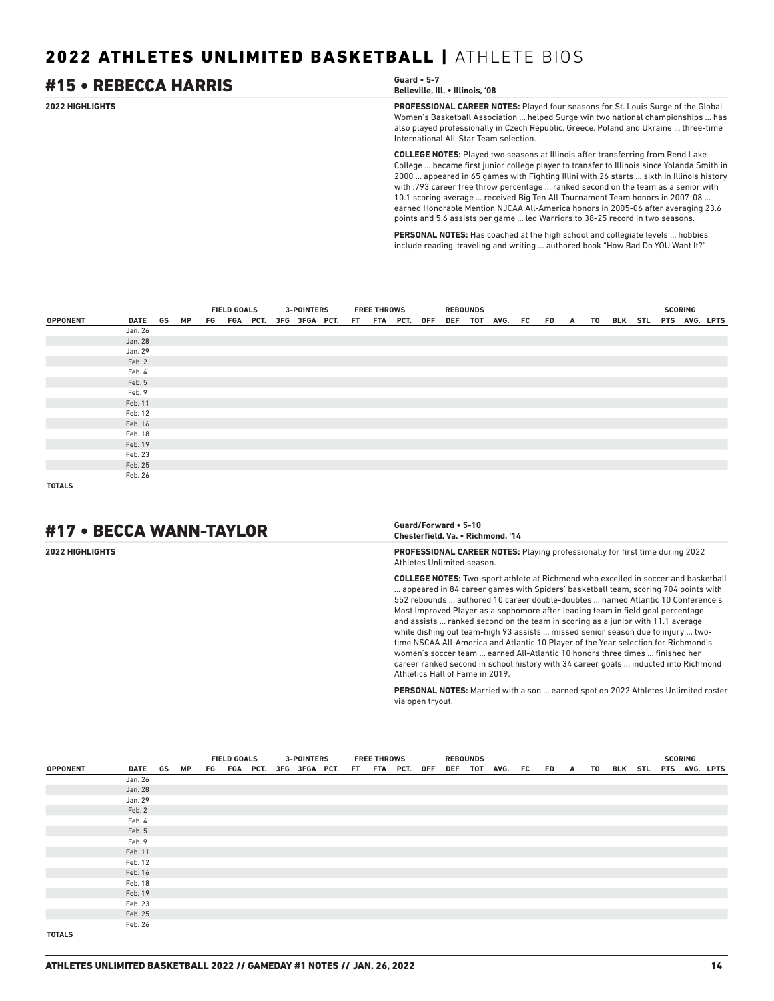### **2022 HIGHLIGHTS PROFESSIONAL CAREER NOTES:** Played four seasons for St. Louis Surge of the Global Women's Basketball Association ... helped Surge win two national championships ... has also played professionally in Czech Republic, Greece, Poland and Ukraine ... three-time International All-Star Team selection. **COLLEGE NOTES:** Played two seasons at Illinois after transferring from Rend Lake College ... became first junior college player to transfer to Illinois since Yolanda Smith in 2000 ... appeared in 65 games with Fighting Illini with 26 starts ... sixth in Illinois history with .793 career free throw percentage ... ranked second on the team as a senior with #15 • REBECCA HARRIS **Guard • 5-7 Belleville, Ill. • Illinois, '08**

**PERSONAL NOTES:** Has coached at the high school and collegiate levels ... hobbies include reading, traveling and writing ... authored book "How Bad Do YOU Want It?"

10.1 scoring average ... received Big Ten All-Tournament Team honors in 2007-08 ... earned Honorable Mention NJCAA All-America honors in 2005-06 after averaging 23.6 points and 5.6 assists per game ... led Warriors to 38-25 record in two seasons.

|                 |                                                                                                    |  |  |  | FIELD GOALS 3-POINTERS | <b>FREE THROWS</b> |  | <b>REBOUNDS</b> |  |  |  |  | <b>SCORING</b> |  |
|-----------------|----------------------------------------------------------------------------------------------------|--|--|--|------------------------|--------------------|--|-----------------|--|--|--|--|----------------|--|
| <b>OPPONENT</b> | DATE GS MP FG FGA PCT. 3FG 3FGA PCT. FT FTA PCT. OFF DEF TOT AVG. FC FD A TO BLK STL PTS AVG. LPTS |  |  |  |                        |                    |  |                 |  |  |  |  |                |  |
|                 | Jan. 26                                                                                            |  |  |  |                        |                    |  |                 |  |  |  |  |                |  |
|                 | Jan. 28                                                                                            |  |  |  |                        |                    |  |                 |  |  |  |  |                |  |
|                 | Jan. 29                                                                                            |  |  |  |                        |                    |  |                 |  |  |  |  |                |  |
|                 | Feb. 2                                                                                             |  |  |  |                        |                    |  |                 |  |  |  |  |                |  |
|                 | Feb. 4                                                                                             |  |  |  |                        |                    |  |                 |  |  |  |  |                |  |
|                 | Feb. 5                                                                                             |  |  |  |                        |                    |  |                 |  |  |  |  |                |  |
|                 | Feb. 9                                                                                             |  |  |  |                        |                    |  |                 |  |  |  |  |                |  |
|                 | Feb. 11                                                                                            |  |  |  |                        |                    |  |                 |  |  |  |  |                |  |
|                 | Feb. 12                                                                                            |  |  |  |                        |                    |  |                 |  |  |  |  |                |  |
|                 | Feb. 16                                                                                            |  |  |  |                        |                    |  |                 |  |  |  |  |                |  |
|                 | Feb. 18                                                                                            |  |  |  |                        |                    |  |                 |  |  |  |  |                |  |
|                 | Feb. 19                                                                                            |  |  |  |                        |                    |  |                 |  |  |  |  |                |  |
|                 | Feb. 23                                                                                            |  |  |  |                        |                    |  |                 |  |  |  |  |                |  |
|                 | Feb. 25                                                                                            |  |  |  |                        |                    |  |                 |  |  |  |  |                |  |
|                 | Feb. 26                                                                                            |  |  |  |                        |                    |  |                 |  |  |  |  |                |  |
| <b>TOTALS</b>   |                                                                                                    |  |  |  |                        |                    |  |                 |  |  |  |  |                |  |

# #17 • BECCA WANN-TAYLOR **Guard/Forward • 5-10**

# **Chesterfield, Va. • Richmond, '14**

**2022 HIGHLIGHTS PROFESSIONAL CAREER NOTES:** Playing professionally for first time during 2022 Athletes Unlimited season.

> **COLLEGE NOTES:** Two-sport athlete at Richmond who excelled in soccer and basketball ... appeared in 84 career games with Spiders' basketball team, scoring 704 points with 552 rebounds ... authored 10 career double-doubles ... named Atlantic 10 Conference's Most Improved Player as a sophomore after leading team in field goal percentage and assists ... ranked second on the team in scoring as a junior with 11.1 average while dishing out team-high 93 assists ... missed senior season due to injury ... twotime NSCAA All-America and Atlantic 10 Player of the Year selection for Richmond's women's soccer team ... earned All-Atlantic 10 honors three times ... finished her career ranked second in school history with 34 career goals ... inducted into Richmond Athletics Hall of Fame in 2019.

> **PERSONAL NOTES:** Married with a son ... earned spot on 2022 Athletes Unlimited roster via open tryout.

|                 |         |  | <b>FIELD GOALS</b><br>DATE GS MP FG FGA PCT. 3FG 3FGA PCT. FT FTA PCT. OFF |  |  | <b>3-POINTERS</b> |  | <b>FREE THROWS</b> |  | <b>REBOUNDS</b> |                    |  |  |                            |  | <b>SCORING</b> |  |
|-----------------|---------|--|----------------------------------------------------------------------------|--|--|-------------------|--|--------------------|--|-----------------|--------------------|--|--|----------------------------|--|----------------|--|
| <b>OPPONENT</b> |         |  |                                                                            |  |  |                   |  |                    |  |                 | DEF TOT AVG. FC FD |  |  | A TO BLK STL PTS AVG. LPTS |  |                |  |
|                 | Jan. 26 |  |                                                                            |  |  |                   |  |                    |  |                 |                    |  |  |                            |  |                |  |
|                 | Jan. 28 |  |                                                                            |  |  |                   |  |                    |  |                 |                    |  |  |                            |  |                |  |
|                 | Jan. 29 |  |                                                                            |  |  |                   |  |                    |  |                 |                    |  |  |                            |  |                |  |
|                 | Feb. 2  |  |                                                                            |  |  |                   |  |                    |  |                 |                    |  |  |                            |  |                |  |
|                 | Feb. 4  |  |                                                                            |  |  |                   |  |                    |  |                 |                    |  |  |                            |  |                |  |
|                 | Feb. 5  |  |                                                                            |  |  |                   |  |                    |  |                 |                    |  |  |                            |  |                |  |
|                 | Feb. 9  |  |                                                                            |  |  |                   |  |                    |  |                 |                    |  |  |                            |  |                |  |
|                 | Feb. 11 |  |                                                                            |  |  |                   |  |                    |  |                 |                    |  |  |                            |  |                |  |
|                 | Feb. 12 |  |                                                                            |  |  |                   |  |                    |  |                 |                    |  |  |                            |  |                |  |
|                 | Feb. 16 |  |                                                                            |  |  |                   |  |                    |  |                 |                    |  |  |                            |  |                |  |
|                 | Feb. 18 |  |                                                                            |  |  |                   |  |                    |  |                 |                    |  |  |                            |  |                |  |
|                 | Feb. 19 |  |                                                                            |  |  |                   |  |                    |  |                 |                    |  |  |                            |  |                |  |
|                 | Feb. 23 |  |                                                                            |  |  |                   |  |                    |  |                 |                    |  |  |                            |  |                |  |
|                 | Feb. 25 |  |                                                                            |  |  |                   |  |                    |  |                 |                    |  |  |                            |  |                |  |
|                 | Feb. 26 |  |                                                                            |  |  |                   |  |                    |  |                 |                    |  |  |                            |  |                |  |
| <b>TOTALS</b>   |         |  |                                                                            |  |  |                   |  |                    |  |                 |                    |  |  |                            |  |                |  |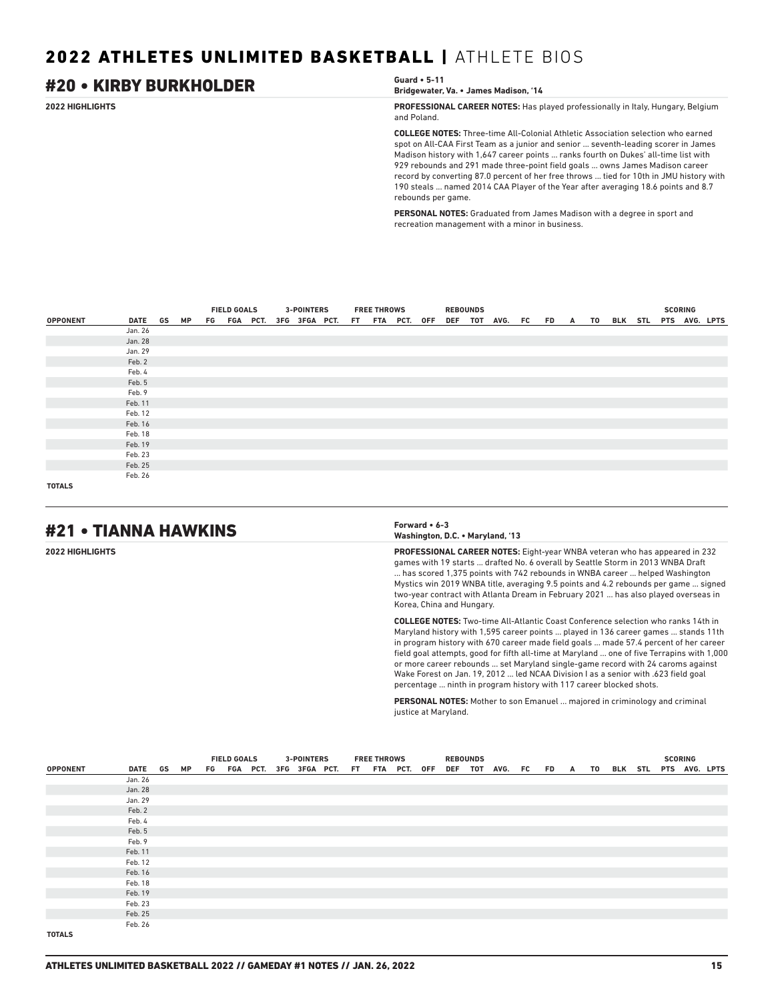# #20 • KIRBY BURKHOLDER **Guard • 5-11**

**Bridgewater, Va. • James Madison, '14**

**2022 HIGHLIGHTS PROFESSIONAL CAREER NOTES:** Has played professionally in Italy, Hungary, Belgium and Poland.

> **COLLEGE NOTES:** Three-time All-Colonial Athletic Association selection who earned spot on All-CAA First Team as a junior and senior ... seventh-leading scorer in James Madison history with 1,647 career points ... ranks fourth on Dukes' all-time list with 929 rebounds and 291 made three-point field goals ... owns James Madison career record by converting 87.0 percent of her free throws ... tied for 10th in JMU history with 190 steals ... named 2014 CAA Player of the Year after averaging 18.6 points and 8.7 rebounds per game.

**PERSONAL NOTES:** Graduated from James Madison with a degree in sport and recreation management with a minor in business.

|                 |         |    | <b>FIELD GOALS</b> |  |  | <b>3-POINTERS</b> |                                           | <b>FREE THROWS</b> |  | <b>REBOUNDS</b> |                         |  |  |                       | <b>SCORING</b> |  |
|-----------------|---------|----|--------------------|--|--|-------------------|-------------------------------------------|--------------------|--|-----------------|-------------------------|--|--|-----------------------|----------------|--|
| <b>OPPONENT</b> | DATE GS | MP |                    |  |  |                   | FG FGA PCT. 3FG 3FGA PCT. FT FTA PCT. OFF |                    |  |                 | DEF TOT AVG. FC FD A TO |  |  | BLK STL PTS AVG. LPTS |                |  |
|                 | Jan. 26 |    |                    |  |  |                   |                                           |                    |  |                 |                         |  |  |                       |                |  |
|                 | Jan. 28 |    |                    |  |  |                   |                                           |                    |  |                 |                         |  |  |                       |                |  |
|                 | Jan. 29 |    |                    |  |  |                   |                                           |                    |  |                 |                         |  |  |                       |                |  |
|                 | Feb. 2  |    |                    |  |  |                   |                                           |                    |  |                 |                         |  |  |                       |                |  |
|                 | Feb. 4  |    |                    |  |  |                   |                                           |                    |  |                 |                         |  |  |                       |                |  |
|                 | Feb. 5  |    |                    |  |  |                   |                                           |                    |  |                 |                         |  |  |                       |                |  |
|                 | Feb. 9  |    |                    |  |  |                   |                                           |                    |  |                 |                         |  |  |                       |                |  |
|                 | Feb. 11 |    |                    |  |  |                   |                                           |                    |  |                 |                         |  |  |                       |                |  |
|                 | Feb. 12 |    |                    |  |  |                   |                                           |                    |  |                 |                         |  |  |                       |                |  |
|                 | Feb. 16 |    |                    |  |  |                   |                                           |                    |  |                 |                         |  |  |                       |                |  |
|                 | Feb. 18 |    |                    |  |  |                   |                                           |                    |  |                 |                         |  |  |                       |                |  |
|                 | Feb. 19 |    |                    |  |  |                   |                                           |                    |  |                 |                         |  |  |                       |                |  |
|                 | Feb. 23 |    |                    |  |  |                   |                                           |                    |  |                 |                         |  |  |                       |                |  |
|                 | Feb. 25 |    |                    |  |  |                   |                                           |                    |  |                 |                         |  |  |                       |                |  |
|                 | Feb. 26 |    |                    |  |  |                   |                                           |                    |  |                 |                         |  |  |                       |                |  |
| <b>TOTALS</b>   |         |    |                    |  |  |                   |                                           |                    |  |                 |                         |  |  |                       |                |  |

# #21 • TIANNA HAWKINS **Forward • 6-3**

# **Washington, D.C. • Maryland, '13**

**2022 HIGHLIGHTS PROFESSIONAL CAREER NOTES:** Eight-year WNBA veteran who has appeared in 232 games with 19 starts ... drafted No. 6 overall by Seattle Storm in 2013 WNBA Draft ... has scored 1,375 points with 742 rebounds in WNBA career ... helped Washington Mystics win 2019 WNBA title, averaging 9.5 points and 4.2 rebounds per game ... signed two-year contract with Atlanta Dream in February 2021 ... has also played overseas in Korea, China and Hungary.

> **COLLEGE NOTES:** Two-time All-Atlantic Coast Conference selection who ranks 14th in Maryland history with 1,595 career points ... played in 136 career games ... stands 11th in program history with 670 career made field goals ... made 57.4 percent of her career field goal attempts, good for fifth all-time at Maryland ... one of five Terrapins with 1,000 or more career rebounds ... set Maryland single-game record with 24 caroms against Wake Forest on Jan. 19, 2012 ... led NCAA Division I as a senior with .623 field goal percentage ... ninth in program history with 117 career blocked shots.

**PERSONAL NOTES:** Mother to son Emanuel ... majored in criminology and criminal justice at Maryland.

|                 |         |           | <b>FIELD GOALS</b> |  | <b>3-POINTERS</b>                         |  | <b>FREE THROWS</b> |  | <b>REBOUNDS</b> |                                               |  |  |  | <b>SCORING</b> |  |
|-----------------|---------|-----------|--------------------|--|-------------------------------------------|--|--------------------|--|-----------------|-----------------------------------------------|--|--|--|----------------|--|
| <b>OPPONENT</b> | DATE GS | <b>MP</b> |                    |  | FG FGA PCT. 3FG 3FGA PCT. FT FTA PCT. OFF |  |                    |  |                 | DEF TOT AVG. FC FD A TO BLK STL PTS AVG. LPTS |  |  |  |                |  |
|                 | Jan. 26 |           |                    |  |                                           |  |                    |  |                 |                                               |  |  |  |                |  |
|                 | Jan. 28 |           |                    |  |                                           |  |                    |  |                 |                                               |  |  |  |                |  |
|                 | Jan. 29 |           |                    |  |                                           |  |                    |  |                 |                                               |  |  |  |                |  |
|                 | Feb. 2  |           |                    |  |                                           |  |                    |  |                 |                                               |  |  |  |                |  |
|                 | Feb. 4  |           |                    |  |                                           |  |                    |  |                 |                                               |  |  |  |                |  |
|                 | Feb. 5  |           |                    |  |                                           |  |                    |  |                 |                                               |  |  |  |                |  |
|                 | Feb. 9  |           |                    |  |                                           |  |                    |  |                 |                                               |  |  |  |                |  |
|                 | Feb. 11 |           |                    |  |                                           |  |                    |  |                 |                                               |  |  |  |                |  |
|                 | Feb. 12 |           |                    |  |                                           |  |                    |  |                 |                                               |  |  |  |                |  |
|                 | Feb. 16 |           |                    |  |                                           |  |                    |  |                 |                                               |  |  |  |                |  |
|                 | Feb. 18 |           |                    |  |                                           |  |                    |  |                 |                                               |  |  |  |                |  |
|                 | Feb. 19 |           |                    |  |                                           |  |                    |  |                 |                                               |  |  |  |                |  |
|                 | Feb. 23 |           |                    |  |                                           |  |                    |  |                 |                                               |  |  |  |                |  |
|                 | Feb. 25 |           |                    |  |                                           |  |                    |  |                 |                                               |  |  |  |                |  |
|                 | Feb. 26 |           |                    |  |                                           |  |                    |  |                 |                                               |  |  |  |                |  |
| <b>TOTALS</b>   |         |           |                    |  |                                           |  |                    |  |                 |                                               |  |  |  |                |  |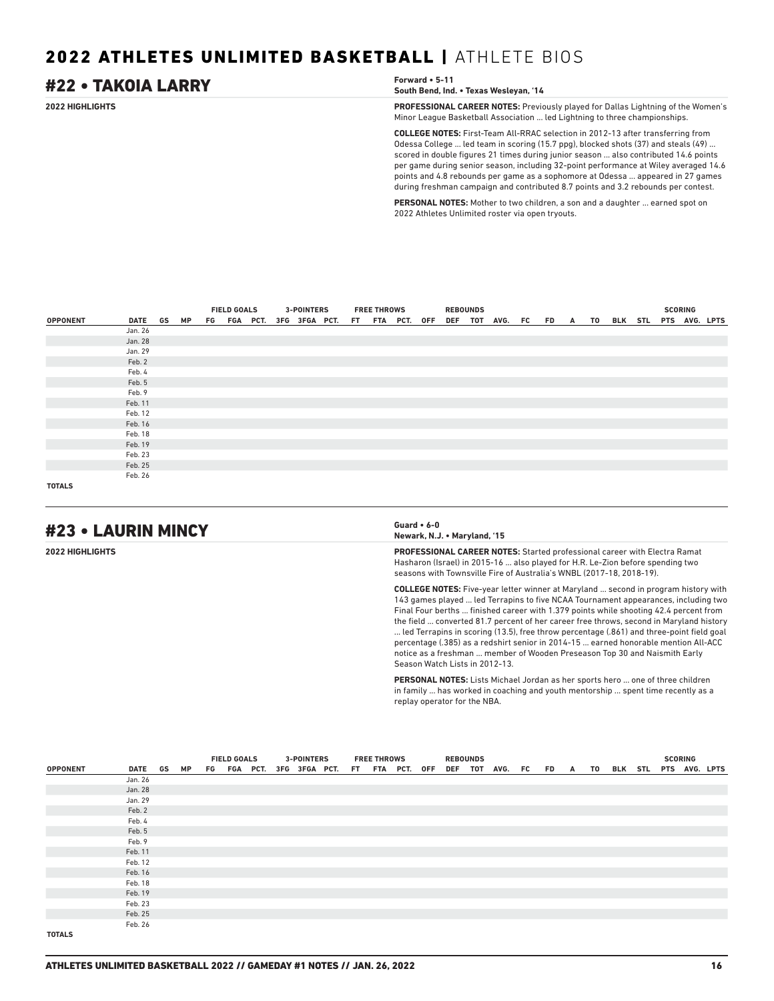# #22 • TAKOIA LARRY **Forward • 5-11**

**South Bend, Ind. • Texas Wesleyan, '14**

**2022 HIGHLIGHTS PROFESSIONAL CAREER NOTES:** Previously played for Dallas Lightning of the Women's Minor League Basketball Association ... led Lightning to three championships.

> **COLLEGE NOTES:** First-Team All-RRAC selection in 2012-13 after transferring from Odessa College ... led team in scoring (15.7 ppg), blocked shots (37) and steals (49) ... scored in double figures 21 times during junior season ... also contributed 14.6 points per game during senior season, including 32-point performance at Wiley averaged 14.6 points and 4.8 rebounds per game as a sophomore at Odessa ... appeared in 27 games during freshman campaign and contributed 8.7 points and 3.2 rebounds per contest.

**PERSONAL NOTES:** Mother to two children, a son and a daughter ... earned spot on 2022 Athletes Unlimited roster via open tryouts.

|                 |         |    |  | <b>FIELD GOALS</b> | <b>3-POINTERS</b> |                                           | <b>FREE THROWS</b> |  | <b>REBOUNDS</b> |                         |  |  |                       |  | <b>SCORING</b> |  |
|-----------------|---------|----|--|--------------------|-------------------|-------------------------------------------|--------------------|--|-----------------|-------------------------|--|--|-----------------------|--|----------------|--|
| <b>OPPONENT</b> | DATE GS | MP |  |                    |                   | FG FGA PCT. 3FG 3FGA PCT. FT FTA PCT. OFF |                    |  |                 | DEF TOT AVG. FC FD A TO |  |  | BLK STL PTS AVG. LPTS |  |                |  |
|                 | Jan. 26 |    |  |                    |                   |                                           |                    |  |                 |                         |  |  |                       |  |                |  |
|                 | Jan. 28 |    |  |                    |                   |                                           |                    |  |                 |                         |  |  |                       |  |                |  |
|                 | Jan. 29 |    |  |                    |                   |                                           |                    |  |                 |                         |  |  |                       |  |                |  |
|                 | Feb. 2  |    |  |                    |                   |                                           |                    |  |                 |                         |  |  |                       |  |                |  |
|                 | Feb. 4  |    |  |                    |                   |                                           |                    |  |                 |                         |  |  |                       |  |                |  |
|                 | Feb. 5  |    |  |                    |                   |                                           |                    |  |                 |                         |  |  |                       |  |                |  |
|                 | Feb. 9  |    |  |                    |                   |                                           |                    |  |                 |                         |  |  |                       |  |                |  |
|                 | Feb. 11 |    |  |                    |                   |                                           |                    |  |                 |                         |  |  |                       |  |                |  |
|                 | Feb. 12 |    |  |                    |                   |                                           |                    |  |                 |                         |  |  |                       |  |                |  |
|                 | Feb. 16 |    |  |                    |                   |                                           |                    |  |                 |                         |  |  |                       |  |                |  |
|                 | Feb. 18 |    |  |                    |                   |                                           |                    |  |                 |                         |  |  |                       |  |                |  |
|                 | Feb. 19 |    |  |                    |                   |                                           |                    |  |                 |                         |  |  |                       |  |                |  |
|                 | Feb. 23 |    |  |                    |                   |                                           |                    |  |                 |                         |  |  |                       |  |                |  |
|                 | Feb. 25 |    |  |                    |                   |                                           |                    |  |                 |                         |  |  |                       |  |                |  |
|                 | Feb. 26 |    |  |                    |                   |                                           |                    |  |                 |                         |  |  |                       |  |                |  |
| <b>TOTALS</b>   |         |    |  |                    |                   |                                           |                    |  |                 |                         |  |  |                       |  |                |  |

# #23 • LAURIN MINCY **Guard • 6-0**

# **Newark, N.J. • Maryland, '15**

**2022 HIGHLIGHTS PROFESSIONAL CAREER NOTES:** Started professional career with Electra Ramat Hasharon (Israel) in 2015-16 ... also played for H.R. Le-Zion before spending two seasons with Townsville Fire of Australia's WNBL (2017-18, 2018-19).

> **COLLEGE NOTES:** Five-year letter winner at Maryland ... second in program history with 143 games played ... led Terrapins to five NCAA Tournament appearances, including two Final Four berths ... finished career with 1.379 points while shooting 42.4 percent from the field ... converted 81.7 percent of her career free throws, second in Maryland history ... led Terrapins in scoring (13.5), free throw percentage (.861) and three-point field goal percentage (.385) as a redshirt senior in 2014-15 ... earned honorable mention All-ACC notice as a freshman ... member of Wooden Preseason Top 30 and Naismith Early Season Watch Lists in 2012-13.

**PERSONAL NOTES:** Lists Michael Jordan as her sports hero ... one of three children in family ... has worked in coaching and youth mentorship ... spent time recently as a replay operator for the NBA.

|                 |            |  |  | <b>FIELD GOALS</b> | <b>3-POINTERS</b>                         |  | <b>FREE THROWS</b> |  | <b>REBOUNDS</b> |                                               |  |  |  | <b>SCORING</b> |  |
|-----------------|------------|--|--|--------------------|-------------------------------------------|--|--------------------|--|-----------------|-----------------------------------------------|--|--|--|----------------|--|
| <b>OPPONENT</b> | DATE GS MP |  |  |                    | FG FGA PCT. 3FG 3FGA PCT. FT FTA PCT. OFF |  |                    |  |                 | DEF TOT AVG. FC FD A TO BLK STL PTS AVG. LPTS |  |  |  |                |  |
|                 | Jan. 26    |  |  |                    |                                           |  |                    |  |                 |                                               |  |  |  |                |  |
|                 | Jan. 28    |  |  |                    |                                           |  |                    |  |                 |                                               |  |  |  |                |  |
|                 | Jan. 29    |  |  |                    |                                           |  |                    |  |                 |                                               |  |  |  |                |  |
|                 | Feb. 2     |  |  |                    |                                           |  |                    |  |                 |                                               |  |  |  |                |  |
|                 | Feb. 4     |  |  |                    |                                           |  |                    |  |                 |                                               |  |  |  |                |  |
|                 | Feb. 5     |  |  |                    |                                           |  |                    |  |                 |                                               |  |  |  |                |  |
|                 | Feb. 9     |  |  |                    |                                           |  |                    |  |                 |                                               |  |  |  |                |  |
|                 | Feb. 11    |  |  |                    |                                           |  |                    |  |                 |                                               |  |  |  |                |  |
|                 | Feb. 12    |  |  |                    |                                           |  |                    |  |                 |                                               |  |  |  |                |  |
|                 | Feb. 16    |  |  |                    |                                           |  |                    |  |                 |                                               |  |  |  |                |  |
|                 | Feb. 18    |  |  |                    |                                           |  |                    |  |                 |                                               |  |  |  |                |  |
|                 | Feb. 19    |  |  |                    |                                           |  |                    |  |                 |                                               |  |  |  |                |  |
|                 | Feb. 23    |  |  |                    |                                           |  |                    |  |                 |                                               |  |  |  |                |  |
|                 | Feb. 25    |  |  |                    |                                           |  |                    |  |                 |                                               |  |  |  |                |  |
|                 | Feb. 26    |  |  |                    |                                           |  |                    |  |                 |                                               |  |  |  |                |  |
| <b>TOTALS</b>   |            |  |  |                    |                                           |  |                    |  |                 |                                               |  |  |  |                |  |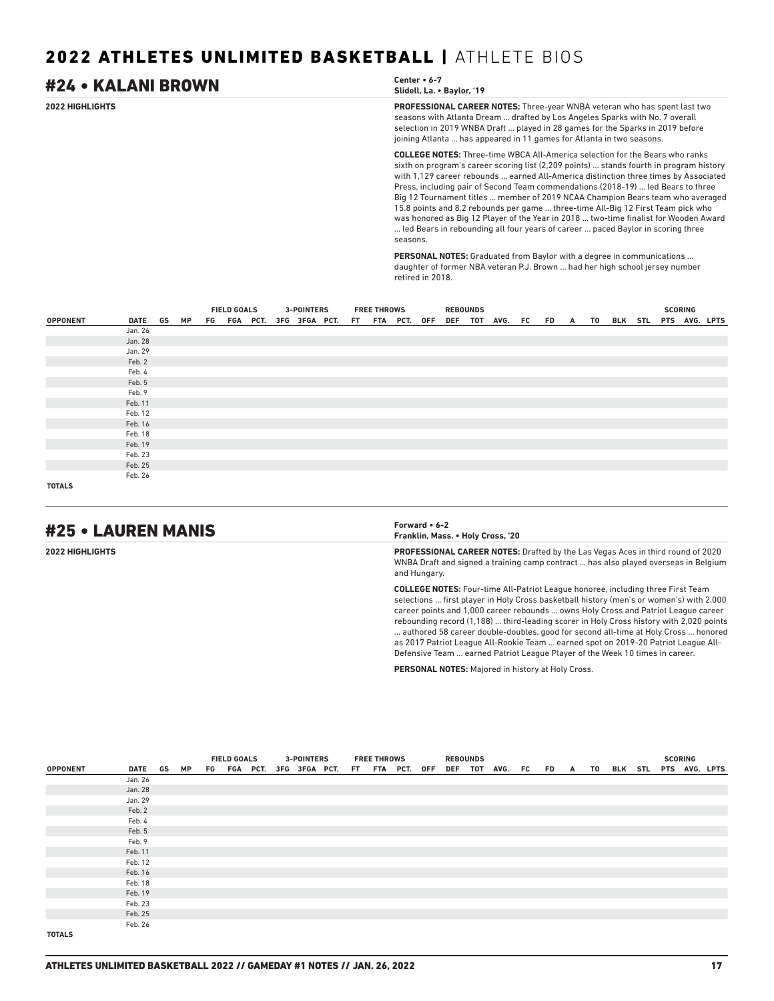### **2022 HIGHLIGHTS PROFESSIONAL CAREER NOTES:** Three-year WNBA veteran who has spent last two seasons with Atlanta Dream ... drafted by Los Angeles Sparks with No. 7 overall selection in 2019 WNBA Draft ... played in 28 games for the Sparks in 2019 before joining Atlanta ... has appeared in 11 games for Atlanta in two seasons. **COLLEGE NOTES:** Three-time WBCA All-America selection for the Bears who ranks sixth on program's career scoring list (2,209 points) ... stands fourth in program history #24 • KALANI BROWN **Center • 6-7 Slidell, La. • Baylor, '19**

with 1,129 career rebounds ... earned All-America distinction three times by Associated Press, including pair of Second Team commendations (2018-19) ... led Bears to three Big 12 Tournament titles ... member of 2019 NCAA Champion Bears team who averaged 15.8 points and 8.2 rebounds per game ... three-time All-Big 12 First Team pick who was honored as Big 12 Player of the Year in 2018 ... two-time finalist for Wooden Award ... led Bears in rebounding all four years of career ... paced Baylor in scoring three seasons.

**PERSONAL NOTES:** Graduated from Baylor with a degree in communications ... daughter of former NBA veteran P.J. Brown ... had her high school jersey number retired in 2018.

|                 |         |    | <b>FIELD GOALS</b> |  | <b>3-POINTERS</b> |                                           | <b>FREE THROWS</b> |  | <b>REBOUNDS</b> |                    |  |   |            |  | <b>SCORING</b> |               |
|-----------------|---------|----|--------------------|--|-------------------|-------------------------------------------|--------------------|--|-----------------|--------------------|--|---|------------|--|----------------|---------------|
| <b>OPPONENT</b> | DATE GS | МP |                    |  |                   | FG FGA PCT. 3FG 3FGA PCT. FT FTA PCT. OFF |                    |  |                 | DEF TOT AVG. FC FD |  | A | TO BLK STL |  |                | PTS AVG. LPTS |
|                 | Jan. 26 |    |                    |  |                   |                                           |                    |  |                 |                    |  |   |            |  |                |               |
|                 | Jan. 28 |    |                    |  |                   |                                           |                    |  |                 |                    |  |   |            |  |                |               |
|                 | Jan. 29 |    |                    |  |                   |                                           |                    |  |                 |                    |  |   |            |  |                |               |
|                 | Feb. 2  |    |                    |  |                   |                                           |                    |  |                 |                    |  |   |            |  |                |               |
|                 | Feb. 4  |    |                    |  |                   |                                           |                    |  |                 |                    |  |   |            |  |                |               |
|                 | Feb. 5  |    |                    |  |                   |                                           |                    |  |                 |                    |  |   |            |  |                |               |
|                 | Feb. 9  |    |                    |  |                   |                                           |                    |  |                 |                    |  |   |            |  |                |               |
|                 | Feb. 11 |    |                    |  |                   |                                           |                    |  |                 |                    |  |   |            |  |                |               |
|                 | Feb. 12 |    |                    |  |                   |                                           |                    |  |                 |                    |  |   |            |  |                |               |
|                 | Feb. 16 |    |                    |  |                   |                                           |                    |  |                 |                    |  |   |            |  |                |               |
|                 | Feb. 18 |    |                    |  |                   |                                           |                    |  |                 |                    |  |   |            |  |                |               |
|                 | Feb. 19 |    |                    |  |                   |                                           |                    |  |                 |                    |  |   |            |  |                |               |
|                 | Feb. 23 |    |                    |  |                   |                                           |                    |  |                 |                    |  |   |            |  |                |               |
|                 | Feb. 25 |    |                    |  |                   |                                           |                    |  |                 |                    |  |   |            |  |                |               |
|                 | Feb. 26 |    |                    |  |                   |                                           |                    |  |                 |                    |  |   |            |  |                |               |
| <b>TOTALS</b>   |         |    |                    |  |                   |                                           |                    |  |                 |                    |  |   |            |  |                |               |

# #25 • LAUREN MANIS **Forward • 6-2**

**Franklin, Mass. • Holy Cross, '20**

**2022 HIGHLIGHTS PROFESSIONAL CAREER NOTES:** Drafted by the Las Vegas Aces in third round of 2020 WNBA Draft and signed a training camp contract ... has also played overseas in Belgium and Hungary.

> **COLLEGE NOTES:** Four-time All-Patriot League honoree, including three First Team selections ... first player in Holy Cross basketball history (men's or women's) with 2,000 career points and 1,000 career rebounds ... owns Holy Cross and Patriot League career rebounding record (1,188) ... third-leading scorer in Holy Cross history with 2,020 points ... authored 58 career double-doubles, good for second all-time at Holy Cross ... honored as 2017 Patriot League All-Rookie Team ... earned spot on 2019-20 Patriot League All-Defensive Team ... earned Patriot League Player of the Week 10 times in career.

**PERSONAL NOTES:** Majored in history at Holy Cross.

|                 |         |    | <b>FIELD GOALS</b> |  |  | <b>3-POINTERS</b>                         |  | <b>FREE THROWS</b> |  | <b>REBOUNDS</b> |                 |     |   |    |  | <b>SCORING</b> |                       |
|-----------------|---------|----|--------------------|--|--|-------------------------------------------|--|--------------------|--|-----------------|-----------------|-----|---|----|--|----------------|-----------------------|
| <b>OPPONENT</b> | DATE GS | МP |                    |  |  | FG FGA PCT. 3FG 3FGA PCT. FT FTA PCT. OFF |  |                    |  |                 | DEF TOT AVG. FC | FD. | A | T0 |  |                | BLK STL PTS AVG. LPTS |
|                 | Jan. 26 |    |                    |  |  |                                           |  |                    |  |                 |                 |     |   |    |  |                |                       |
|                 | Jan. 28 |    |                    |  |  |                                           |  |                    |  |                 |                 |     |   |    |  |                |                       |
|                 | Jan. 29 |    |                    |  |  |                                           |  |                    |  |                 |                 |     |   |    |  |                |                       |
|                 | Feb. 2  |    |                    |  |  |                                           |  |                    |  |                 |                 |     |   |    |  |                |                       |
|                 | Feb. 4  |    |                    |  |  |                                           |  |                    |  |                 |                 |     |   |    |  |                |                       |
|                 | Feb. 5  |    |                    |  |  |                                           |  |                    |  |                 |                 |     |   |    |  |                |                       |
|                 | Feb. 9  |    |                    |  |  |                                           |  |                    |  |                 |                 |     |   |    |  |                |                       |
|                 | Feb. 11 |    |                    |  |  |                                           |  |                    |  |                 |                 |     |   |    |  |                |                       |
|                 | Feb. 12 |    |                    |  |  |                                           |  |                    |  |                 |                 |     |   |    |  |                |                       |
|                 | Feb. 16 |    |                    |  |  |                                           |  |                    |  |                 |                 |     |   |    |  |                |                       |
|                 | Feb. 18 |    |                    |  |  |                                           |  |                    |  |                 |                 |     |   |    |  |                |                       |
|                 | Feb. 19 |    |                    |  |  |                                           |  |                    |  |                 |                 |     |   |    |  |                |                       |
|                 | Feb. 23 |    |                    |  |  |                                           |  |                    |  |                 |                 |     |   |    |  |                |                       |
|                 | Feb. 25 |    |                    |  |  |                                           |  |                    |  |                 |                 |     |   |    |  |                |                       |
|                 | Feb. 26 |    |                    |  |  |                                           |  |                    |  |                 |                 |     |   |    |  |                |                       |
| <b>TOTALS</b>   |         |    |                    |  |  |                                           |  |                    |  |                 |                 |     |   |    |  |                |                       |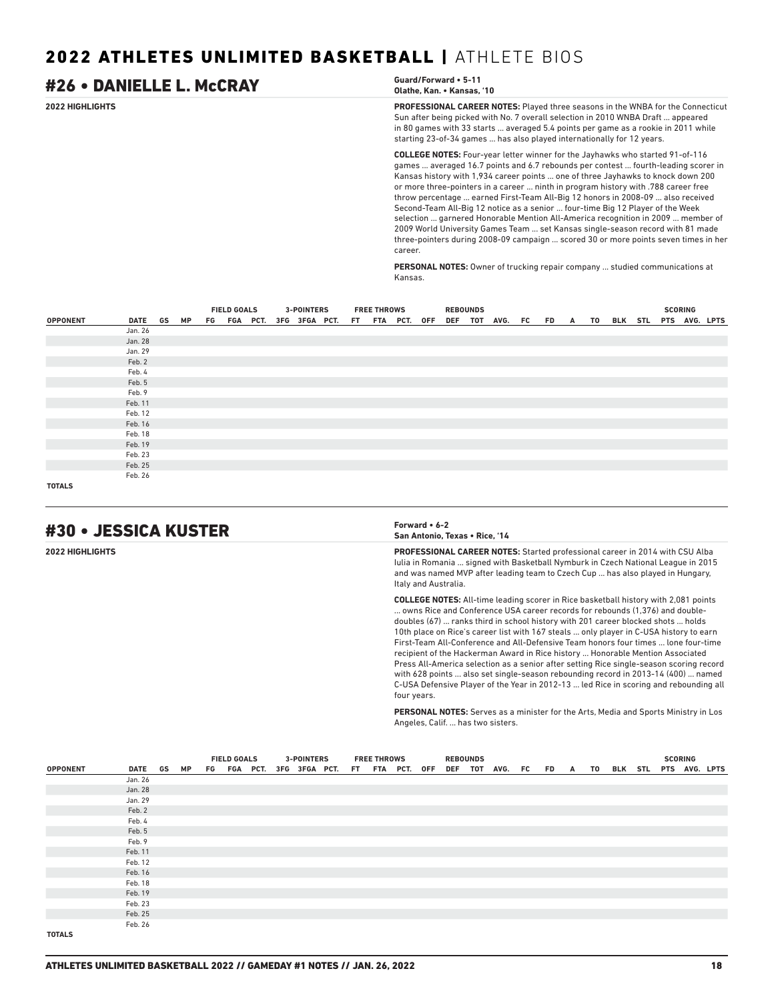### **2022 HIGHLIGHTS PROFESSIONAL CAREER NOTES:** Played three seasons in the WNBA for the Connecticut Sun after being picked with No. 7 overall selection in 2010 WNBA Draft ... appeared in 80 games with 33 starts ... averaged 5.4 points per game as a rookie in 2011 while starting 23-of-34 games ... has also played internationally for 12 years. **COLLEGE NOTES:** Four-year letter winner for the Jayhawks who started 91-of-116 games ... averaged 16.7 points and 6.7 rebounds per contest ... fourth-leading scorer in Kansas history with 1,934 career points ... one of three Jayhawks to knock down 200 or more three-pointers in a career ... ninth in program history with .788 career free throw percentage ... earned First-Team All-Big 12 honors in 2008-09 ... also received Second-Team All-Big 12 notice as a senior ... four-time Big 12 Player of the Week selection ... garnered Honorable Mention All-America recognition in 2009 ... member of 2009 World University Games Team ... set Kansas single-season record with 81 made #26 • DANIELLE L. McCRAY **Guard/Forward • 5-11 Olathe, Kan. • Kansas, '10**

career.

**PERSONAL NOTES:** Owner of trucking repair company ... studied communications at Kansas.

three-pointers during 2008-09 campaign ... scored 30 or more points seven times in her

|                 |            |  | <b>FIELD GOALS</b> |  | <b>3-POINTERS</b>                         |  | <b>FREE THROWS</b> |  | <b>REBOUNDS</b> |                                               |  |  |  | <b>SCORING</b> |  |
|-----------------|------------|--|--------------------|--|-------------------------------------------|--|--------------------|--|-----------------|-----------------------------------------------|--|--|--|----------------|--|
| <b>OPPONENT</b> | DATE GS MP |  |                    |  | FG FGA PCT. 3FG 3FGA PCT. FT FTA PCT. OFF |  |                    |  |                 | DEF TOT AVG. FC FD A TO BLK STL PTS AVG. LPTS |  |  |  |                |  |
|                 | Jan. 26    |  |                    |  |                                           |  |                    |  |                 |                                               |  |  |  |                |  |
|                 | Jan. 28    |  |                    |  |                                           |  |                    |  |                 |                                               |  |  |  |                |  |
|                 | Jan. 29    |  |                    |  |                                           |  |                    |  |                 |                                               |  |  |  |                |  |
|                 | Feb. 2     |  |                    |  |                                           |  |                    |  |                 |                                               |  |  |  |                |  |
|                 | Feb. 4     |  |                    |  |                                           |  |                    |  |                 |                                               |  |  |  |                |  |
|                 | Feb. 5     |  |                    |  |                                           |  |                    |  |                 |                                               |  |  |  |                |  |
|                 | Feb. 9     |  |                    |  |                                           |  |                    |  |                 |                                               |  |  |  |                |  |
|                 | Feb. 11    |  |                    |  |                                           |  |                    |  |                 |                                               |  |  |  |                |  |
|                 | Feb. 12    |  |                    |  |                                           |  |                    |  |                 |                                               |  |  |  |                |  |
|                 | Feb. 16    |  |                    |  |                                           |  |                    |  |                 |                                               |  |  |  |                |  |
|                 | Feb. 18    |  |                    |  |                                           |  |                    |  |                 |                                               |  |  |  |                |  |
|                 | Feb. 19    |  |                    |  |                                           |  |                    |  |                 |                                               |  |  |  |                |  |
|                 | Feb. 23    |  |                    |  |                                           |  |                    |  |                 |                                               |  |  |  |                |  |
|                 | Feb. 25    |  |                    |  |                                           |  |                    |  |                 |                                               |  |  |  |                |  |
|                 | Feb. 26    |  |                    |  |                                           |  |                    |  |                 |                                               |  |  |  |                |  |
| <b>TOTALS</b>   |            |  |                    |  |                                           |  |                    |  |                 |                                               |  |  |  |                |  |

# #30 • JESSICA KUSTER **Forward • 6-2**



**2022 HIGHLIGHTS PROFESSIONAL CAREER NOTES:** Started professional career in 2014 with CSU Alba Iulia in Romania ... signed with Basketball Nymburk in Czech National League in 2015 and was named MVP after leading team to Czech Cup ... has also played in Hungary, Italy and Australia.

> **COLLEGE NOTES:** All-time leading scorer in Rice basketball history with 2,081 points ... owns Rice and Conference USA career records for rebounds (1,376) and doubledoubles (67) ... ranks third in school history with 201 career blocked shots ... holds 10th place on Rice's career list with 167 steals ... only player in C-USA history to earn First-Team All-Conference and All-Defensive Team honors four times ... lone four-time recipient of the Hackerman Award in Rice history ... Honorable Mention Associated Press All-America selection as a senior after setting Rice single-season scoring record with 628 points ... also set single-season rebounding record in 2013-14 (400) ... named C-USA Defensive Player of the Year in 2012-13 ... led Rice in scoring and rebounding all four years.

> **PERSONAL NOTES:** Serves as a minister for the Arts, Media and Sports Ministry in Los Angeles, Calif. ... has two sisters.

|                 |            |  | <b>FIELD GOALS</b> |                                           |  | <b>3-POINTERS</b> |  | <b>FREE THROWS</b> |  | <b>REBOUNDS</b> |                                               |  |  |  | <b>SCORING</b> |  |
|-----------------|------------|--|--------------------|-------------------------------------------|--|-------------------|--|--------------------|--|-----------------|-----------------------------------------------|--|--|--|----------------|--|
| <b>OPPONENT</b> | DATE GS MP |  |                    | FG FGA PCT. 3FG 3FGA PCT. FT FTA PCT. OFF |  |                   |  |                    |  |                 | DEF TOT AVG. FC FD A TO BLK STL PTS AVG. LPTS |  |  |  |                |  |
|                 | Jan. 26    |  |                    |                                           |  |                   |  |                    |  |                 |                                               |  |  |  |                |  |
|                 | Jan. 28    |  |                    |                                           |  |                   |  |                    |  |                 |                                               |  |  |  |                |  |
|                 | Jan. 29    |  |                    |                                           |  |                   |  |                    |  |                 |                                               |  |  |  |                |  |
|                 | Feb. 2     |  |                    |                                           |  |                   |  |                    |  |                 |                                               |  |  |  |                |  |
|                 | Feb. 4     |  |                    |                                           |  |                   |  |                    |  |                 |                                               |  |  |  |                |  |
|                 | Feb. 5     |  |                    |                                           |  |                   |  |                    |  |                 |                                               |  |  |  |                |  |
|                 | Feb. 9     |  |                    |                                           |  |                   |  |                    |  |                 |                                               |  |  |  |                |  |
|                 | Feb. 11    |  |                    |                                           |  |                   |  |                    |  |                 |                                               |  |  |  |                |  |
|                 | Feb. 12    |  |                    |                                           |  |                   |  |                    |  |                 |                                               |  |  |  |                |  |
|                 | Feb. 16    |  |                    |                                           |  |                   |  |                    |  |                 |                                               |  |  |  |                |  |
|                 | Feb. 18    |  |                    |                                           |  |                   |  |                    |  |                 |                                               |  |  |  |                |  |
|                 | Feb. 19    |  |                    |                                           |  |                   |  |                    |  |                 |                                               |  |  |  |                |  |
|                 | Feb. 23    |  |                    |                                           |  |                   |  |                    |  |                 |                                               |  |  |  |                |  |
|                 | Feb. 25    |  |                    |                                           |  |                   |  |                    |  |                 |                                               |  |  |  |                |  |
|                 | Feb. 26    |  |                    |                                           |  |                   |  |                    |  |                 |                                               |  |  |  |                |  |
| <b>TOTALS</b>   |            |  |                    |                                           |  |                   |  |                    |  |                 |                                               |  |  |  |                |  |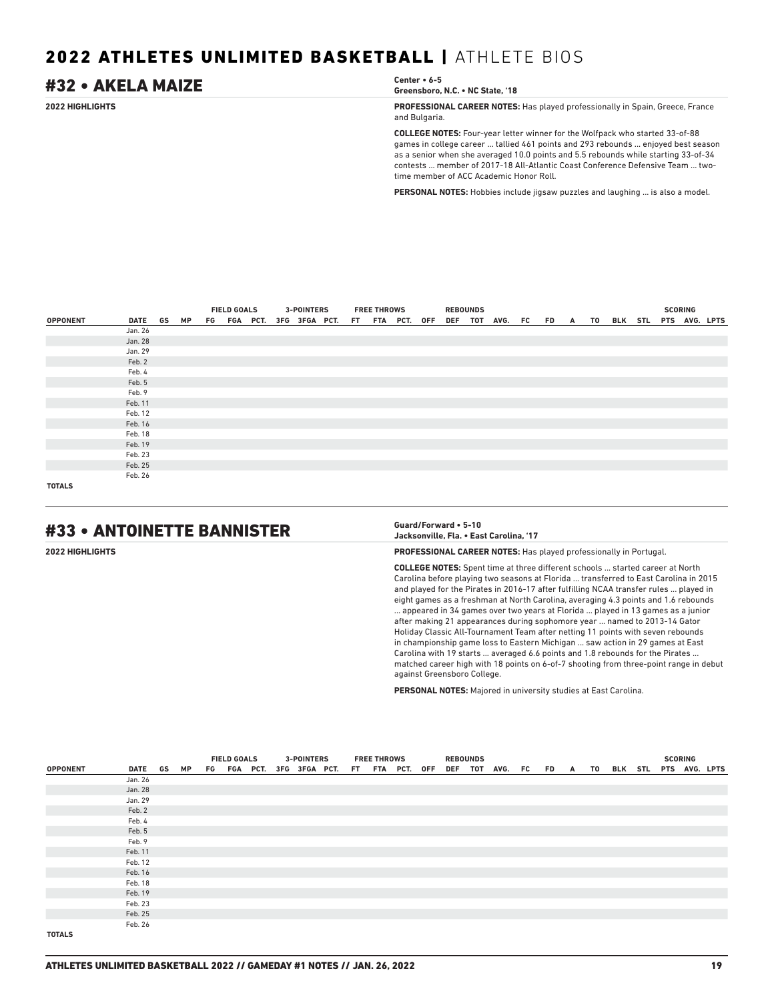# #32 • AKELA MAIZE **Center • 6-5**

**Greensboro, N.C. • NC State, '18**

**2022 HIGHLIGHTS PROFESSIONAL CAREER NOTES:** Has played professionally in Spain, Greece, France and Bulgaria.

> **COLLEGE NOTES:** Four-year letter winner for the Wolfpack who started 33-of-88 games in college career ... tallied 461 points and 293 rebounds ... enjoyed best season as a senior when she averaged 10.0 points and 5.5 rebounds while starting 33-of-34 contests ... member of 2017-18 All-Atlantic Coast Conference Defensive Team ... twotime member of ACC Academic Honor Roll.

**PERSONAL NOTES:** Hobbies include jigsaw puzzles and laughing ... is also a model.

|                 |         |    | <b>FIELD GOALS</b> |  | <b>3-POINTERS</b> |                                           | <b>FREE THROWS</b> |  | <b>REBOUNDS</b> |                                               |  |  |  | <b>SCORING</b> |  |
|-----------------|---------|----|--------------------|--|-------------------|-------------------------------------------|--------------------|--|-----------------|-----------------------------------------------|--|--|--|----------------|--|
| <b>OPPONENT</b> | DATE GS | МP |                    |  |                   | FG FGA PCT. 3FG 3FGA PCT. FT FTA PCT. OFF |                    |  |                 | DEF TOT AVG. FC FD A TO BLK STL PTS AVG. LPTS |  |  |  |                |  |
|                 | Jan. 26 |    |                    |  |                   |                                           |                    |  |                 |                                               |  |  |  |                |  |
|                 | Jan. 28 |    |                    |  |                   |                                           |                    |  |                 |                                               |  |  |  |                |  |
|                 | Jan. 29 |    |                    |  |                   |                                           |                    |  |                 |                                               |  |  |  |                |  |
|                 | Feb. 2  |    |                    |  |                   |                                           |                    |  |                 |                                               |  |  |  |                |  |
|                 | Feb. 4  |    |                    |  |                   |                                           |                    |  |                 |                                               |  |  |  |                |  |
|                 | Feb. 5  |    |                    |  |                   |                                           |                    |  |                 |                                               |  |  |  |                |  |
|                 | Feb. 9  |    |                    |  |                   |                                           |                    |  |                 |                                               |  |  |  |                |  |
|                 | Feb. 11 |    |                    |  |                   |                                           |                    |  |                 |                                               |  |  |  |                |  |
|                 | Feb. 12 |    |                    |  |                   |                                           |                    |  |                 |                                               |  |  |  |                |  |
|                 | Feb. 16 |    |                    |  |                   |                                           |                    |  |                 |                                               |  |  |  |                |  |
|                 | Feb. 18 |    |                    |  |                   |                                           |                    |  |                 |                                               |  |  |  |                |  |
|                 | Feb. 19 |    |                    |  |                   |                                           |                    |  |                 |                                               |  |  |  |                |  |
|                 | Feb. 23 |    |                    |  |                   |                                           |                    |  |                 |                                               |  |  |  |                |  |
|                 | Feb. 25 |    |                    |  |                   |                                           |                    |  |                 |                                               |  |  |  |                |  |
|                 | Feb. 26 |    |                    |  |                   |                                           |                    |  |                 |                                               |  |  |  |                |  |
| <b>TOTALS</b>   |         |    |                    |  |                   |                                           |                    |  |                 |                                               |  |  |  |                |  |

# #33 • ANTOINETTE BANNISTER **Guard/Forward • 5-10**

# **Jacksonville, Fla. • East Carolina, '17**

**2022 HIGHLIGHTS PROFESSIONAL CAREER NOTES:** Has played professionally in Portugal.

**COLLEGE NOTES:** Spent time at three different schools ... started career at North Carolina before playing two seasons at Florida ... transferred to East Carolina in 2015 and played for the Pirates in 2016-17 after fulfilling NCAA transfer rules ... played in eight games as a freshman at North Carolina, averaging 4.3 points and 1.6 rebounds ... appeared in 34 games over two years at Florida ... played in 13 games as a junior after making 21 appearances during sophomore year ... named to 2013-14 Gator Holiday Classic All-Tournament Team after netting 11 points with seven rebounds in championship game loss to Eastern Michigan ... saw action in 29 games at East Carolina with 19 starts ... averaged 6.6 points and 1.8 rebounds for the Pirates . matched career high with 18 points on 6-of-7 shooting from three-point range in debut against Greensboro College.

**PERSONAL NOTES:** Majored in university studies at East Carolina.

|                 |            |  | <b>FIELD GOALS</b> |  | <b>3-POINTERS</b>                         |  | <b>FREE THROWS</b> |  | <b>REBOUNDS</b> |                      |  |  |  | <b>SCORING</b> |                          |
|-----------------|------------|--|--------------------|--|-------------------------------------------|--|--------------------|--|-----------------|----------------------|--|--|--|----------------|--------------------------|
| <b>OPPONENT</b> | DATE GS MP |  |                    |  | FG FGA PCT. 3FG 3FGA PCT. FT FTA PCT. OFF |  |                    |  |                 | DEF TOT AVG. FC FD A |  |  |  |                | TO BLK STL PTS AVG. LPTS |
|                 | Jan. 26    |  |                    |  |                                           |  |                    |  |                 |                      |  |  |  |                |                          |
|                 | Jan. 28    |  |                    |  |                                           |  |                    |  |                 |                      |  |  |  |                |                          |
|                 | Jan. 29    |  |                    |  |                                           |  |                    |  |                 |                      |  |  |  |                |                          |
|                 | Feb. 2     |  |                    |  |                                           |  |                    |  |                 |                      |  |  |  |                |                          |
|                 | Feb. 4     |  |                    |  |                                           |  |                    |  |                 |                      |  |  |  |                |                          |
|                 | Feb. 5     |  |                    |  |                                           |  |                    |  |                 |                      |  |  |  |                |                          |
|                 | Feb. 9     |  |                    |  |                                           |  |                    |  |                 |                      |  |  |  |                |                          |
|                 | Feb. 11    |  |                    |  |                                           |  |                    |  |                 |                      |  |  |  |                |                          |
|                 | Feb. 12    |  |                    |  |                                           |  |                    |  |                 |                      |  |  |  |                |                          |
|                 | Feb. 16    |  |                    |  |                                           |  |                    |  |                 |                      |  |  |  |                |                          |
|                 | Feb. 18    |  |                    |  |                                           |  |                    |  |                 |                      |  |  |  |                |                          |
|                 | Feb. 19    |  |                    |  |                                           |  |                    |  |                 |                      |  |  |  |                |                          |
|                 | Feb. 23    |  |                    |  |                                           |  |                    |  |                 |                      |  |  |  |                |                          |
|                 | Feb. 25    |  |                    |  |                                           |  |                    |  |                 |                      |  |  |  |                |                          |
|                 | Feb. 26    |  |                    |  |                                           |  |                    |  |                 |                      |  |  |  |                |                          |
| <b>TOTALS</b>   |            |  |                    |  |                                           |  |                    |  |                 |                      |  |  |  |                |                          |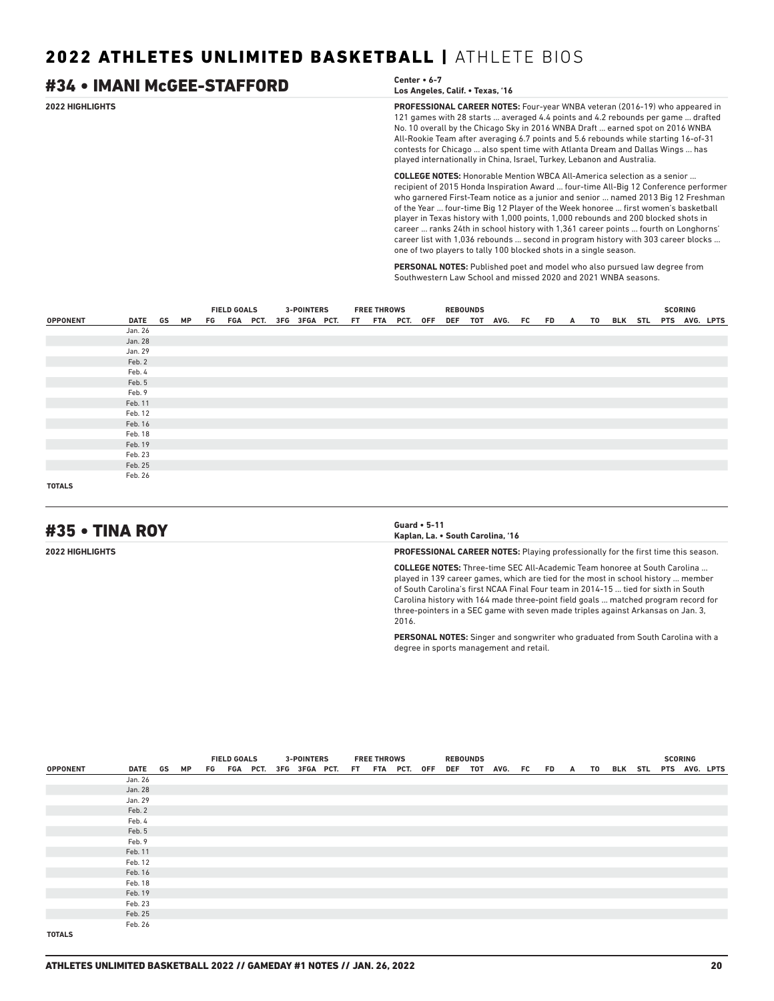| #34 • IMANI McGEE-STAFFORD | Center • 6-7<br>Los Angeles, Calif. • Texas, '16                                                                                                                                                                                                                                                                                                                                                                                                                                                                                                                                                                                                                                         |
|----------------------------|------------------------------------------------------------------------------------------------------------------------------------------------------------------------------------------------------------------------------------------------------------------------------------------------------------------------------------------------------------------------------------------------------------------------------------------------------------------------------------------------------------------------------------------------------------------------------------------------------------------------------------------------------------------------------------------|
| 2022 HIGHLIGHTS            | <b>PROFESSIONAL CAREER NOTES:</b> Four-year WNBA veteran (2016-19) who appeared in<br>121 games with 28 starts  averaged 4.4 points and 4.2 rebounds per game  drafted<br>No. 10 overall by the Chicago Sky in 2016 WNBA Draft  earned spot on 2016 WNBA<br>All-Rookie Team after averaging 6.7 points and 5.6 rebounds while starting 16-of-31<br>contests for Chicago  also spent time with Atlanta Dream and Dallas Wings  has<br>played internationally in China, Israel, Turkey, Lebanon and Australia.                                                                                                                                                                             |
|                            | <b>COLLEGE NOTES:</b> Honorable Mention WBCA All-America selection as a senior<br>recipient of 2015 Honda Inspiration Award  four-time All-Big 12 Conference performer<br>who garnered First-Team notice as a junior and senior  named 2013 Big 12 Freshman<br>of the Year  four-time Big 12 Player of the Week honoree  first women's basketball<br>player in Texas history with 1,000 points, 1,000 rebounds and 200 blocked shots in<br>career  ranks 24th in school history with 1,361 career points  fourth on Longhorns'<br>career list with 1,036 rebounds  second in program history with 303 career blocks<br>one of two players to tally 100 blocked shots in a single season. |

**PERSONAL NOTES:** Published poet and model who also pursued law degree from Southwestern Law School and missed 2020 and 2021 WNBA seasons.

|                 |         |           | <b>FIELD GOALS</b> |  | <b>3-POINTERS</b>         |  | <b>FREE THROWS</b> |                 | <b>REBOUNDS</b> |                                 |  |  |  | <b>SCORING</b> |               |
|-----------------|---------|-----------|--------------------|--|---------------------------|--|--------------------|-----------------|-----------------|---------------------------------|--|--|--|----------------|---------------|
| <b>OPPONENT</b> | DATE GS | <b>MP</b> |                    |  | FG FGA PCT. 3FG 3FGA PCT. |  |                    | FT FTA PCT. OFF |                 | DEF TOT AVG. FC FD A TO BLK STL |  |  |  |                | PTS AVG. LPTS |
|                 | Jan. 26 |           |                    |  |                           |  |                    |                 |                 |                                 |  |  |  |                |               |
|                 | Jan. 28 |           |                    |  |                           |  |                    |                 |                 |                                 |  |  |  |                |               |
|                 | Jan. 29 |           |                    |  |                           |  |                    |                 |                 |                                 |  |  |  |                |               |
|                 | Feb. 2  |           |                    |  |                           |  |                    |                 |                 |                                 |  |  |  |                |               |
|                 | Feb. 4  |           |                    |  |                           |  |                    |                 |                 |                                 |  |  |  |                |               |
|                 | Feb. 5  |           |                    |  |                           |  |                    |                 |                 |                                 |  |  |  |                |               |
|                 | Feb. 9  |           |                    |  |                           |  |                    |                 |                 |                                 |  |  |  |                |               |
|                 | Feb. 11 |           |                    |  |                           |  |                    |                 |                 |                                 |  |  |  |                |               |
|                 | Feb. 12 |           |                    |  |                           |  |                    |                 |                 |                                 |  |  |  |                |               |
|                 | Feb. 16 |           |                    |  |                           |  |                    |                 |                 |                                 |  |  |  |                |               |
|                 | Feb. 18 |           |                    |  |                           |  |                    |                 |                 |                                 |  |  |  |                |               |
|                 | Feb. 19 |           |                    |  |                           |  |                    |                 |                 |                                 |  |  |  |                |               |
|                 | Feb. 23 |           |                    |  |                           |  |                    |                 |                 |                                 |  |  |  |                |               |
|                 | Feb. 25 |           |                    |  |                           |  |                    |                 |                 |                                 |  |  |  |                |               |
|                 | Feb. 26 |           |                    |  |                           |  |                    |                 |                 |                                 |  |  |  |                |               |
| <b>TOTALS</b>   |         |           |                    |  |                           |  |                    |                 |                 |                                 |  |  |  |                |               |

# #35 • TINA ROY **Guard • 5-11**

**Kaplan, La. • South Carolina, '16**

**2022 HIGHLIGHTS PROFESSIONAL CAREER NOTES:** Playing professionally for the first time this season.

**COLLEGE NOTES:** Three-time SEC All-Academic Team honoree at South Carolina ... played in 139 career games, which are tied for the most in school history ... member of South Carolina's first NCAA Final Four team in 2014-15 ... tied for sixth in South Carolina history with 164 made three-point field goals ... matched program record for three-pointers in a SEC game with seven made triples against Arkansas on Jan. 3, 2016.

**PERSONAL NOTES:** Singer and songwriter who graduated from South Carolina with a degree in sports management and retail.

|                 |         |    |                                           |  |  | <b>3-POINTERS</b> |  | <b>FREE THROWS</b> |  | <b>REBOUNDS</b> |                 |  |  |  | <b>SCORING</b> |                               |
|-----------------|---------|----|-------------------------------------------|--|--|-------------------|--|--------------------|--|-----------------|-----------------|--|--|--|----------------|-------------------------------|
| <b>OPPONENT</b> | DATE GS | МP | <b>FIELD GOALS</b>                        |  |  |                   |  |                    |  |                 | DEF TOT AVG. FC |  |  |  |                | FD A TO BLK STL PTS AVG. LPTS |
|                 | Jan. 26 |    | FG FGA PCT. 3FG 3FGA PCT. FT FTA PCT. OFF |  |  |                   |  |                    |  |                 |                 |  |  |  |                |                               |
|                 | Jan. 28 |    |                                           |  |  |                   |  |                    |  |                 |                 |  |  |  |                |                               |
|                 | Jan. 29 |    |                                           |  |  |                   |  |                    |  |                 |                 |  |  |  |                |                               |
|                 | Feb. 2  |    |                                           |  |  |                   |  |                    |  |                 |                 |  |  |  |                |                               |
|                 | Feb. 4  |    |                                           |  |  |                   |  |                    |  |                 |                 |  |  |  |                |                               |
|                 | Feb. 5  |    |                                           |  |  |                   |  |                    |  |                 |                 |  |  |  |                |                               |
|                 | Feb. 9  |    |                                           |  |  |                   |  |                    |  |                 |                 |  |  |  |                |                               |
|                 | Feb. 11 |    |                                           |  |  |                   |  |                    |  |                 |                 |  |  |  |                |                               |
|                 | Feb. 12 |    |                                           |  |  |                   |  |                    |  |                 |                 |  |  |  |                |                               |
|                 | Feb. 16 |    |                                           |  |  |                   |  |                    |  |                 |                 |  |  |  |                |                               |
|                 | Feb. 18 |    |                                           |  |  |                   |  |                    |  |                 |                 |  |  |  |                |                               |
|                 | Feb. 19 |    |                                           |  |  |                   |  |                    |  |                 |                 |  |  |  |                |                               |
|                 | Feb. 23 |    |                                           |  |  |                   |  |                    |  |                 |                 |  |  |  |                |                               |
|                 | Feb. 25 |    |                                           |  |  |                   |  |                    |  |                 |                 |  |  |  |                |                               |
|                 | Feb. 26 |    |                                           |  |  |                   |  |                    |  |                 |                 |  |  |  |                |                               |
| <b>TOTALS</b>   |         |    |                                           |  |  |                   |  |                    |  |                 |                 |  |  |  |                |                               |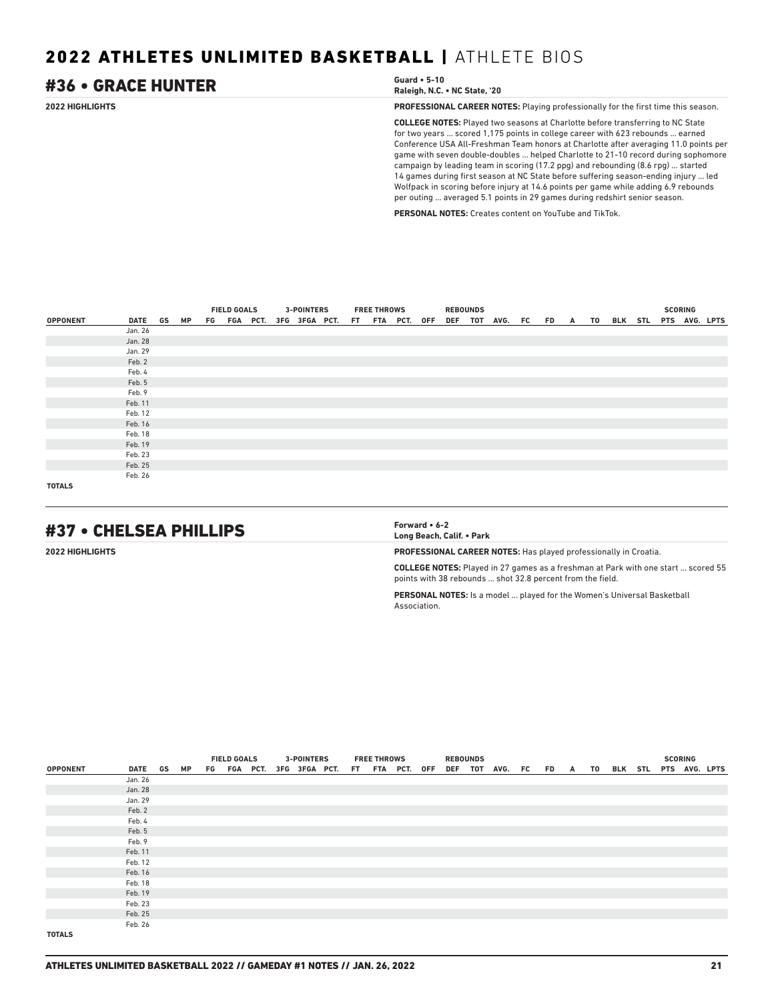### **2022 HIGHLIGHTS PROFESSIONAL CAREER NOTES:** Playing professionally for the first time this season. **COLLEGE NOTES:** Played two seasons at Charlotte before transferring to NC State for two years ... scored 1,175 points in college career with 623 rebounds ... earned Conference USA All-Freshman Team honors at Charlotte after averaging 11.0 points per game with seven double-doubles ... helped Charlotte to 21-10 record during sophomore campaign by leading team in scoring (17.2 ppg) and rebounding (8.6 rpg) ... started 14 games during first season at NC State before suffering season-ending injury ... led Wolfpack in scoring before injury at 14.6 points per game while adding 6.9 rebounds #36 • GRACE HUNTER **Guard • 5-10 Raleigh, N.C. • NC State, '20**

**PERSONAL NOTES:** Creates content on YouTube and TikTok.

per outing ... averaged 5.1 points in 29 games during redshirt senior season.

|                 |         |    | <b>FIELD GOALS</b>                        |  |  | <b>3-POINTERS</b> |  | <b>FREE THROWS</b> |  | <b>REBOUNDS</b> |                                               |  |  |  | <b>SCORING</b> |  |
|-----------------|---------|----|-------------------------------------------|--|--|-------------------|--|--------------------|--|-----------------|-----------------------------------------------|--|--|--|----------------|--|
| <b>OPPONENT</b> | DATE GS | МP |                                           |  |  |                   |  |                    |  |                 | DEF TOT AVG. FC FD A TO BLK STL PTS AVG. LPTS |  |  |  |                |  |
|                 | Jan. 26 |    | FG FGA PCT. 3FG 3FGA PCT. FT FTA PCT. OFF |  |  |                   |  |                    |  |                 |                                               |  |  |  |                |  |
|                 | Jan. 28 |    |                                           |  |  |                   |  |                    |  |                 |                                               |  |  |  |                |  |
|                 | Jan. 29 |    |                                           |  |  |                   |  |                    |  |                 |                                               |  |  |  |                |  |
|                 | Feb. 2  |    |                                           |  |  |                   |  |                    |  |                 |                                               |  |  |  |                |  |
|                 | Feb. 4  |    |                                           |  |  |                   |  |                    |  |                 |                                               |  |  |  |                |  |
|                 | Feb. 5  |    |                                           |  |  |                   |  |                    |  |                 |                                               |  |  |  |                |  |
|                 | Feb. 9  |    |                                           |  |  |                   |  |                    |  |                 |                                               |  |  |  |                |  |
|                 | Feb. 11 |    |                                           |  |  |                   |  |                    |  |                 |                                               |  |  |  |                |  |
|                 | Feb. 12 |    |                                           |  |  |                   |  |                    |  |                 |                                               |  |  |  |                |  |
|                 | Feb. 16 |    |                                           |  |  |                   |  |                    |  |                 |                                               |  |  |  |                |  |
|                 | Feb. 18 |    |                                           |  |  |                   |  |                    |  |                 |                                               |  |  |  |                |  |
|                 | Feb. 19 |    |                                           |  |  |                   |  |                    |  |                 |                                               |  |  |  |                |  |
|                 | Feb. 23 |    |                                           |  |  |                   |  |                    |  |                 |                                               |  |  |  |                |  |
|                 | Feb. 25 |    |                                           |  |  |                   |  |                    |  |                 |                                               |  |  |  |                |  |
|                 | Feb. 26 |    |                                           |  |  |                   |  |                    |  |                 |                                               |  |  |  |                |  |
| <b>TOTALS</b>   |         |    |                                           |  |  |                   |  |                    |  |                 |                                               |  |  |  |                |  |

# #37 • CHELSEA PHILLIPS **Forward • 6-2**

**Long Beach, Calif. • Park**

**2022 HIGHLIGHTS PROFESSIONAL CAREER NOTES:** Has played professionally in Croatia.

**COLLEGE NOTES:** Played in 27 games as a freshman at Park with one start ... scored 55 points with 38 rebounds ... shot 32.8 percent from the field.

**PERSONAL NOTES:** Is a model ... played for the Women's Universal Basketball Association.

|                 |         |           | <b>FIELD GOALS</b> |             | <b>3-POINTERS</b> |  | <b>FREE THROWS</b> |                 | <b>REBOUNDS</b> |                 |           |          |    |                       |  | <b>SCORING</b> |  |
|-----------------|---------|-----------|--------------------|-------------|-------------------|--|--------------------|-----------------|-----------------|-----------------|-----------|----------|----|-----------------------|--|----------------|--|
| <b>OPPONENT</b> | DATE GS | <b>MP</b> |                    | FG FGA PCT. | 3FG 3FGA PCT.     |  |                    | FT FTA PCT. OFF |                 | DEF TOT AVG. FC | <b>FD</b> | <b>A</b> | TO | BLK STL PTS AVG. LPTS |  |                |  |
|                 | Jan. 26 |           |                    |             |                   |  |                    |                 |                 |                 |           |          |    |                       |  |                |  |
|                 | Jan. 28 |           |                    |             |                   |  |                    |                 |                 |                 |           |          |    |                       |  |                |  |
|                 | Jan. 29 |           |                    |             |                   |  |                    |                 |                 |                 |           |          |    |                       |  |                |  |
|                 | Feb. 2  |           |                    |             |                   |  |                    |                 |                 |                 |           |          |    |                       |  |                |  |
|                 | Feb. 4  |           |                    |             |                   |  |                    |                 |                 |                 |           |          |    |                       |  |                |  |
|                 | Feb. 5  |           |                    |             |                   |  |                    |                 |                 |                 |           |          |    |                       |  |                |  |
|                 | Feb. 9  |           |                    |             |                   |  |                    |                 |                 |                 |           |          |    |                       |  |                |  |
|                 | Feb. 11 |           |                    |             |                   |  |                    |                 |                 |                 |           |          |    |                       |  |                |  |
|                 | Feb. 12 |           |                    |             |                   |  |                    |                 |                 |                 |           |          |    |                       |  |                |  |
|                 | Feb. 16 |           |                    |             |                   |  |                    |                 |                 |                 |           |          |    |                       |  |                |  |
|                 | Feb. 18 |           |                    |             |                   |  |                    |                 |                 |                 |           |          |    |                       |  |                |  |
|                 | Feb. 19 |           |                    |             |                   |  |                    |                 |                 |                 |           |          |    |                       |  |                |  |
|                 | Feb. 23 |           |                    |             |                   |  |                    |                 |                 |                 |           |          |    |                       |  |                |  |
|                 | Feb. 25 |           |                    |             |                   |  |                    |                 |                 |                 |           |          |    |                       |  |                |  |
|                 | Feb. 26 |           |                    |             |                   |  |                    |                 |                 |                 |           |          |    |                       |  |                |  |
| <b>TOTALS</b>   |         |           |                    |             |                   |  |                    |                 |                 |                 |           |          |    |                       |  |                |  |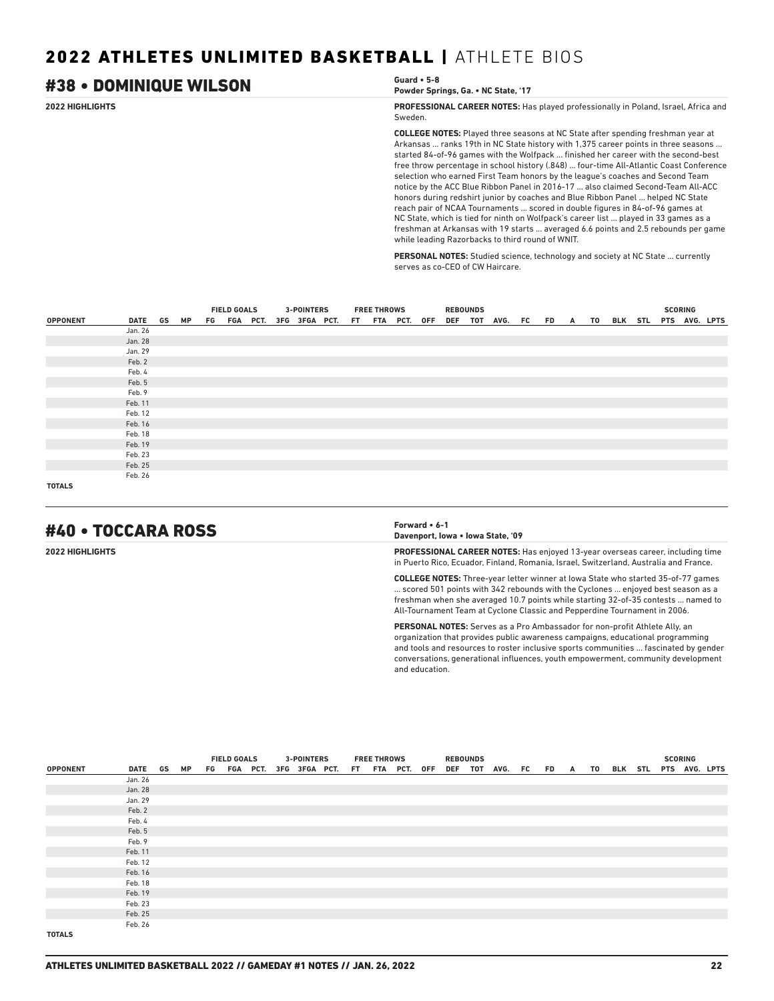# #38 • DOMINIQUE WILSON **Guard • 5-8**

**Powder Springs, Ga. • NC State, '17**

**2022 HIGHLIGHTS PROFESSIONAL CAREER NOTES:** Has played professionally in Poland, Israel, Africa and Sweden.

> **COLLEGE NOTES:** Played three seasons at NC State after spending freshman year at Arkansas ... ranks 19th in NC State history with 1,375 career points in three seasons ... started 84-of-96 games with the Wolfpack ... finished her career with the second-best free throw percentage in school history (.848) ... four-time All-Atlantic Coast Conference selection who earned First Team honors by the league's coaches and Second Team notice by the ACC Blue Ribbon Panel in 2016-17 ... also claimed Second-Team All-ACC honors during redshirt junior by coaches and Blue Ribbon Panel ... helped NC State reach pair of NCAA Tournaments ... scored in double figures in 84-of-96 games at NC State, which is tied for ninth on Wolfpack's career list ... played in 33 games as a freshman at Arkansas with 19 starts ... averaged 6.6 points and 2.5 rebounds per game while leading Razorbacks to third round of WNIT.

**PERSONAL NOTES:** Studied science, technology and society at NC State ... currently serves as co-CEO of CW Haircare.

|                 |            |  | <b>FIELD GOALS</b> |  | <b>3-POINTERS</b>                         |  | <b>FREE THROWS</b> |  | <b>REBOUNDS</b> |                                               |  |  |  | <b>SCORING</b> |  |
|-----------------|------------|--|--------------------|--|-------------------------------------------|--|--------------------|--|-----------------|-----------------------------------------------|--|--|--|----------------|--|
| <b>OPPONENT</b> | DATE GS MP |  |                    |  | FG FGA PCT. 3FG 3FGA PCT. FT FTA PCT. OFF |  |                    |  |                 | DEF TOT AVG. FC FD A TO BLK STL PTS AVG. LPTS |  |  |  |                |  |
|                 | Jan. 26    |  |                    |  |                                           |  |                    |  |                 |                                               |  |  |  |                |  |
|                 | Jan. 28    |  |                    |  |                                           |  |                    |  |                 |                                               |  |  |  |                |  |
|                 | Jan. 29    |  |                    |  |                                           |  |                    |  |                 |                                               |  |  |  |                |  |
|                 | Feb. 2     |  |                    |  |                                           |  |                    |  |                 |                                               |  |  |  |                |  |
|                 | Feb. 4     |  |                    |  |                                           |  |                    |  |                 |                                               |  |  |  |                |  |
|                 | Feb. 5     |  |                    |  |                                           |  |                    |  |                 |                                               |  |  |  |                |  |
|                 | Feb. 9     |  |                    |  |                                           |  |                    |  |                 |                                               |  |  |  |                |  |
|                 | Feb. 11    |  |                    |  |                                           |  |                    |  |                 |                                               |  |  |  |                |  |
|                 | Feb. 12    |  |                    |  |                                           |  |                    |  |                 |                                               |  |  |  |                |  |
|                 | Feb. 16    |  |                    |  |                                           |  |                    |  |                 |                                               |  |  |  |                |  |
|                 | Feb. 18    |  |                    |  |                                           |  |                    |  |                 |                                               |  |  |  |                |  |
|                 | Feb. 19    |  |                    |  |                                           |  |                    |  |                 |                                               |  |  |  |                |  |
|                 | Feb. 23    |  |                    |  |                                           |  |                    |  |                 |                                               |  |  |  |                |  |
|                 | Feb. 25    |  |                    |  |                                           |  |                    |  |                 |                                               |  |  |  |                |  |
|                 | Feb. 26    |  |                    |  |                                           |  |                    |  |                 |                                               |  |  |  |                |  |
| <b>TOTALS</b>   |            |  |                    |  |                                           |  |                    |  |                 |                                               |  |  |  |                |  |

# #40 • TOCCARA ROSS **Forward • 6-1**

**Davenport, Iowa • Iowa State, '09**

**2022 HIGHLIGHTS PROFESSIONAL CAREER NOTES:** Has enjoyed 13-year overseas career, including time in Puerto Rico, Ecuador, Finland, Romania, Israel, Switzerland, Australia and France.

> **COLLEGE NOTES:** Three-year letter winner at Iowa State who started 35-of-77 games ... scored 501 points with 342 rebounds with the Cyclones ... enjoyed best season as a freshman when she averaged 10.7 points while starting 32-of-35 contests ... named to All-Tournament Team at Cyclone Classic and Pepperdine Tournament in 2006.

> **PERSONAL NOTES:** Serves as a Pro Ambassador for non-profit Athlete Ally, an organization that provides public awareness campaigns, educational programming and tools and resources to roster inclusive sports communities ... fascinated by gender conversations, generational influences, youth empowerment, community development and education.

|                 |         |           | <b>FIELD GOALS</b>                        |  |  | <b>3-POINTERS</b> |  | <b>FREE THROWS</b> |  | <b>REBOUNDS</b> |                                               |  |  |  | <b>SCORING</b> |  |
|-----------------|---------|-----------|-------------------------------------------|--|--|-------------------|--|--------------------|--|-----------------|-----------------------------------------------|--|--|--|----------------|--|
| <b>OPPONENT</b> | DATE GS | <b>MP</b> |                                           |  |  |                   |  |                    |  |                 | DEF TOT AVG. FC FD A TO BLK STL PTS AVG. LPTS |  |  |  |                |  |
|                 | Jan. 26 |           | FG FGA PCT. 3FG 3FGA PCT. FT FTA PCT. OFF |  |  |                   |  |                    |  |                 |                                               |  |  |  |                |  |
|                 | Jan. 28 |           |                                           |  |  |                   |  |                    |  |                 |                                               |  |  |  |                |  |
|                 | Jan. 29 |           |                                           |  |  |                   |  |                    |  |                 |                                               |  |  |  |                |  |
|                 | Feb. 2  |           |                                           |  |  |                   |  |                    |  |                 |                                               |  |  |  |                |  |
|                 | Feb. 4  |           |                                           |  |  |                   |  |                    |  |                 |                                               |  |  |  |                |  |
|                 | Feb. 5  |           |                                           |  |  |                   |  |                    |  |                 |                                               |  |  |  |                |  |
|                 | Feb. 9  |           |                                           |  |  |                   |  |                    |  |                 |                                               |  |  |  |                |  |
|                 | Feb. 11 |           |                                           |  |  |                   |  |                    |  |                 |                                               |  |  |  |                |  |
|                 | Feb. 12 |           |                                           |  |  |                   |  |                    |  |                 |                                               |  |  |  |                |  |
|                 | Feb. 16 |           |                                           |  |  |                   |  |                    |  |                 |                                               |  |  |  |                |  |
|                 | Feb. 18 |           |                                           |  |  |                   |  |                    |  |                 |                                               |  |  |  |                |  |
|                 | Feb. 19 |           |                                           |  |  |                   |  |                    |  |                 |                                               |  |  |  |                |  |
|                 | Feb. 23 |           |                                           |  |  |                   |  |                    |  |                 |                                               |  |  |  |                |  |
|                 | Feb. 25 |           |                                           |  |  |                   |  |                    |  |                 |                                               |  |  |  |                |  |
|                 | Feb. 26 |           |                                           |  |  |                   |  |                    |  |                 |                                               |  |  |  |                |  |
| <b>TOTALS</b>   |         |           |                                           |  |  |                   |  |                    |  |                 |                                               |  |  |  |                |  |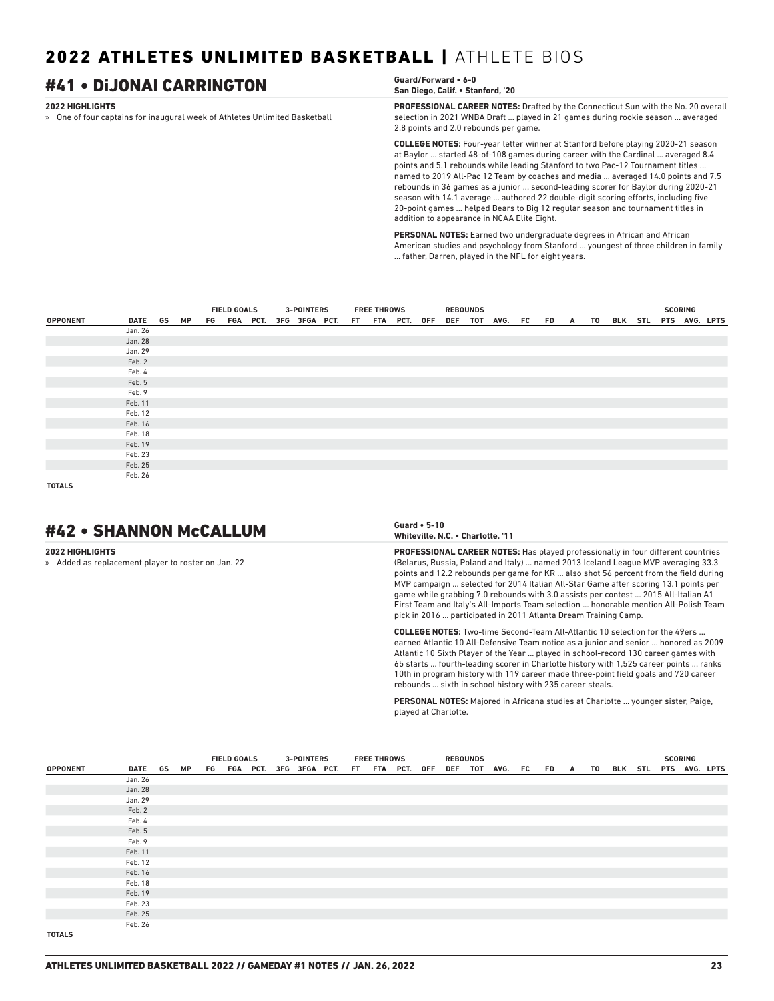# #41 • DiJONAI CARRINGTON **Guard/Forward • 6-0**

### **2022 HIGHLIGHTS**

» One of four captains for inaugural week of Athletes Unlimited Basketball

## **San Diego, Calif. • Stanford, '20**

**PROFESSIONAL CAREER NOTES:** Drafted by the Connecticut Sun with the No. 20 overall selection in 2021 WNBA Draft ... played in 21 games during rookie season ... averaged 2.8 points and 2.0 rebounds per game.

**COLLEGE NOTES:** Four-year letter winner at Stanford before playing 2020-21 season at Baylor ... started 48-of-108 games during career with the Cardinal ... averaged 8.4 points and 5.1 rebounds while leading Stanford to two Pac-12 Tournament titles ... named to 2019 All-Pac 12 Team by coaches and media ... averaged 14.0 points and 7.5 rebounds in 36 games as a junior ... second-leading scorer for Baylor during 2020-21 season with 14.1 average ... authored 22 double-digit scoring efforts, including five 20-point games ... helped Bears to Big 12 regular season and tournament titles in addition to appearance in NCAA Elite Eight.

**PERSONAL NOTES:** Earned two undergraduate degrees in African and African American studies and psychology from Stanford ... youngest of three children in family ... father, Darren, played in the NFL for eight years.

|                 |         |    | <b>FIELD GOALS</b>                        |  |  | <b>3-POINTERS</b> |  | <b>FREE THROWS</b> |  | <b>REBOUNDS</b> |                 |     |   |    |                       |  | <b>SCORING</b> |  |
|-----------------|---------|----|-------------------------------------------|--|--|-------------------|--|--------------------|--|-----------------|-----------------|-----|---|----|-----------------------|--|----------------|--|
| <b>OPPONENT</b> | DATE GS | МP |                                           |  |  |                   |  |                    |  |                 | DEF TOT AVG. FC | FD. | A | TO | BLK STL PTS AVG. LPTS |  |                |  |
|                 | Jan. 26 |    | FG FGA PCT. 3FG 3FGA PCT. FT FTA PCT. OFF |  |  |                   |  |                    |  |                 |                 |     |   |    |                       |  |                |  |
|                 | Jan. 28 |    |                                           |  |  |                   |  |                    |  |                 |                 |     |   |    |                       |  |                |  |
|                 | Jan. 29 |    |                                           |  |  |                   |  |                    |  |                 |                 |     |   |    |                       |  |                |  |
|                 | Feb. 2  |    |                                           |  |  |                   |  |                    |  |                 |                 |     |   |    |                       |  |                |  |
|                 | Feb. 4  |    |                                           |  |  |                   |  |                    |  |                 |                 |     |   |    |                       |  |                |  |
|                 | Feb. 5  |    |                                           |  |  |                   |  |                    |  |                 |                 |     |   |    |                       |  |                |  |
|                 | Feb. 9  |    |                                           |  |  |                   |  |                    |  |                 |                 |     |   |    |                       |  |                |  |
|                 | Feb. 11 |    |                                           |  |  |                   |  |                    |  |                 |                 |     |   |    |                       |  |                |  |
|                 | Feb. 12 |    |                                           |  |  |                   |  |                    |  |                 |                 |     |   |    |                       |  |                |  |
|                 | Feb. 16 |    |                                           |  |  |                   |  |                    |  |                 |                 |     |   |    |                       |  |                |  |
|                 | Feb. 18 |    |                                           |  |  |                   |  |                    |  |                 |                 |     |   |    |                       |  |                |  |
|                 | Feb. 19 |    |                                           |  |  |                   |  |                    |  |                 |                 |     |   |    |                       |  |                |  |
|                 | Feb. 23 |    |                                           |  |  |                   |  |                    |  |                 |                 |     |   |    |                       |  |                |  |
|                 | Feb. 25 |    |                                           |  |  |                   |  |                    |  |                 |                 |     |   |    |                       |  |                |  |
|                 | Feb. 26 |    |                                           |  |  |                   |  |                    |  |                 |                 |     |   |    |                       |  |                |  |
| <b>TOTALS</b>   |         |    |                                           |  |  |                   |  |                    |  |                 |                 |     |   |    |                       |  |                |  |

# #42 • SHANNON McCALLUM **Guard • 5-10**

### **2022 HIGHLIGHTS**

» Added as replacement player to roster on Jan. 22

### **Whiteville, N.C. • Charlotte, '11**

**PROFESSIONAL CAREER NOTES:** Has played professionally in four different countries (Belarus, Russia, Poland and Italy) ... named 2013 Iceland League MVP averaging 33.3 points and 12.2 rebounds per game for KR ... also shot 56 percent from the field during MVP campaign ... selected for 2014 Italian All-Star Game after scoring 13.1 points per game while grabbing 7.0 rebounds with 3.0 assists per contest ... 2015 All-Italian A1 First Team and Italy's All-Imports Team selection ... honorable mention All-Polish Team pick in 2016 ... participated in 2011 Atlanta Dream Training Camp.

**COLLEGE NOTES:** Two-time Second-Team All-Atlantic 10 selection for the 49ers ... earned Atlantic 10 All-Defensive Team notice as a junior and senior ... honored as 2009 Atlantic 10 Sixth Player of the Year ... played in school-record 130 career games with 65 starts ... fourth-leading scorer in Charlotte history with 1,525 career points ... ranks 10th in program history with 119 career made three-point field goals and 720 career rebounds ... sixth in school history with 235 career steals.

**PERSONAL NOTES:** Majored in Africana studies at Charlotte ... younger sister, Paige, played at Charlotte.

|                 |         |    | <b>FIELD GOALS</b><br>FG FGA PCT. 3FG 3FGA PCT. FT FTA PCT. OFF |  |  | <b>3-POINTERS</b> |  | <b>FREE THROWS</b> |  | <b>REBOUNDS</b> |                         |  |  |  | <b>SCORING</b> |                       |
|-----------------|---------|----|-----------------------------------------------------------------|--|--|-------------------|--|--------------------|--|-----------------|-------------------------|--|--|--|----------------|-----------------------|
| <b>OPPONENT</b> | DATE GS | MP |                                                                 |  |  |                   |  |                    |  |                 | DEF TOT AVG. FC FD A TO |  |  |  |                | BLK STL PTS AVG. LPTS |
|                 | Jan. 26 |    |                                                                 |  |  |                   |  |                    |  |                 |                         |  |  |  |                |                       |
|                 | Jan. 28 |    |                                                                 |  |  |                   |  |                    |  |                 |                         |  |  |  |                |                       |
|                 | Jan. 29 |    |                                                                 |  |  |                   |  |                    |  |                 |                         |  |  |  |                |                       |
|                 | Feb. 2  |    |                                                                 |  |  |                   |  |                    |  |                 |                         |  |  |  |                |                       |
|                 | Feb. 4  |    |                                                                 |  |  |                   |  |                    |  |                 |                         |  |  |  |                |                       |
|                 | Feb. 5  |    |                                                                 |  |  |                   |  |                    |  |                 |                         |  |  |  |                |                       |
|                 | Feb. 9  |    |                                                                 |  |  |                   |  |                    |  |                 |                         |  |  |  |                |                       |
|                 | Feb. 11 |    |                                                                 |  |  |                   |  |                    |  |                 |                         |  |  |  |                |                       |
|                 | Feb. 12 |    |                                                                 |  |  |                   |  |                    |  |                 |                         |  |  |  |                |                       |
|                 | Feb. 16 |    |                                                                 |  |  |                   |  |                    |  |                 |                         |  |  |  |                |                       |
|                 | Feb. 18 |    |                                                                 |  |  |                   |  |                    |  |                 |                         |  |  |  |                |                       |
|                 | Feb. 19 |    |                                                                 |  |  |                   |  |                    |  |                 |                         |  |  |  |                |                       |
|                 | Feb. 23 |    |                                                                 |  |  |                   |  |                    |  |                 |                         |  |  |  |                |                       |
|                 | Feb. 25 |    |                                                                 |  |  |                   |  |                    |  |                 |                         |  |  |  |                |                       |
|                 | Feb. 26 |    |                                                                 |  |  |                   |  |                    |  |                 |                         |  |  |  |                |                       |
| <b>TOTALS</b>   |         |    |                                                                 |  |  |                   |  |                    |  |                 |                         |  |  |  |                |                       |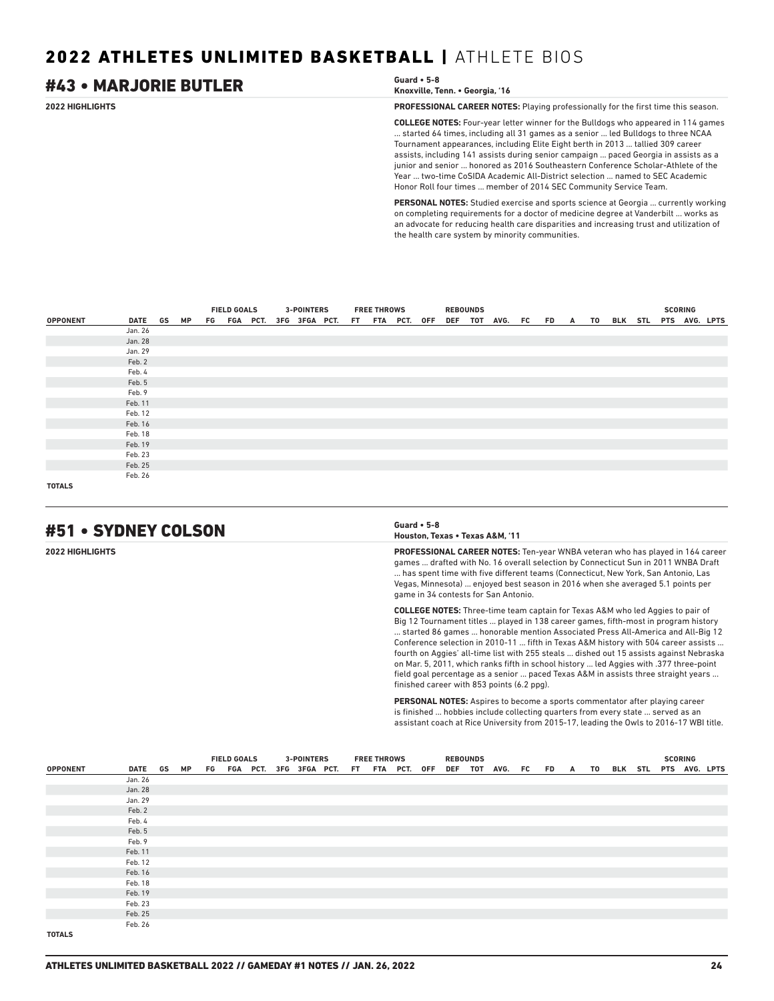### **2022 HIGHLIGHTS PROFESSIONAL CAREER NOTES:** Playing professionally for the first time this season. **COLLEGE NOTES:** Four-year letter winner for the Bulldogs who appeared in 114 games ... started 64 times, including all 31 games as a senior ... led Bulldogs to three NCAA Tournament appearances, including Elite Eight berth in 2013 ... tallied 309 career assists, including 141 assists during senior campaign ... paced Georgia in assists as a junior and senior ... honored as 2016 Southeastern Conference Scholar-Athlete of the Year ... two-time CoSIDA Academic All-District selection ... named to SEC Academic Honor Roll four times ... member of 2014 SEC Community Service Team. **PERSONAL NOTES:** Studied exercise and sports science at Georgia ... currently working #43 • MARJORIE BUTLER **Guard • 5-8 Knoxville, Tenn. • Georgia, '16**

on completing requirements for a doctor of medicine degree at Vanderbilt ... works as an advocate for reducing health care disparities and increasing trust and utilization of the health care system by minority communities.

|                 |            |  |                                                                 |  |  |  | <b>3-POINTERS</b> |  | <b>FREE THROWS</b> |  | <b>REBOUNDS</b> |                      |  |  |                          | <b>SCORING</b> |  |
|-----------------|------------|--|-----------------------------------------------------------------|--|--|--|-------------------|--|--------------------|--|-----------------|----------------------|--|--|--------------------------|----------------|--|
| <b>OPPONENT</b> | DATE GS MP |  | <b>FIELD GOALS</b><br>FG FGA PCT. 3FG 3FGA PCT. FT FTA PCT. OFF |  |  |  |                   |  |                    |  |                 | DEF TOT AVG. FC FD A |  |  | TO BLK STL PTS AVG. LPTS |                |  |
|                 | Jan. 26    |  |                                                                 |  |  |  |                   |  |                    |  |                 |                      |  |  |                          |                |  |
|                 | Jan. 28    |  |                                                                 |  |  |  |                   |  |                    |  |                 |                      |  |  |                          |                |  |
|                 | Jan. 29    |  |                                                                 |  |  |  |                   |  |                    |  |                 |                      |  |  |                          |                |  |
|                 | Feb. 2     |  |                                                                 |  |  |  |                   |  |                    |  |                 |                      |  |  |                          |                |  |
|                 | Feb. 4     |  |                                                                 |  |  |  |                   |  |                    |  |                 |                      |  |  |                          |                |  |
|                 | Feb. 5     |  |                                                                 |  |  |  |                   |  |                    |  |                 |                      |  |  |                          |                |  |
|                 | Feb. 9     |  |                                                                 |  |  |  |                   |  |                    |  |                 |                      |  |  |                          |                |  |
|                 | Feb. 11    |  |                                                                 |  |  |  |                   |  |                    |  |                 |                      |  |  |                          |                |  |
|                 | Feb. 12    |  |                                                                 |  |  |  |                   |  |                    |  |                 |                      |  |  |                          |                |  |
|                 | Feb. 16    |  |                                                                 |  |  |  |                   |  |                    |  |                 |                      |  |  |                          |                |  |
|                 | Feb. 18    |  |                                                                 |  |  |  |                   |  |                    |  |                 |                      |  |  |                          |                |  |
|                 | Feb. 19    |  |                                                                 |  |  |  |                   |  |                    |  |                 |                      |  |  |                          |                |  |
|                 | Feb. 23    |  |                                                                 |  |  |  |                   |  |                    |  |                 |                      |  |  |                          |                |  |
|                 | Feb. 25    |  |                                                                 |  |  |  |                   |  |                    |  |                 |                      |  |  |                          |                |  |
|                 | Feb. 26    |  |                                                                 |  |  |  |                   |  |                    |  |                 |                      |  |  |                          |                |  |
| <b>TOTALS</b>   |            |  |                                                                 |  |  |  |                   |  |                    |  |                 |                      |  |  |                          |                |  |

# #51 • SYDNEY COLSON **Guard • 5-8**

**Houston, Texas • Texas A&M, '11**

**2022 HIGHLIGHTS PROFESSIONAL CAREER NOTES:** Ten-year WNBA veteran who has played in 164 career games ... drafted with No. 16 overall selection by Connecticut Sun in 2011 WNBA Draft ... has spent time with five different teams (Connecticut, New York, San Antonio, Las Vegas, Minnesota) ... enjoyed best season in 2016 when she averaged 5.1 points per game in 34 contests for San Antonio.

> **COLLEGE NOTES:** Three-time team captain for Texas A&M who led Aggies to pair of Big 12 Tournament titles ... played in 138 career games, fifth-most in program history ... started 86 games ... honorable mention Associated Press All-America and All-Big 12 Conference selection in 2010-11 ... fifth in Texas A&M history with 504 career assists ... fourth on Aggies' all-time list with 255 steals ... dished out 15 assists against Nebraska on Mar. 5, 2011, which ranks fifth in school history ... led Aggies with .377 three-point field goal percentage as a senior ... paced Texas A&M in assists three straight years ... finished career with 853 points (6.2 ppg).

> **PERSONAL NOTES:** Aspires to become a sports commentator after playing career is finished ... hobbies include collecting quarters from every state ... served as an assistant coach at Rice University from 2015-17, leading the Owls to 2016-17 WBI title.

|                 |         |    | <b>FIELD GOALS</b>                        |  |  | <b>3-POINTERS</b> |  | <b>FREE THROWS</b> |  | <b>REBOUNDS</b> |                                               |  |  |  | <b>SCORING</b> |  |
|-----------------|---------|----|-------------------------------------------|--|--|-------------------|--|--------------------|--|-----------------|-----------------------------------------------|--|--|--|----------------|--|
| <b>OPPONENT</b> | DATE GS | MP |                                           |  |  |                   |  |                    |  |                 | DEF TOT AVG. FC FD A TO BLK STL PTS AVG. LPTS |  |  |  |                |  |
|                 | Jan. 26 |    | FG FGA PCT. 3FG 3FGA PCT. FT FTA PCT. OFF |  |  |                   |  |                    |  |                 |                                               |  |  |  |                |  |
|                 | Jan. 28 |    |                                           |  |  |                   |  |                    |  |                 |                                               |  |  |  |                |  |
|                 | Jan. 29 |    |                                           |  |  |                   |  |                    |  |                 |                                               |  |  |  |                |  |
|                 | Feb. 2  |    |                                           |  |  |                   |  |                    |  |                 |                                               |  |  |  |                |  |
|                 | Feb. 4  |    |                                           |  |  |                   |  |                    |  |                 |                                               |  |  |  |                |  |
|                 | Feb. 5  |    |                                           |  |  |                   |  |                    |  |                 |                                               |  |  |  |                |  |
|                 | Feb. 9  |    |                                           |  |  |                   |  |                    |  |                 |                                               |  |  |  |                |  |
|                 | Feb. 11 |    |                                           |  |  |                   |  |                    |  |                 |                                               |  |  |  |                |  |
|                 | Feb. 12 |    |                                           |  |  |                   |  |                    |  |                 |                                               |  |  |  |                |  |
|                 | Feb. 16 |    |                                           |  |  |                   |  |                    |  |                 |                                               |  |  |  |                |  |
|                 | Feb. 18 |    |                                           |  |  |                   |  |                    |  |                 |                                               |  |  |  |                |  |
|                 | Feb. 19 |    |                                           |  |  |                   |  |                    |  |                 |                                               |  |  |  |                |  |
|                 | Feb. 23 |    |                                           |  |  |                   |  |                    |  |                 |                                               |  |  |  |                |  |
|                 | Feb. 25 |    |                                           |  |  |                   |  |                    |  |                 |                                               |  |  |  |                |  |
|                 | Feb. 26 |    |                                           |  |  |                   |  |                    |  |                 |                                               |  |  |  |                |  |
| <b>TOTALS</b>   |         |    |                                           |  |  |                   |  |                    |  |                 |                                               |  |  |  |                |  |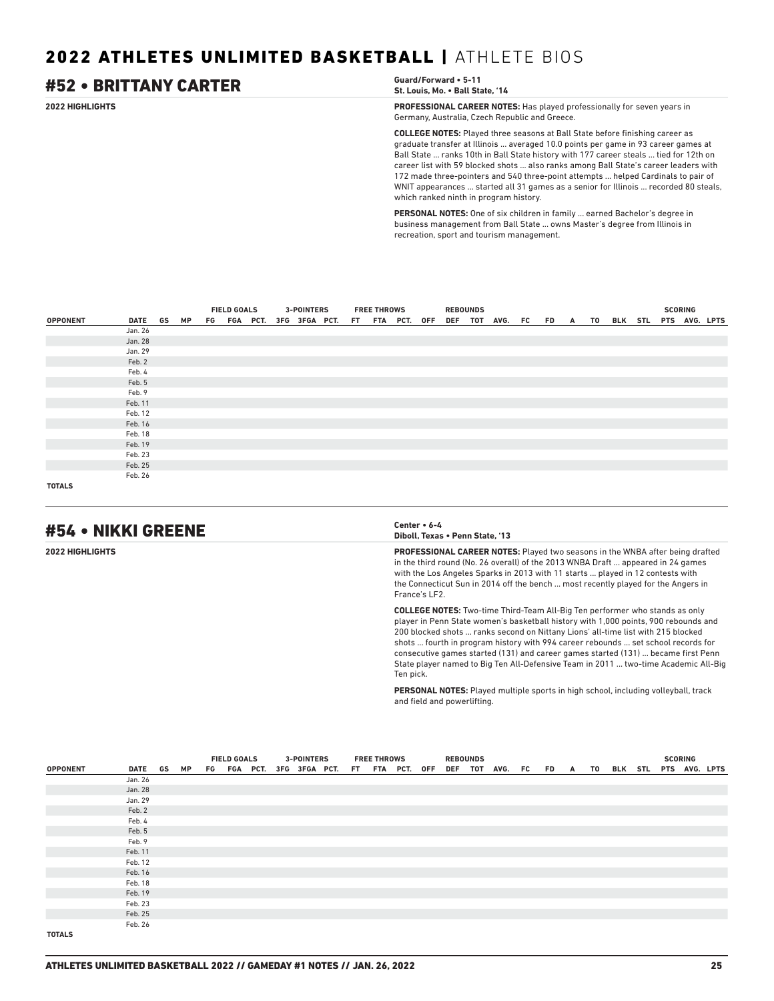### **2022 HIGHLIGHTS PROFESSIONAL CAREER NOTES:** Has played professionally for seven years in Germany, Australia, Czech Republic and Greece. **COLLEGE NOTES:** Played three seasons at Ball State before finishing career as graduate transfer at Illinois ... averaged 10.0 points per game in 93 career games at Ball State ... ranks 10th in Ball State history with 177 career steals ... tied for 12th on career list with 59 blocked shots ... also ranks among Ball State's career leaders with 172 made three-pointers and 540 three-point attempts ... helped Cardinals to pair of WNIT appearances ... started all 31 games as a senior for Illinois ... recorded 80 steals, #52 • BRITTANY CARTER **Guard/Forward • 5-11 St. Louis, Mo. • Ball State, '14**

**PERSONAL NOTES:** One of six children in family ... earned Bachelor's degree in business management from Ball State ... owns Master's degree from Illinois in recreation, sport and tourism management.

|                 |            |  |                                           |                    |  |  | <b>3-POINTERS</b> |  | <b>FREE THROWS</b> |  | <b>REBOUNDS</b> |                                               |  |  |  | <b>SCORING</b> |  |
|-----------------|------------|--|-------------------------------------------|--------------------|--|--|-------------------|--|--------------------|--|-----------------|-----------------------------------------------|--|--|--|----------------|--|
| <b>OPPONENT</b> | DATE GS MP |  |                                           | <b>FIELD GOALS</b> |  |  |                   |  |                    |  |                 | DEF TOT AVG. FC FD A TO BLK STL PTS AVG. LPTS |  |  |  |                |  |
|                 | Jan. 26    |  | FG FGA PCT. 3FG 3FGA PCT. FT FTA PCT. OFF |                    |  |  |                   |  |                    |  |                 |                                               |  |  |  |                |  |
|                 | Jan. 28    |  |                                           |                    |  |  |                   |  |                    |  |                 |                                               |  |  |  |                |  |
|                 | Jan. 29    |  |                                           |                    |  |  |                   |  |                    |  |                 |                                               |  |  |  |                |  |
|                 | Feb. 2     |  |                                           |                    |  |  |                   |  |                    |  |                 |                                               |  |  |  |                |  |
|                 | Feb. 4     |  |                                           |                    |  |  |                   |  |                    |  |                 |                                               |  |  |  |                |  |
|                 | Feb. 5     |  |                                           |                    |  |  |                   |  |                    |  |                 |                                               |  |  |  |                |  |
|                 | Feb. 9     |  |                                           |                    |  |  |                   |  |                    |  |                 |                                               |  |  |  |                |  |
|                 | Feb. 11    |  |                                           |                    |  |  |                   |  |                    |  |                 |                                               |  |  |  |                |  |
|                 | Feb. 12    |  |                                           |                    |  |  |                   |  |                    |  |                 |                                               |  |  |  |                |  |
|                 | Feb. 16    |  |                                           |                    |  |  |                   |  |                    |  |                 |                                               |  |  |  |                |  |
|                 | Feb. 18    |  |                                           |                    |  |  |                   |  |                    |  |                 |                                               |  |  |  |                |  |
|                 | Feb. 19    |  |                                           |                    |  |  |                   |  |                    |  |                 |                                               |  |  |  |                |  |
|                 | Feb. 23    |  |                                           |                    |  |  |                   |  |                    |  |                 |                                               |  |  |  |                |  |
|                 | Feb. 25    |  |                                           |                    |  |  |                   |  |                    |  |                 |                                               |  |  |  |                |  |
|                 | Feb. 26    |  |                                           |                    |  |  |                   |  |                    |  |                 |                                               |  |  |  |                |  |
| <b>TOTALS</b>   |            |  |                                           |                    |  |  |                   |  |                    |  |                 |                                               |  |  |  |                |  |

# #54 • NIKKI GREENE **Center • 6-4**

**Diboll, Texas • Penn State, '13**

which ranked ninth in program history.

**2022 HIGHLIGHTS PROFESSIONAL CAREER NOTES:** Played two seasons in the WNBA after being drafted in the third round (No. 26 overall) of the 2013 WNBA Draft ... appeared in 24 games with the Los Angeles Sparks in 2013 with 11 starts ... played in 12 contests with the Connecticut Sun in 2014 off the bench ... most recently played for the Angers in France's LF2.

> **COLLEGE NOTES:** Two-time Third-Team All-Big Ten performer who stands as only player in Penn State women's basketball history with 1,000 points, 900 rebounds and 200 blocked shots ... ranks second on Nittany Lions' all-time list with 215 blocked shots ... fourth in program history with 994 career rebounds ... set school records for consecutive games started (131) and career games started (131) ... became first Penn State player named to Big Ten All-Defensive Team in 2011 ... two-time Academic All-Big Ten pick.

**PERSONAL NOTES:** Played multiple sports in high school, including volleyball, track and field and powerlifting.

|                 |         |    | <b>FIELD GOALS</b><br>FG FGA PCT. 3FG 3FGA PCT. FT FTA PCT. OFF |  |  | <b>3-POINTERS</b> |  | <b>FREE THROWS</b> |  | <b>REBOUNDS</b> |                      |  |    |  | <b>SCORING</b> |                       |
|-----------------|---------|----|-----------------------------------------------------------------|--|--|-------------------|--|--------------------|--|-----------------|----------------------|--|----|--|----------------|-----------------------|
| <b>OPPONENT</b> | DATE GS | MP |                                                                 |  |  |                   |  |                    |  |                 | DEF TOT AVG. FC FD A |  | TO |  |                | BLK STL PTS AVG. LPTS |
|                 | Jan. 26 |    |                                                                 |  |  |                   |  |                    |  |                 |                      |  |    |  |                |                       |
|                 | Jan. 28 |    |                                                                 |  |  |                   |  |                    |  |                 |                      |  |    |  |                |                       |
|                 | Jan. 29 |    |                                                                 |  |  |                   |  |                    |  |                 |                      |  |    |  |                |                       |
|                 | Feb. 2  |    |                                                                 |  |  |                   |  |                    |  |                 |                      |  |    |  |                |                       |
|                 | Feb. 4  |    |                                                                 |  |  |                   |  |                    |  |                 |                      |  |    |  |                |                       |
|                 | Feb. 5  |    |                                                                 |  |  |                   |  |                    |  |                 |                      |  |    |  |                |                       |
|                 | Feb. 9  |    |                                                                 |  |  |                   |  |                    |  |                 |                      |  |    |  |                |                       |
|                 | Feb. 11 |    |                                                                 |  |  |                   |  |                    |  |                 |                      |  |    |  |                |                       |
|                 | Feb. 12 |    |                                                                 |  |  |                   |  |                    |  |                 |                      |  |    |  |                |                       |
|                 | Feb. 16 |    |                                                                 |  |  |                   |  |                    |  |                 |                      |  |    |  |                |                       |
|                 | Feb. 18 |    |                                                                 |  |  |                   |  |                    |  |                 |                      |  |    |  |                |                       |
|                 | Feb. 19 |    |                                                                 |  |  |                   |  |                    |  |                 |                      |  |    |  |                |                       |
|                 | Feb. 23 |    |                                                                 |  |  |                   |  |                    |  |                 |                      |  |    |  |                |                       |
|                 | Feb. 25 |    |                                                                 |  |  |                   |  |                    |  |                 |                      |  |    |  |                |                       |
|                 | Feb. 26 |    |                                                                 |  |  |                   |  |                    |  |                 |                      |  |    |  |                |                       |
| <b>TOTALS</b>   |         |    |                                                                 |  |  |                   |  |                    |  |                 |                      |  |    |  |                |                       |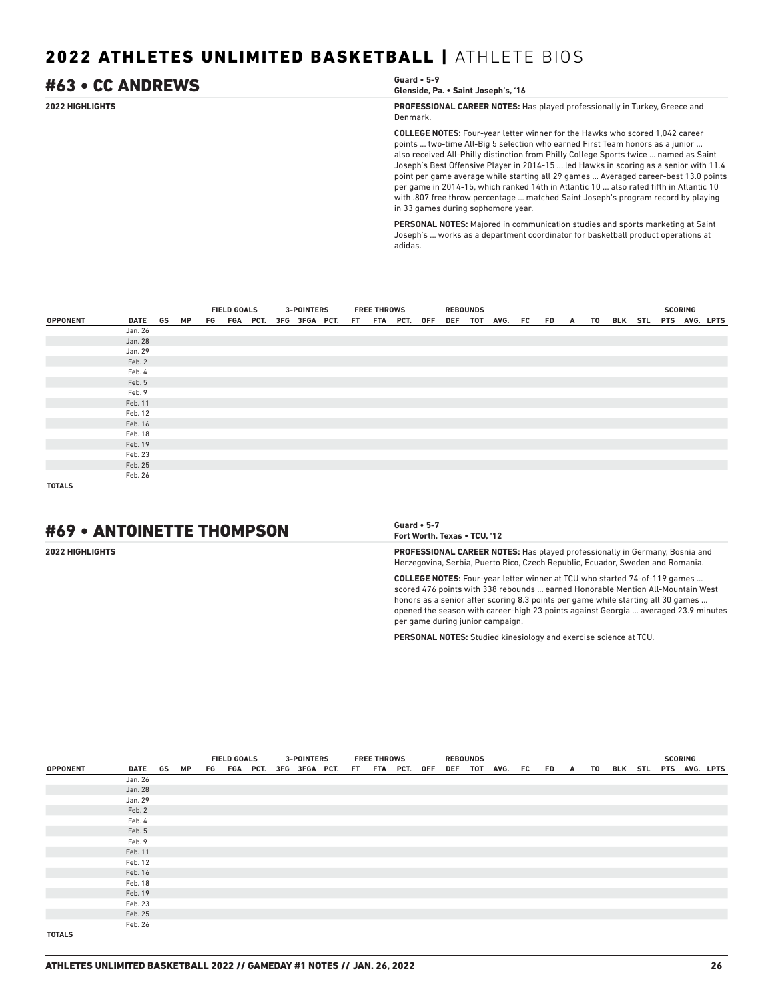# #63 • CC ANDREWS **Guard • 5-9**

```
Glenside, Pa. • Saint Joseph's, '16
```
**2022 HIGHLIGHTS PROFESSIONAL CAREER NOTES:** Has played professionally in Turkey, Greece and Denmark.

> **COLLEGE NOTES:** Four-year letter winner for the Hawks who scored 1,042 career points ... two-time All-Big 5 selection who earned First Team honors as a junior ... also received All-Philly distinction from Philly College Sports twice ... named as Saint Joseph's Best Offensive Player in 2014-15 ... led Hawks in scoring as a senior with 11.4 point per game average while starting all 29 games ... Averaged career-best 13.0 points per game in 2014-15, which ranked 14th in Atlantic 10 ... also rated fifth in Atlantic 10 with .807 free throw percentage ... matched Saint Joseph's program record by playing in 33 games during sophomore year.

**PERSONAL NOTES:** Majored in communication studies and sports marketing at Saint Joseph's ... works as a department coordinator for basketball product operations at adidas.

|                 |         |  | <b>FIELD GOALS</b><br>DATE GS MP FG FGA PCT. 3FG 3FGA PCT. FT FTA PCT. OFF DEF TOT AVG. FC FD A TO BLK STL PTS AVG. LPTS |  |  | <b>3-POINTERS</b> | <b>FREE THROWS</b> |  | <b>REBOUNDS</b> |  |  |  |  | <b>SCORING</b> |  |
|-----------------|---------|--|--------------------------------------------------------------------------------------------------------------------------|--|--|-------------------|--------------------|--|-----------------|--|--|--|--|----------------|--|
| <b>OPPONENT</b> |         |  |                                                                                                                          |  |  |                   |                    |  |                 |  |  |  |  |                |  |
|                 | Jan. 26 |  |                                                                                                                          |  |  |                   |                    |  |                 |  |  |  |  |                |  |
|                 | Jan. 28 |  |                                                                                                                          |  |  |                   |                    |  |                 |  |  |  |  |                |  |
|                 | Jan. 29 |  |                                                                                                                          |  |  |                   |                    |  |                 |  |  |  |  |                |  |
|                 | Feb. 2  |  |                                                                                                                          |  |  |                   |                    |  |                 |  |  |  |  |                |  |
|                 | Feb. 4  |  |                                                                                                                          |  |  |                   |                    |  |                 |  |  |  |  |                |  |
|                 | Feb. 5  |  |                                                                                                                          |  |  |                   |                    |  |                 |  |  |  |  |                |  |
|                 | Feb. 9  |  |                                                                                                                          |  |  |                   |                    |  |                 |  |  |  |  |                |  |
|                 | Feb. 11 |  |                                                                                                                          |  |  |                   |                    |  |                 |  |  |  |  |                |  |
|                 | Feb. 12 |  |                                                                                                                          |  |  |                   |                    |  |                 |  |  |  |  |                |  |
|                 | Feb. 16 |  |                                                                                                                          |  |  |                   |                    |  |                 |  |  |  |  |                |  |
|                 | Feb. 18 |  |                                                                                                                          |  |  |                   |                    |  |                 |  |  |  |  |                |  |
|                 | Feb. 19 |  |                                                                                                                          |  |  |                   |                    |  |                 |  |  |  |  |                |  |
|                 | Feb. 23 |  |                                                                                                                          |  |  |                   |                    |  |                 |  |  |  |  |                |  |
|                 | Feb. 25 |  |                                                                                                                          |  |  |                   |                    |  |                 |  |  |  |  |                |  |
|                 | Feb. 26 |  |                                                                                                                          |  |  |                   |                    |  |                 |  |  |  |  |                |  |
| <b>TOTALS</b>   |         |  |                                                                                                                          |  |  |                   |                    |  |                 |  |  |  |  |                |  |

# #69 • ANTOINETTE THOMPSON **Guard • 5-7**

**Fort Worth, Texas • TCU, '12**

**2022 HIGHLIGHTS PROFESSIONAL CAREER NOTES:** Has played professionally in Germany, Bosnia and Herzegovina, Serbia, Puerto Rico, Czech Republic, Ecuador, Sweden and Romania.

> **COLLEGE NOTES:** Four-year letter winner at TCU who started 74-of-119 games ... scored 476 points with 338 rebounds ... earned Honorable Mention All-Mountain West honors as a senior after scoring 8.3 points per game while starting all 30 games ... opened the season with career-high 23 points against Georgia ... averaged 23.9 minutes per game during junior campaign.

**PERSONAL NOTES:** Studied kinesiology and exercise science at TCU.

|                 |            |  | <b>FIELD GOALS</b><br>FG FGA PCT. 3FG 3FGA PCT. FT FTA PCT. OFF DEF TOT AVG. FC FD A TO BLK STL PTS AVG. LPTS |  | <b>3-POINTERS</b> |  | <b>FREE THROWS</b> |  | <b>REBOUNDS</b> |  |  |  |  | <b>SCORING</b> |  |
|-----------------|------------|--|---------------------------------------------------------------------------------------------------------------|--|-------------------|--|--------------------|--|-----------------|--|--|--|--|----------------|--|
| <b>OPPONENT</b> | DATE GS MP |  |                                                                                                               |  |                   |  |                    |  |                 |  |  |  |  |                |  |
|                 | Jan. 26    |  |                                                                                                               |  |                   |  |                    |  |                 |  |  |  |  |                |  |
|                 | Jan. 28    |  |                                                                                                               |  |                   |  |                    |  |                 |  |  |  |  |                |  |
|                 | Jan. 29    |  |                                                                                                               |  |                   |  |                    |  |                 |  |  |  |  |                |  |
|                 | Feb. 2     |  |                                                                                                               |  |                   |  |                    |  |                 |  |  |  |  |                |  |
|                 | Feb. 4     |  |                                                                                                               |  |                   |  |                    |  |                 |  |  |  |  |                |  |
|                 | Feb. 5     |  |                                                                                                               |  |                   |  |                    |  |                 |  |  |  |  |                |  |
|                 | Feb. 9     |  |                                                                                                               |  |                   |  |                    |  |                 |  |  |  |  |                |  |
|                 | Feb. 11    |  |                                                                                                               |  |                   |  |                    |  |                 |  |  |  |  |                |  |
|                 | Feb. 12    |  |                                                                                                               |  |                   |  |                    |  |                 |  |  |  |  |                |  |
|                 | Feb. 16    |  |                                                                                                               |  |                   |  |                    |  |                 |  |  |  |  |                |  |
|                 | Feb. 18    |  |                                                                                                               |  |                   |  |                    |  |                 |  |  |  |  |                |  |
|                 | Feb. 19    |  |                                                                                                               |  |                   |  |                    |  |                 |  |  |  |  |                |  |
|                 | Feb. 23    |  |                                                                                                               |  |                   |  |                    |  |                 |  |  |  |  |                |  |
|                 | Feb. 25    |  |                                                                                                               |  |                   |  |                    |  |                 |  |  |  |  |                |  |
|                 | Feb. 26    |  |                                                                                                               |  |                   |  |                    |  |                 |  |  |  |  |                |  |
| <b>TOTALS</b>   |            |  |                                                                                                               |  |                   |  |                    |  |                 |  |  |  |  |                |  |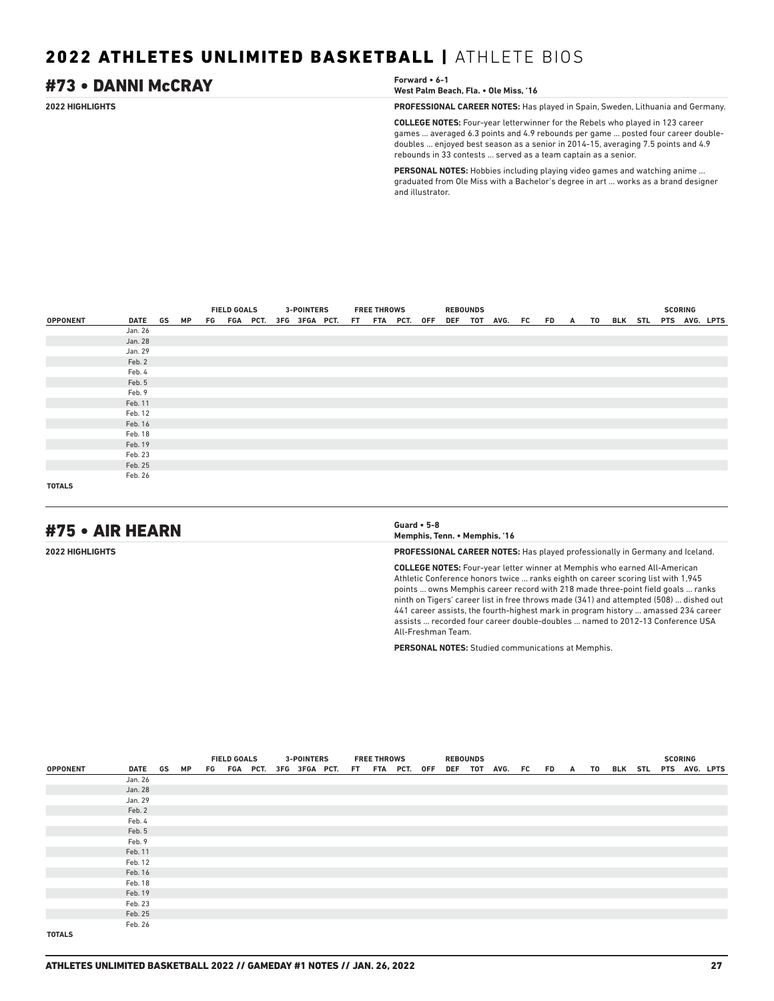### **2022 HIGHLIGHTS PROFESSIONAL CAREER NOTES:** Has played in Spain, Sweden, Lithuania and Germany. **COLLEGE NOTES:** Four-year letterwinner for the Rebels who played in 123 career games ... averaged 6.3 points and 4.9 rebounds per game ... posted four career doubledoubles ... enjoyed best season as a senior in 2014-15, averaging 7.5 points and 4.9 rebounds in 33 contests ... served as a team captain as a senior. **PERSONAL NOTES:** Hobbies including playing video games and watching anime ... #73 • DANNI McCRAY **Forward • 6-1 West Palm Beach, Fla. • Ole Miss, '16**

graduated from Ole Miss with a Bachelor's degree in art ... works as a brand designer and illustrator.

|                 |            |  | <b>FIELD GOALS</b> |  | <b>3-POINTERS</b> |                                           | <b>FREE THROWS</b> |  | <b>REBOUNDS</b> |                                               |  |  |  | <b>SCORING</b> |  |
|-----------------|------------|--|--------------------|--|-------------------|-------------------------------------------|--------------------|--|-----------------|-----------------------------------------------|--|--|--|----------------|--|
| <b>OPPONENT</b> | DATE GS MP |  |                    |  |                   | FG FGA PCT. 3FG 3FGA PCT. FT FTA PCT. OFF |                    |  |                 | DEF TOT AVG. FC FD A TO BLK STL PTS AVG. LPTS |  |  |  |                |  |
|                 | Jan. 26    |  |                    |  |                   |                                           |                    |  |                 |                                               |  |  |  |                |  |
|                 | Jan. 28    |  |                    |  |                   |                                           |                    |  |                 |                                               |  |  |  |                |  |
|                 | Jan. 29    |  |                    |  |                   |                                           |                    |  |                 |                                               |  |  |  |                |  |
|                 | Feb. 2     |  |                    |  |                   |                                           |                    |  |                 |                                               |  |  |  |                |  |
|                 | Feb. 4     |  |                    |  |                   |                                           |                    |  |                 |                                               |  |  |  |                |  |
|                 | Feb. 5     |  |                    |  |                   |                                           |                    |  |                 |                                               |  |  |  |                |  |
|                 | Feb. 9     |  |                    |  |                   |                                           |                    |  |                 |                                               |  |  |  |                |  |
|                 | Feb. 11    |  |                    |  |                   |                                           |                    |  |                 |                                               |  |  |  |                |  |
|                 | Feb. 12    |  |                    |  |                   |                                           |                    |  |                 |                                               |  |  |  |                |  |
|                 | Feb. 16    |  |                    |  |                   |                                           |                    |  |                 |                                               |  |  |  |                |  |
|                 | Feb. 18    |  |                    |  |                   |                                           |                    |  |                 |                                               |  |  |  |                |  |
|                 | Feb. 19    |  |                    |  |                   |                                           |                    |  |                 |                                               |  |  |  |                |  |
|                 | Feb. 23    |  |                    |  |                   |                                           |                    |  |                 |                                               |  |  |  |                |  |
|                 | Feb. 25    |  |                    |  |                   |                                           |                    |  |                 |                                               |  |  |  |                |  |
|                 | Feb. 26    |  |                    |  |                   |                                           |                    |  |                 |                                               |  |  |  |                |  |
| <b>TOTALS</b>   |            |  |                    |  |                   |                                           |                    |  |                 |                                               |  |  |  |                |  |

# #75 • AIR HEARN **Guard • 5-8**

**Memphis, Tenn. • Memphis, '16**

**2022 HIGHLIGHTS PROFESSIONAL CAREER NOTES:** Has played professionally in Germany and Iceland.

**COLLEGE NOTES:** Four-year letter winner at Memphis who earned All-American Athletic Conference honors twice ... ranks eighth on career scoring list with 1,945 points ... owns Memphis career record with 218 made three-point field goals ... ranks ninth on Tigers' career list in free throws made (341) and attempted (508) ... dished out 441 career assists, the fourth-highest mark in program history ... amassed 234 career assists ... recorded four career double-doubles ... named to 2012-13 Conference USA All-Freshman Team.

**PERSONAL NOTES:** Studied communications at Memphis.

|                 |         |    | <b>FIELD GOALS</b><br>FG FGA PCT. 3FG 3FGA PCT. FT FTA PCT. OFF |  | <b>3-POINTERS</b> |  | <b>FREE THROWS</b> |  | <b>REBOUNDS</b> |                 |         |  |  | <b>SCORING</b> |                       |
|-----------------|---------|----|-----------------------------------------------------------------|--|-------------------|--|--------------------|--|-----------------|-----------------|---------|--|--|----------------|-----------------------|
| <b>OPPONENT</b> | DATE GS | МP |                                                                 |  |                   |  |                    |  |                 | DEF TOT AVG. FC | FD A TO |  |  |                | BLK STL PTS AVG. LPTS |
|                 | Jan. 26 |    |                                                                 |  |                   |  |                    |  |                 |                 |         |  |  |                |                       |
|                 | Jan. 28 |    |                                                                 |  |                   |  |                    |  |                 |                 |         |  |  |                |                       |
|                 | Jan. 29 |    |                                                                 |  |                   |  |                    |  |                 |                 |         |  |  |                |                       |
|                 | Feb. 2  |    |                                                                 |  |                   |  |                    |  |                 |                 |         |  |  |                |                       |
|                 | Feb. 4  |    |                                                                 |  |                   |  |                    |  |                 |                 |         |  |  |                |                       |
|                 | Feb. 5  |    |                                                                 |  |                   |  |                    |  |                 |                 |         |  |  |                |                       |
|                 | Feb. 9  |    |                                                                 |  |                   |  |                    |  |                 |                 |         |  |  |                |                       |
|                 | Feb. 11 |    |                                                                 |  |                   |  |                    |  |                 |                 |         |  |  |                |                       |
|                 | Feb. 12 |    |                                                                 |  |                   |  |                    |  |                 |                 |         |  |  |                |                       |
|                 | Feb. 16 |    |                                                                 |  |                   |  |                    |  |                 |                 |         |  |  |                |                       |
|                 | Feb. 18 |    |                                                                 |  |                   |  |                    |  |                 |                 |         |  |  |                |                       |
|                 | Feb. 19 |    |                                                                 |  |                   |  |                    |  |                 |                 |         |  |  |                |                       |
|                 | Feb. 23 |    |                                                                 |  |                   |  |                    |  |                 |                 |         |  |  |                |                       |
|                 | Feb. 25 |    |                                                                 |  |                   |  |                    |  |                 |                 |         |  |  |                |                       |
|                 | Feb. 26 |    |                                                                 |  |                   |  |                    |  |                 |                 |         |  |  |                |                       |
| <b>TOTALS</b>   |         |    |                                                                 |  |                   |  |                    |  |                 |                 |         |  |  |                |                       |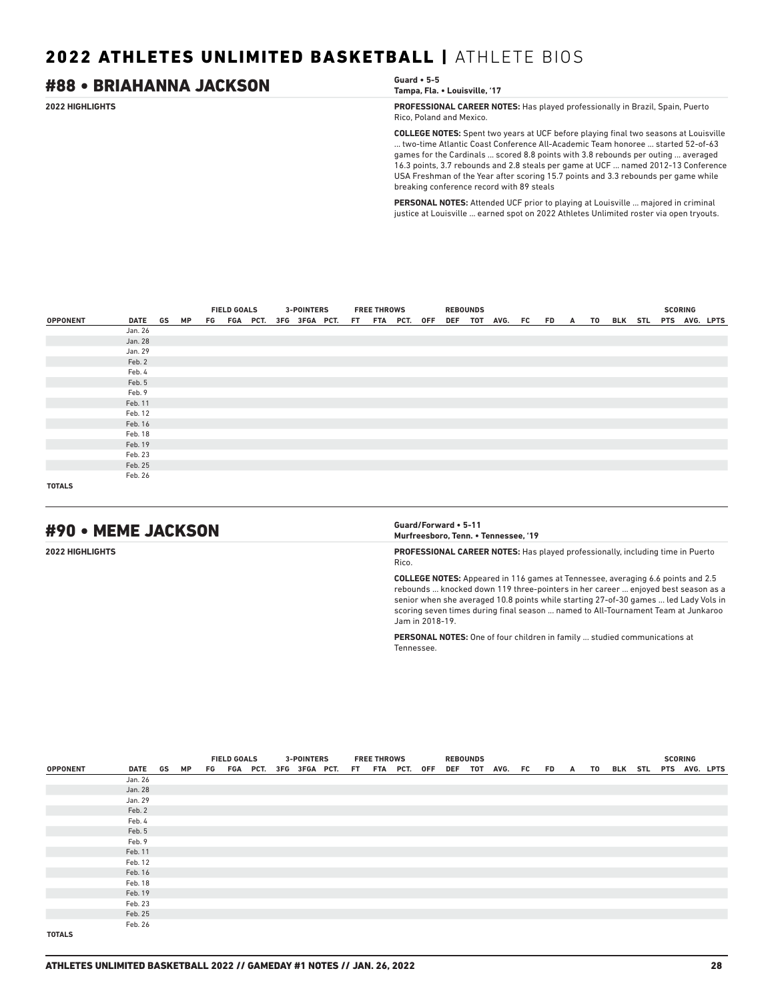### **2022 HIGHLIGHTS PROFESSIONAL CAREER NOTES:** Has played professionally in Brazil, Spain, Puerto Rico, Poland and Mexico. **COLLEGE NOTES:** Spent two years at UCF before playing final two seasons at Louisville ... two-time Atlantic Coast Conference All-Academic Team honoree ... started 52-of-63 games for the Cardinals ... scored 8.8 points with 3.8 rebounds per outing ... averaged 16.3 points, 3.7 rebounds and 2.8 steals per game at UCF ... named 2012-13 Conference USA Freshman of the Year after scoring 15.7 points and 3.3 rebounds per game while breaking conference record with 89 steals #88 • BRIAHANNA JACKSON **Guard • 5-5 Tampa, Fla. • Louisville, '17**

**PERSONAL NOTES:** Attended UCF prior to playing at Louisville ... majored in criminal justice at Louisville ... earned spot on 2022 Athletes Unlimited roster via open tryouts.

|                 |            |  | <b>FIELD GOALS</b> |  | <b>3-POINTERS</b> |                                           | <b>FREE THROWS</b> |  | <b>REBOUNDS</b> |                                               |  |  |  | <b>SCORING</b> |  |
|-----------------|------------|--|--------------------|--|-------------------|-------------------------------------------|--------------------|--|-----------------|-----------------------------------------------|--|--|--|----------------|--|
| <b>OPPONENT</b> | DATE GS MP |  |                    |  |                   | FG FGA PCT. 3FG 3FGA PCT. FT FTA PCT. OFF |                    |  |                 | DEF TOT AVG. FC FD A TO BLK STL PTS AVG. LPTS |  |  |  |                |  |
|                 | Jan. 26    |  |                    |  |                   |                                           |                    |  |                 |                                               |  |  |  |                |  |
|                 | Jan. 28    |  |                    |  |                   |                                           |                    |  |                 |                                               |  |  |  |                |  |
|                 | Jan. 29    |  |                    |  |                   |                                           |                    |  |                 |                                               |  |  |  |                |  |
|                 | Feb. 2     |  |                    |  |                   |                                           |                    |  |                 |                                               |  |  |  |                |  |
|                 | Feb. 4     |  |                    |  |                   |                                           |                    |  |                 |                                               |  |  |  |                |  |
|                 | Feb. 5     |  |                    |  |                   |                                           |                    |  |                 |                                               |  |  |  |                |  |
|                 | Feb. 9     |  |                    |  |                   |                                           |                    |  |                 |                                               |  |  |  |                |  |
|                 | Feb. 11    |  |                    |  |                   |                                           |                    |  |                 |                                               |  |  |  |                |  |
|                 | Feb. 12    |  |                    |  |                   |                                           |                    |  |                 |                                               |  |  |  |                |  |
|                 | Feb. 16    |  |                    |  |                   |                                           |                    |  |                 |                                               |  |  |  |                |  |
|                 | Feb. 18    |  |                    |  |                   |                                           |                    |  |                 |                                               |  |  |  |                |  |
|                 | Feb. 19    |  |                    |  |                   |                                           |                    |  |                 |                                               |  |  |  |                |  |
|                 | Feb. 23    |  |                    |  |                   |                                           |                    |  |                 |                                               |  |  |  |                |  |
|                 | Feb. 25    |  |                    |  |                   |                                           |                    |  |                 |                                               |  |  |  |                |  |
|                 | Feb. 26    |  |                    |  |                   |                                           |                    |  |                 |                                               |  |  |  |                |  |
| <b>TOTALS</b>   |            |  |                    |  |                   |                                           |                    |  |                 |                                               |  |  |  |                |  |

# #90 • MEME JACKSON **Guard/Forward • 5-11**

**Murfreesboro, Tenn. • Tennessee, '19**

**2022 HIGHLIGHTS PROFESSIONAL CAREER NOTES:** Has played professionally, including time in Puerto Rico.

> **COLLEGE NOTES:** Appeared in 116 games at Tennessee, averaging 6.6 points and 2.5 rebounds ... knocked down 119 three-pointers in her career ... enjoyed best season as a senior when she averaged 10.8 points while starting 27-of-30 games ... led Lady Vols in scoring seven times during final season ... named to All-Tournament Team at Junkaroo Jam in 2018-19.

**PERSONAL NOTES:** One of four children in family ... studied communications at Tennessee.

|                 |         |    | <b>FIELD GOALS</b><br>FG FGA PCT. 3FG 3FGA PCT. FT FTA PCT. OFF |  |  | <b>3-POINTERS</b> |  | <b>FREE THROWS</b> |  | <b>REBOUNDS</b> |                         |  |  |                       | <b>SCORING</b> |  |
|-----------------|---------|----|-----------------------------------------------------------------|--|--|-------------------|--|--------------------|--|-----------------|-------------------------|--|--|-----------------------|----------------|--|
| <b>OPPONENT</b> | DATE GS | MP |                                                                 |  |  |                   |  |                    |  |                 | DEF TOT AVG. FC FD A TO |  |  | BLK STL PTS AVG. LPTS |                |  |
|                 | Jan. 26 |    |                                                                 |  |  |                   |  |                    |  |                 |                         |  |  |                       |                |  |
|                 | Jan. 28 |    |                                                                 |  |  |                   |  |                    |  |                 |                         |  |  |                       |                |  |
|                 | Jan. 29 |    |                                                                 |  |  |                   |  |                    |  |                 |                         |  |  |                       |                |  |
|                 | Feb. 2  |    |                                                                 |  |  |                   |  |                    |  |                 |                         |  |  |                       |                |  |
|                 | Feb. 4  |    |                                                                 |  |  |                   |  |                    |  |                 |                         |  |  |                       |                |  |
|                 | Feb. 5  |    |                                                                 |  |  |                   |  |                    |  |                 |                         |  |  |                       |                |  |
|                 | Feb. 9  |    |                                                                 |  |  |                   |  |                    |  |                 |                         |  |  |                       |                |  |
|                 | Feb. 11 |    |                                                                 |  |  |                   |  |                    |  |                 |                         |  |  |                       |                |  |
|                 | Feb. 12 |    |                                                                 |  |  |                   |  |                    |  |                 |                         |  |  |                       |                |  |
|                 | Feb. 16 |    |                                                                 |  |  |                   |  |                    |  |                 |                         |  |  |                       |                |  |
|                 | Feb. 18 |    |                                                                 |  |  |                   |  |                    |  |                 |                         |  |  |                       |                |  |
|                 | Feb. 19 |    |                                                                 |  |  |                   |  |                    |  |                 |                         |  |  |                       |                |  |
|                 | Feb. 23 |    |                                                                 |  |  |                   |  |                    |  |                 |                         |  |  |                       |                |  |
|                 | Feb. 25 |    |                                                                 |  |  |                   |  |                    |  |                 |                         |  |  |                       |                |  |
|                 | Feb. 26 |    |                                                                 |  |  |                   |  |                    |  |                 |                         |  |  |                       |                |  |
| <b>TOTALS</b>   |         |    |                                                                 |  |  |                   |  |                    |  |                 |                         |  |  |                       |                |  |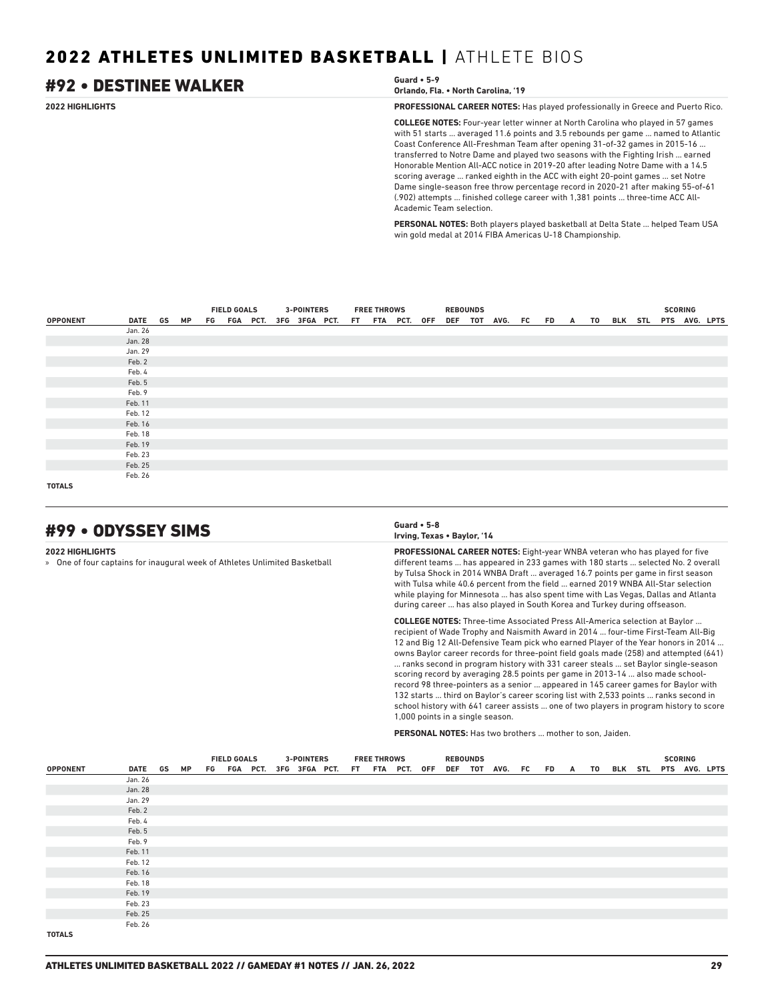### **2022 HIGHLIGHTS PROFESSIONAL CAREER NOTES:** Has played professionally in Greece and Puerto Rico. **COLLEGE NOTES:** Four-year letter winner at North Carolina who played in 57 games with 51 starts ... averaged 11.6 points and 3.5 rebounds per game ... named to Atlantic Coast Conference All-Freshman Team after opening 31-of-32 games in 2015-16 ... transferred to Notre Dame and played two seasons with the Fighting Irish ... earned Honorable Mention All-ACC notice in 2019-20 after leading Notre Dame with a 14.5 scoring average ... ranked eighth in the ACC with eight 20-point games ... set Notre Dame single-season free throw percentage record in 2020-21 after making 55-of-61 (.902) attempts ... finished college career with 1,381 points ... three-time ACC All-Academic Team selection. #92 • DESTINEE WALKER **Guard • 5-9 Orlando, Fla. • North Carolina, '19**

**PERSONAL NOTES:** Both players played basketball at Delta State ... helped Team USA win gold medal at 2014 FIBA Americas U-18 Championship.

|                 |         |    | <b>FIELD GOALS</b> |  | <b>3-POINTERS</b> |  | <b>FREE THROWS</b> |  | <b>REBOUNDS</b> |                                                                                         |  |  |  | <b>SCORING</b> |  |
|-----------------|---------|----|--------------------|--|-------------------|--|--------------------|--|-----------------|-----------------------------------------------------------------------------------------|--|--|--|----------------|--|
| <b>OPPONENT</b> | DATE GS | MP |                    |  |                   |  |                    |  |                 | FG FGA PCT. 3FG 3FGA PCT. FT FTA PCT. OFF DEF TOT AVG. FC FD A TO BLK STL PTS AVG. LPTS |  |  |  |                |  |
|                 | Jan. 26 |    |                    |  |                   |  |                    |  |                 |                                                                                         |  |  |  |                |  |
|                 | Jan. 28 |    |                    |  |                   |  |                    |  |                 |                                                                                         |  |  |  |                |  |
|                 | Jan. 29 |    |                    |  |                   |  |                    |  |                 |                                                                                         |  |  |  |                |  |
|                 | Feb. 2  |    |                    |  |                   |  |                    |  |                 |                                                                                         |  |  |  |                |  |
|                 | Feb. 4  |    |                    |  |                   |  |                    |  |                 |                                                                                         |  |  |  |                |  |
|                 | Feb. 5  |    |                    |  |                   |  |                    |  |                 |                                                                                         |  |  |  |                |  |
|                 | Feb. 9  |    |                    |  |                   |  |                    |  |                 |                                                                                         |  |  |  |                |  |
|                 | Feb. 11 |    |                    |  |                   |  |                    |  |                 |                                                                                         |  |  |  |                |  |
|                 | Feb. 12 |    |                    |  |                   |  |                    |  |                 |                                                                                         |  |  |  |                |  |
|                 | Feb. 16 |    |                    |  |                   |  |                    |  |                 |                                                                                         |  |  |  |                |  |
|                 | Feb. 18 |    |                    |  |                   |  |                    |  |                 |                                                                                         |  |  |  |                |  |
|                 | Feb. 19 |    |                    |  |                   |  |                    |  |                 |                                                                                         |  |  |  |                |  |
|                 | Feb. 23 |    |                    |  |                   |  |                    |  |                 |                                                                                         |  |  |  |                |  |
|                 | Feb. 25 |    |                    |  |                   |  |                    |  |                 |                                                                                         |  |  |  |                |  |
|                 | Feb. 26 |    |                    |  |                   |  |                    |  |                 |                                                                                         |  |  |  |                |  |
| <b>TOTALS</b>   |         |    |                    |  |                   |  |                    |  |                 |                                                                                         |  |  |  |                |  |

# #99 • ODYSSEY SIMS **Guard • 5-8**

**2022 HIGHLIGHTS**

» One of four captains for inaugural week of Athletes Unlimited Basketball



**PROFESSIONAL CAREER NOTES:** Eight-year WNBA veteran who has played for five different teams ... has appeared in 233 games with 180 starts ... selected No. 2 overall by Tulsa Shock in 2014 WNBA Draft ... averaged 16.7 points per game in first season with Tulsa while 40.6 percent from the field ... earned 2019 WNBA All-Star selection while playing for Minnesota ... has also spent time with Las Vegas, Dallas and Atlanta during career ... has also played in South Korea and Turkey during offseason.

**COLLEGE NOTES:** Three-time Associated Press All-America selection at Baylor ... recipient of Wade Trophy and Naismith Award in 2014 ... four-time First-Team All-Big 12 and Big 12 All-Defensive Team pick who earned Player of the Year honors in 2014 ... owns Baylor career records for three-point field goals made (258) and attempted (641) ... ranks second in program history with 331 career steals ... set Baylor single-season scoring record by averaging 28.5 points per game in 2013-14 ... also made schoolrecord 98 three-pointers as a senior ... appeared in 145 career games for Baylor with 132 starts ... third on Baylor's career scoring list with 2,533 points ... ranks second in school history with 641 career assists ... one of two players in program history to score 1,000 points in a single season.

**PERSONAL NOTES:** Has two brothers ... mother to son, Jaiden.

|                 |            |  | <b>FIELD GOALS</b> |  |  | <b>3-POINTERS</b>                         |  | <b>FREE THROWS</b> |  | <b>REBOUNDS</b> |                    |  |      |                       |  | <b>SCORING</b> |  |
|-----------------|------------|--|--------------------|--|--|-------------------------------------------|--|--------------------|--|-----------------|--------------------|--|------|-----------------------|--|----------------|--|
| <b>OPPONENT</b> | DATE GS MP |  |                    |  |  | FG FGA PCT. 3FG 3FGA PCT. FT FTA PCT. OFF |  |                    |  |                 | DEF TOT AVG. FC FD |  | A TO | BLK STL PTS AVG. LPTS |  |                |  |
|                 | Jan. 26    |  |                    |  |  |                                           |  |                    |  |                 |                    |  |      |                       |  |                |  |
|                 | Jan. 28    |  |                    |  |  |                                           |  |                    |  |                 |                    |  |      |                       |  |                |  |
|                 | Jan. 29    |  |                    |  |  |                                           |  |                    |  |                 |                    |  |      |                       |  |                |  |
|                 | Feb. 2     |  |                    |  |  |                                           |  |                    |  |                 |                    |  |      |                       |  |                |  |
|                 | Feb. 4     |  |                    |  |  |                                           |  |                    |  |                 |                    |  |      |                       |  |                |  |
|                 | Feb. 5     |  |                    |  |  |                                           |  |                    |  |                 |                    |  |      |                       |  |                |  |
|                 | Feb. 9     |  |                    |  |  |                                           |  |                    |  |                 |                    |  |      |                       |  |                |  |
|                 | Feb. 11    |  |                    |  |  |                                           |  |                    |  |                 |                    |  |      |                       |  |                |  |
|                 | Feb. 12    |  |                    |  |  |                                           |  |                    |  |                 |                    |  |      |                       |  |                |  |
|                 | Feb. 16    |  |                    |  |  |                                           |  |                    |  |                 |                    |  |      |                       |  |                |  |
|                 | Feb. 18    |  |                    |  |  |                                           |  |                    |  |                 |                    |  |      |                       |  |                |  |
|                 | Feb. 19    |  |                    |  |  |                                           |  |                    |  |                 |                    |  |      |                       |  |                |  |
|                 | Feb. 23    |  |                    |  |  |                                           |  |                    |  |                 |                    |  |      |                       |  |                |  |
|                 | Feb. 25    |  |                    |  |  |                                           |  |                    |  |                 |                    |  |      |                       |  |                |  |
|                 | Feb. 26    |  |                    |  |  |                                           |  |                    |  |                 |                    |  |      |                       |  |                |  |
| <b>TOTALS</b>   |            |  |                    |  |  |                                           |  |                    |  |                 |                    |  |      |                       |  |                |  |